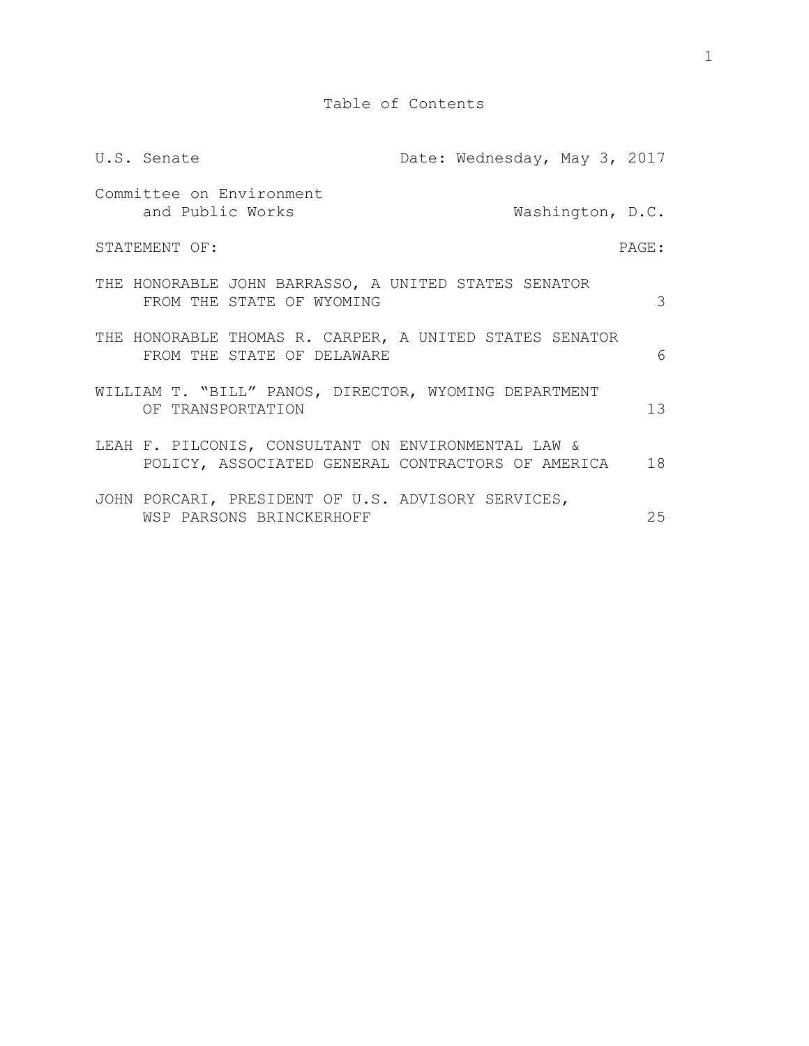Table of Contents

| U.S. Senate                                                                                              | Date: Wednesday, May 3, 2017 |                  |       |
|----------------------------------------------------------------------------------------------------------|------------------------------|------------------|-------|
| Committee on Environment<br>and Public Works                                                             |                              | Washington, D.C. |       |
| STATEMENT OF:                                                                                            |                              |                  | PAGE: |
| THE HONORABLE JOHN BARRASSO, A UNITED STATES SENATOR<br>FROM THE STATE OF WYOMING                        |                              |                  | 3     |
| THE HONORABLE THOMAS R. CARPER, A UNITED STATES SENATOR<br>FROM THE STATE OF DELAWARE                    |                              |                  | 6     |
| WILLIAM T. "BILL" PANOS, DIRECTOR, WYOMING DEPARTMENT<br>OF TRANSPORTATION                               |                              |                  | 13    |
| LEAH F. PILCONIS, CONSULTANT ON ENVIRONMENTAL LAW &<br>POLICY, ASSOCIATED GENERAL CONTRACTORS OF AMERICA |                              |                  | 18    |
| JOHN PORCARI, PRESIDENT OF U.S. ADVISORY SERVICES,<br>WSP PARSONS BRINCKERHOFF                           |                              |                  | 25    |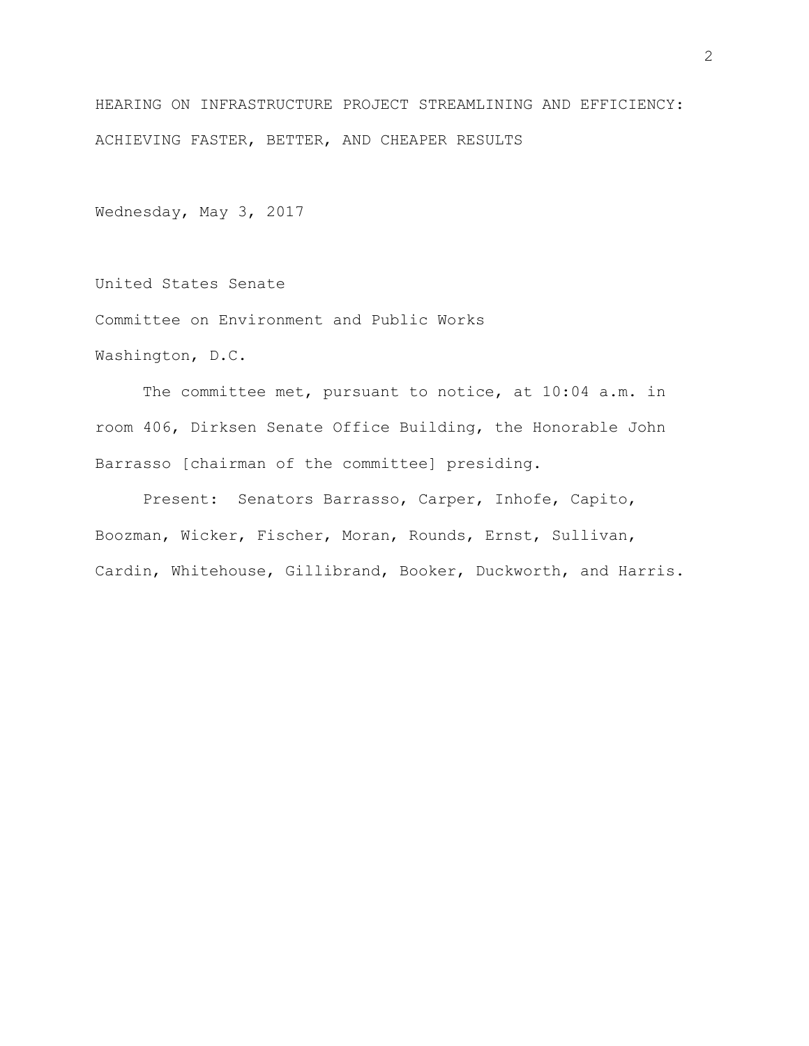HEARING ON INFRASTRUCTURE PROJECT STREAMLINING AND EFFICIENCY: ACHIEVING FASTER, BETTER, AND CHEAPER RESULTS

Wednesday, May 3, 2017

United States Senate

Committee on Environment and Public Works

Washington, D.C.

The committee met, pursuant to notice, at 10:04 a.m. in room 406, Dirksen Senate Office Building, the Honorable John Barrasso [chairman of the committee] presiding.

Present: Senators Barrasso, Carper, Inhofe, Capito, Boozman, Wicker, Fischer, Moran, Rounds, Ernst, Sullivan, Cardin, Whitehouse, Gillibrand, Booker, Duckworth, and Harris.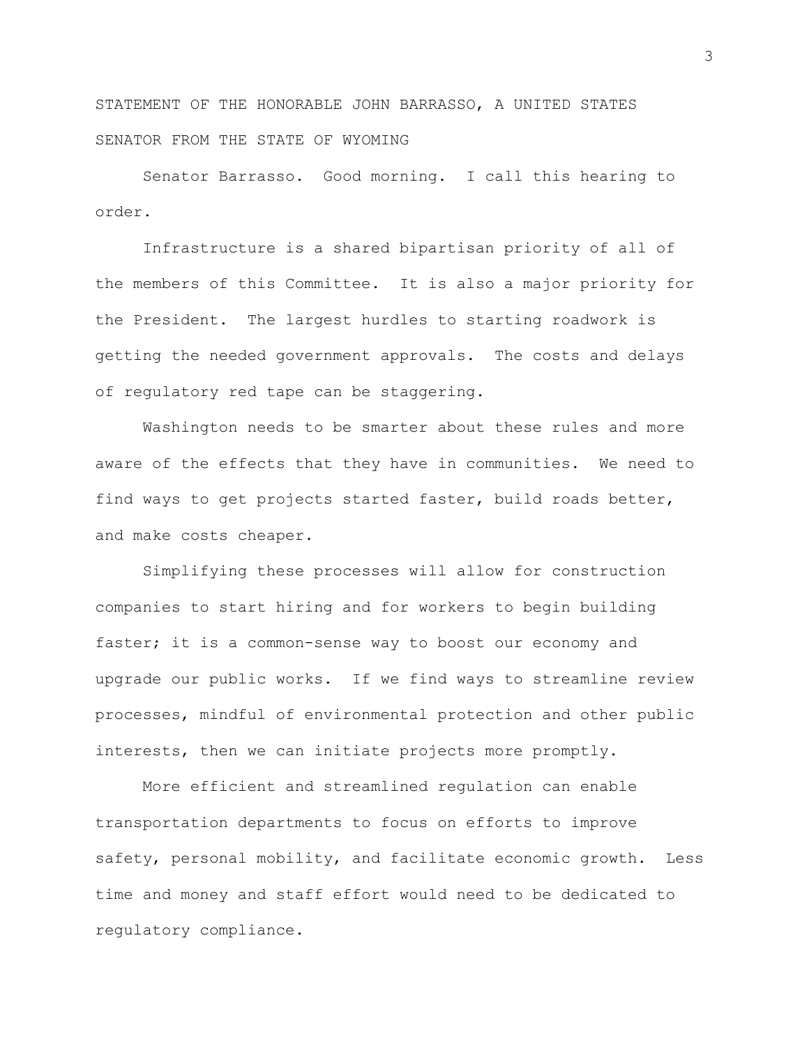STATEMENT OF THE HONORABLE JOHN BARRASSO, A UNITED STATES SENATOR FROM THE STATE OF WYOMING

Senator Barrasso. Good morning. I call this hearing to order.

Infrastructure is a shared bipartisan priority of all of the members of this Committee. It is also a major priority for the President. The largest hurdles to starting roadwork is getting the needed government approvals. The costs and delays of regulatory red tape can be staggering.

Washington needs to be smarter about these rules and more aware of the effects that they have in communities. We need to find ways to get projects started faster, build roads better, and make costs cheaper.

Simplifying these processes will allow for construction companies to start hiring and for workers to begin building faster; it is a common-sense way to boost our economy and upgrade our public works. If we find ways to streamline review processes, mindful of environmental protection and other public interests, then we can initiate projects more promptly.

More efficient and streamlined regulation can enable transportation departments to focus on efforts to improve safety, personal mobility, and facilitate economic growth. Less time and money and staff effort would need to be dedicated to regulatory compliance.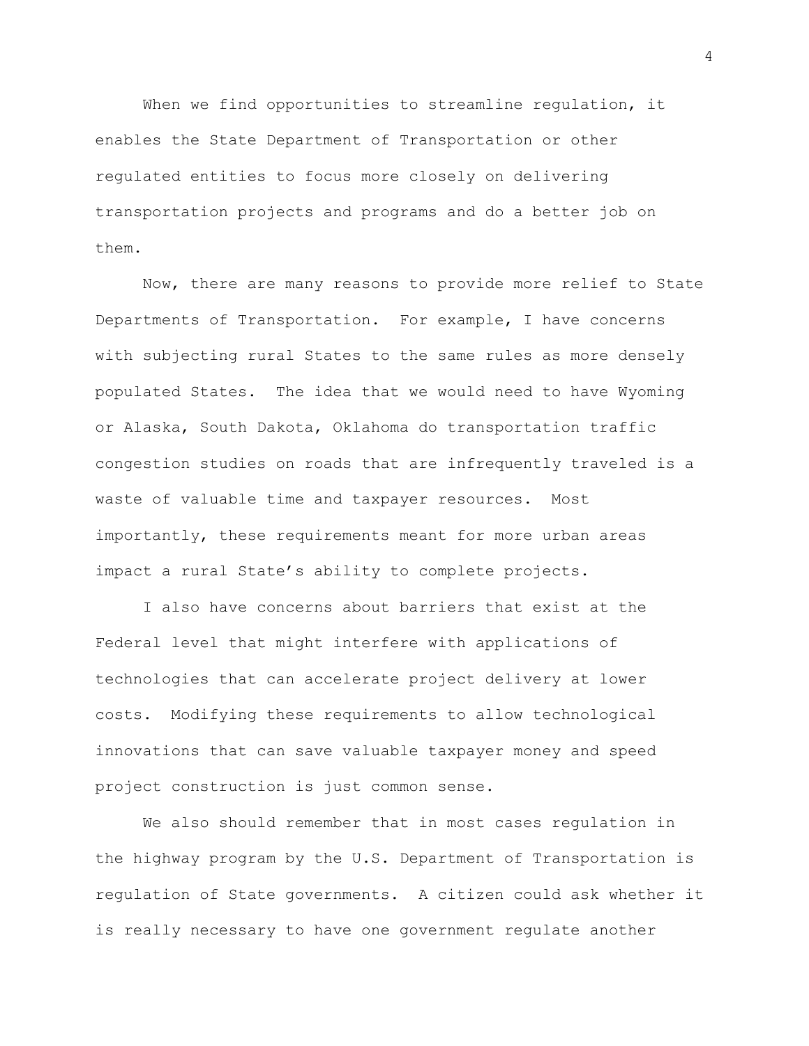When we find opportunities to streamline regulation, it enables the State Department of Transportation or other regulated entities to focus more closely on delivering transportation projects and programs and do a better job on them.

Now, there are many reasons to provide more relief to State Departments of Transportation. For example, I have concerns with subjecting rural States to the same rules as more densely populated States. The idea that we would need to have Wyoming or Alaska, South Dakota, Oklahoma do transportation traffic congestion studies on roads that are infrequently traveled is a waste of valuable time and taxpayer resources. Most importantly, these requirements meant for more urban areas impact a rural State's ability to complete projects.

I also have concerns about barriers that exist at the Federal level that might interfere with applications of technologies that can accelerate project delivery at lower costs. Modifying these requirements to allow technological innovations that can save valuable taxpayer money and speed project construction is just common sense.

We also should remember that in most cases regulation in the highway program by the U.S. Department of Transportation is regulation of State governments. A citizen could ask whether it is really necessary to have one government regulate another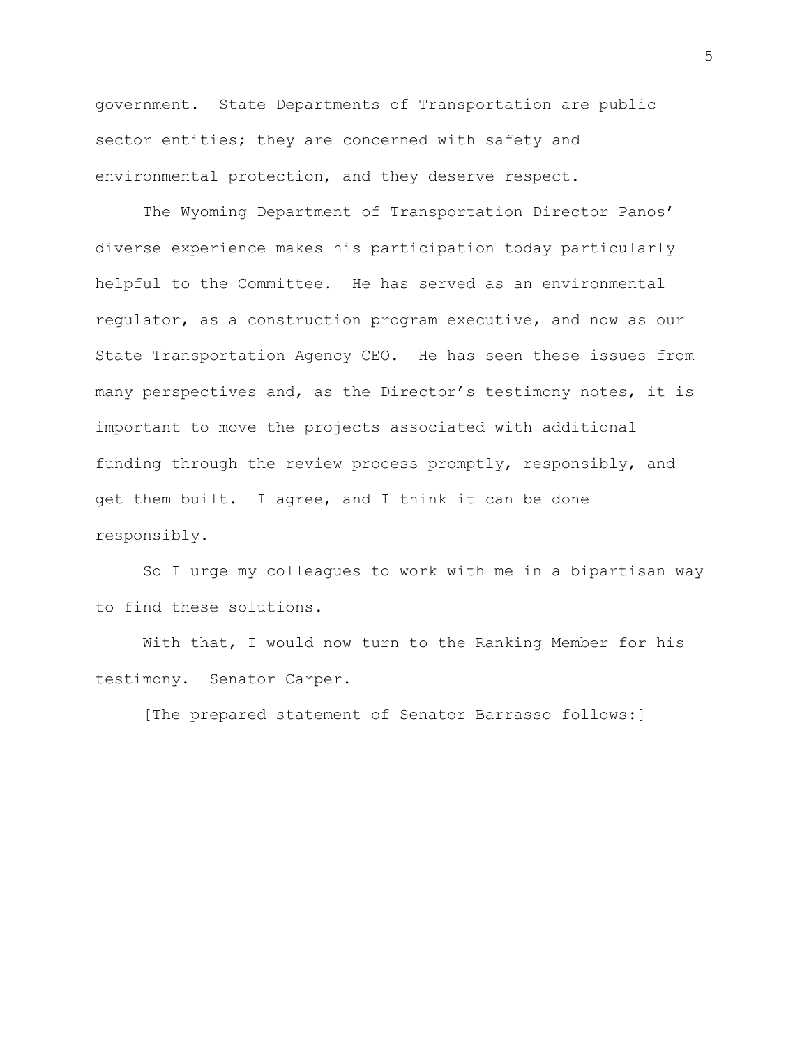government. State Departments of Transportation are public sector entities; they are concerned with safety and environmental protection, and they deserve respect.

The Wyoming Department of Transportation Director Panos' diverse experience makes his participation today particularly helpful to the Committee. He has served as an environmental regulator, as a construction program executive, and now as our State Transportation Agency CEO. He has seen these issues from many perspectives and, as the Director's testimony notes, it is important to move the projects associated with additional funding through the review process promptly, responsibly, and get them built. I agree, and I think it can be done responsibly.

So I urge my colleagues to work with me in a bipartisan way to find these solutions.

With that, I would now turn to the Ranking Member for his testimony. Senator Carper.

[The prepared statement of Senator Barrasso follows:]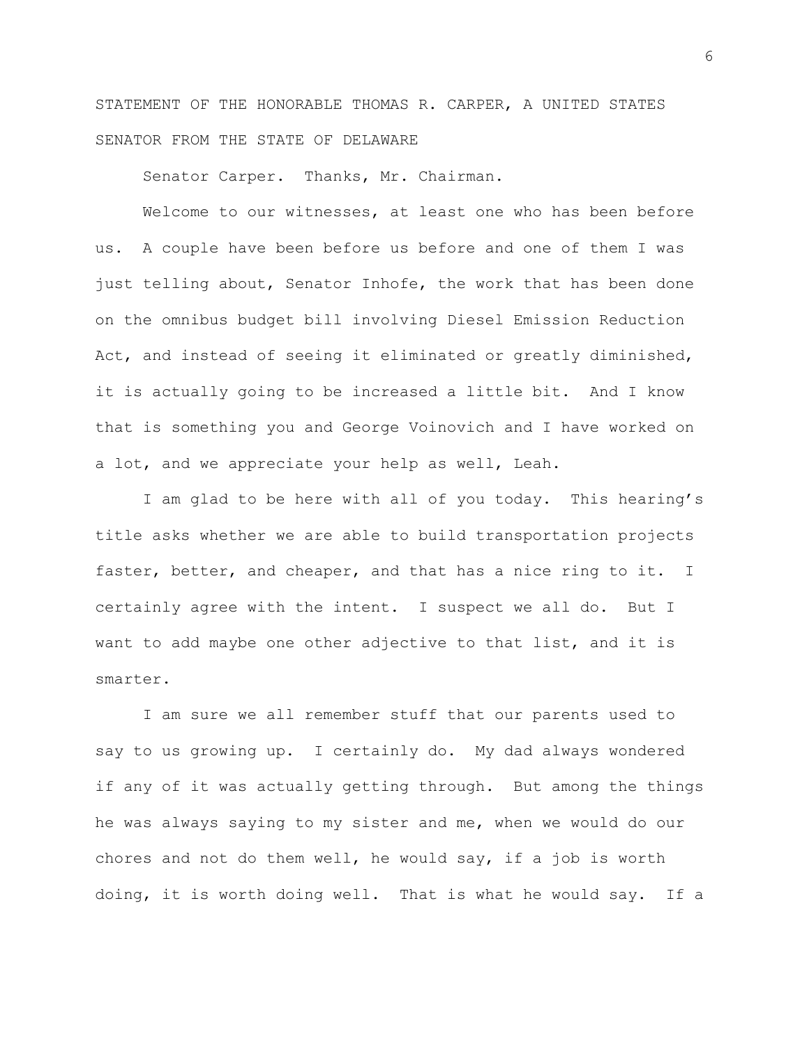STATEMENT OF THE HONORABLE THOMAS R. CARPER, A UNITED STATES SENATOR FROM THE STATE OF DELAWARE

Senator Carper. Thanks, Mr. Chairman.

Welcome to our witnesses, at least one who has been before us. A couple have been before us before and one of them I was just telling about, Senator Inhofe, the work that has been done on the omnibus budget bill involving Diesel Emission Reduction Act, and instead of seeing it eliminated or greatly diminished, it is actually going to be increased a little bit. And I know that is something you and George Voinovich and I have worked on a lot, and we appreciate your help as well, Leah.

I am glad to be here with all of you today. This hearing's title asks whether we are able to build transportation projects faster, better, and cheaper, and that has a nice ring to it. I certainly agree with the intent. I suspect we all do. But I want to add maybe one other adjective to that list, and it is smarter.

I am sure we all remember stuff that our parents used to say to us growing up. I certainly do. My dad always wondered if any of it was actually getting through. But among the things he was always saying to my sister and me, when we would do our chores and not do them well, he would say, if a job is worth doing, it is worth doing well. That is what he would say. If a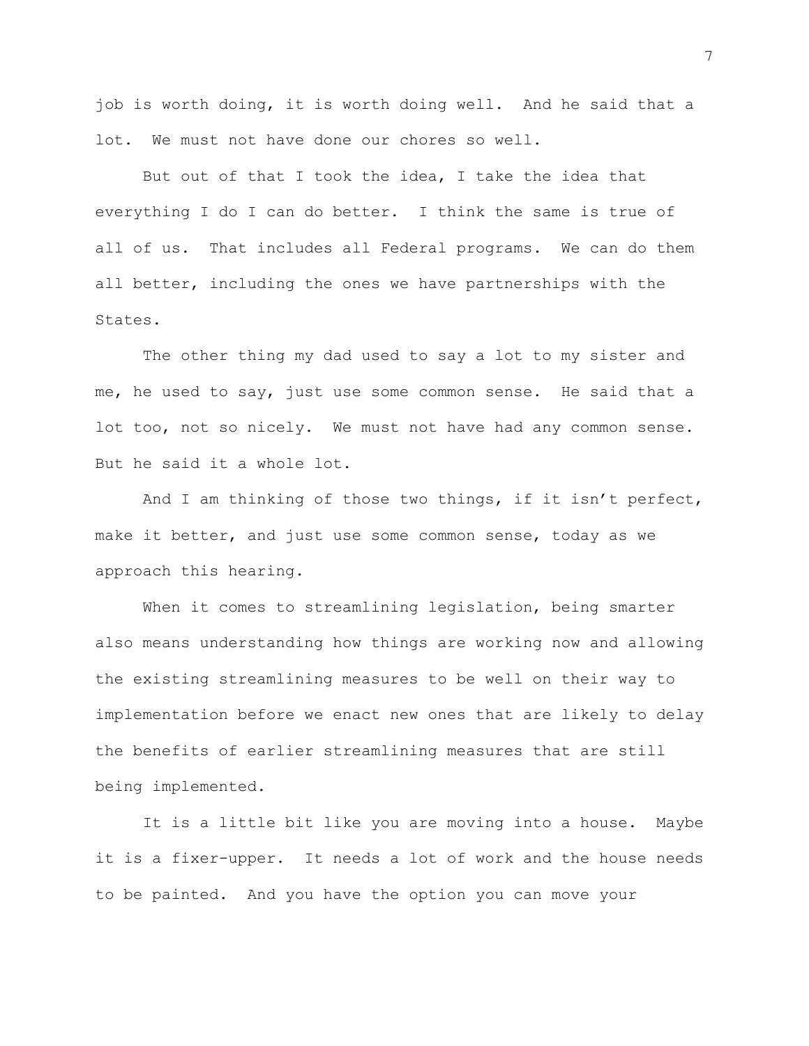job is worth doing, it is worth doing well. And he said that a lot. We must not have done our chores so well.

But out of that I took the idea, I take the idea that everything I do I can do better. I think the same is true of all of us. That includes all Federal programs. We can do them all better, including the ones we have partnerships with the States.

The other thing my dad used to say a lot to my sister and me, he used to say, just use some common sense. He said that a lot too, not so nicely. We must not have had any common sense. But he said it a whole lot.

And I am thinking of those two things, if it isn't perfect, make it better, and just use some common sense, today as we approach this hearing.

When it comes to streamlining legislation, being smarter also means understanding how things are working now and allowing the existing streamlining measures to be well on their way to implementation before we enact new ones that are likely to delay the benefits of earlier streamlining measures that are still being implemented.

It is a little bit like you are moving into a house. Maybe it is a fixer-upper. It needs a lot of work and the house needs to be painted. And you have the option you can move your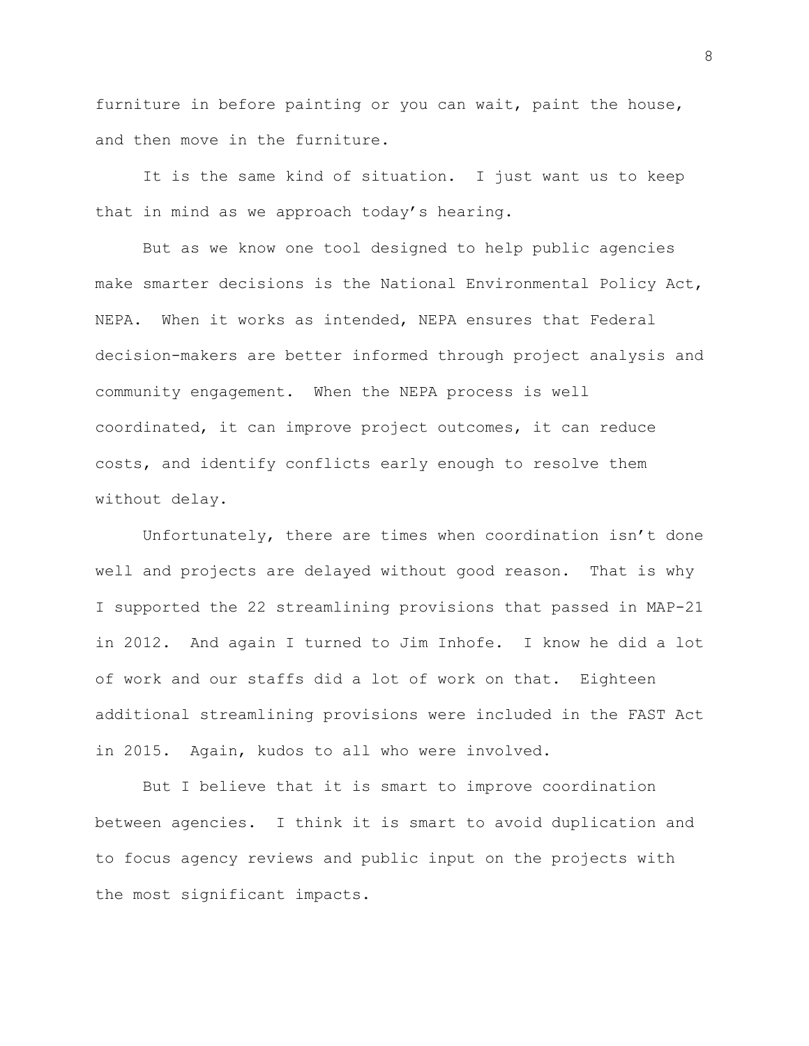furniture in before painting or you can wait, paint the house, and then move in the furniture.

It is the same kind of situation. I just want us to keep that in mind as we approach today's hearing.

But as we know one tool designed to help public agencies make smarter decisions is the National Environmental Policy Act, NEPA. When it works as intended, NEPA ensures that Federal decision-makers are better informed through project analysis and community engagement. When the NEPA process is well coordinated, it can improve project outcomes, it can reduce costs, and identify conflicts early enough to resolve them without delay.

Unfortunately, there are times when coordination isn't done well and projects are delayed without good reason. That is why I supported the 22 streamlining provisions that passed in MAP-21 in 2012. And again I turned to Jim Inhofe. I know he did a lot of work and our staffs did a lot of work on that. Eighteen additional streamlining provisions were included in the FAST Act in 2015. Again, kudos to all who were involved.

But I believe that it is smart to improve coordination between agencies. I think it is smart to avoid duplication and to focus agency reviews and public input on the projects with the most significant impacts.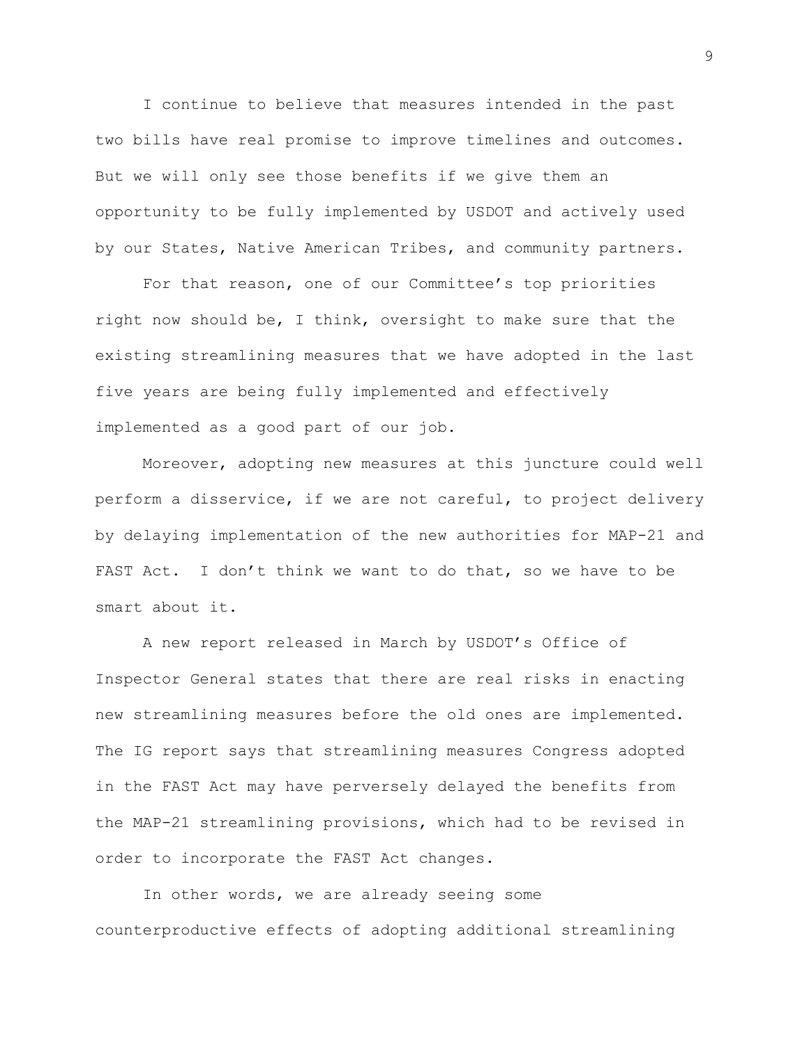I continue to believe that measures intended in the past two bills have real promise to improve timelines and outcomes. But we will only see those benefits if we give them an opportunity to be fully implemented by USDOT and actively used by our States, Native American Tribes, and community partners.

For that reason, one of our Committee's top priorities right now should be, I think, oversight to make sure that the existing streamlining measures that we have adopted in the last five years are being fully implemented and effectively implemented as a good part of our job.

Moreover, adopting new measures at this juncture could well perform a disservice, if we are not careful, to project delivery by delaying implementation of the new authorities for MAP-21 and FAST Act. I don't think we want to do that, so we have to be smart about it.

A new report released in March by USDOT's Office of Inspector General states that there are real risks in enacting new streamlining measures before the old ones are implemented. The IG report says that streamlining measures Congress adopted in the FAST Act may have perversely delayed the benefits from the MAP-21 streamlining provisions, which had to be revised in order to incorporate the FAST Act changes.

In other words, we are already seeing some counterproductive effects of adopting additional streamlining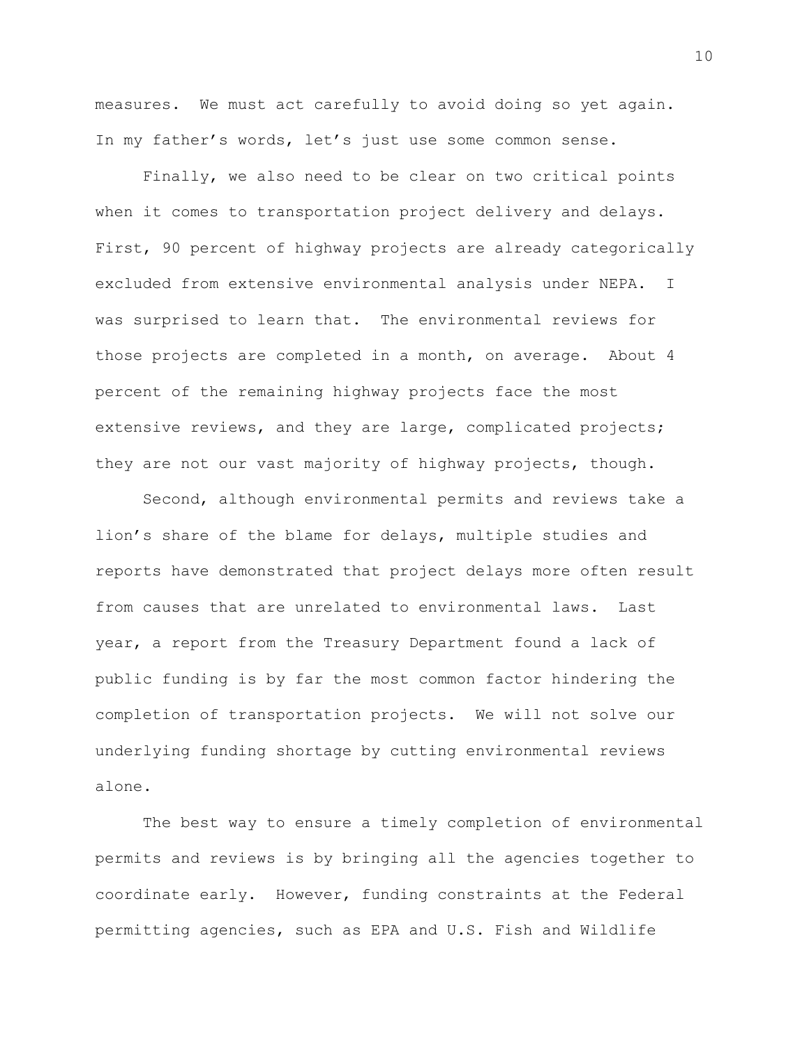measures. We must act carefully to avoid doing so yet again. In my father's words, let's just use some common sense.

Finally, we also need to be clear on two critical points when it comes to transportation project delivery and delays. First, 90 percent of highway projects are already categorically excluded from extensive environmental analysis under NEPA. I was surprised to learn that. The environmental reviews for those projects are completed in a month, on average. About 4 percent of the remaining highway projects face the most extensive reviews, and they are large, complicated projects; they are not our vast majority of highway projects, though.

Second, although environmental permits and reviews take a lion's share of the blame for delays, multiple studies and reports have demonstrated that project delays more often result from causes that are unrelated to environmental laws. Last year, a report from the Treasury Department found a lack of public funding is by far the most common factor hindering the completion of transportation projects. We will not solve our underlying funding shortage by cutting environmental reviews alone.

The best way to ensure a timely completion of environmental permits and reviews is by bringing all the agencies together to coordinate early. However, funding constraints at the Federal permitting agencies, such as EPA and U.S. Fish and Wildlife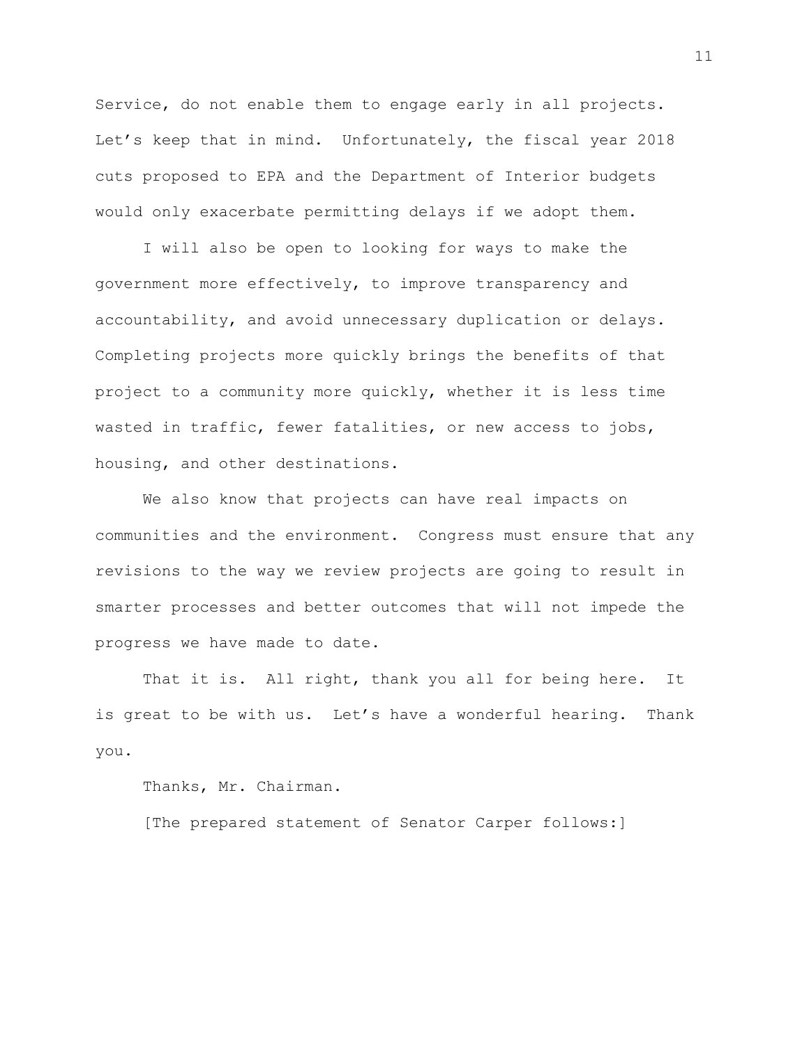Service, do not enable them to engage early in all projects. Let's keep that in mind. Unfortunately, the fiscal year 2018 cuts proposed to EPA and the Department of Interior budgets would only exacerbate permitting delays if we adopt them.

I will also be open to looking for ways to make the government more effectively, to improve transparency and accountability, and avoid unnecessary duplication or delays. Completing projects more quickly brings the benefits of that project to a community more quickly, whether it is less time wasted in traffic, fewer fatalities, or new access to jobs, housing, and other destinations.

We also know that projects can have real impacts on communities and the environment. Congress must ensure that any revisions to the way we review projects are going to result in smarter processes and better outcomes that will not impede the progress we have made to date.

That it is. All right, thank you all for being here. It is great to be with us. Let's have a wonderful hearing. Thank you.

Thanks, Mr. Chairman.

[The prepared statement of Senator Carper follows:]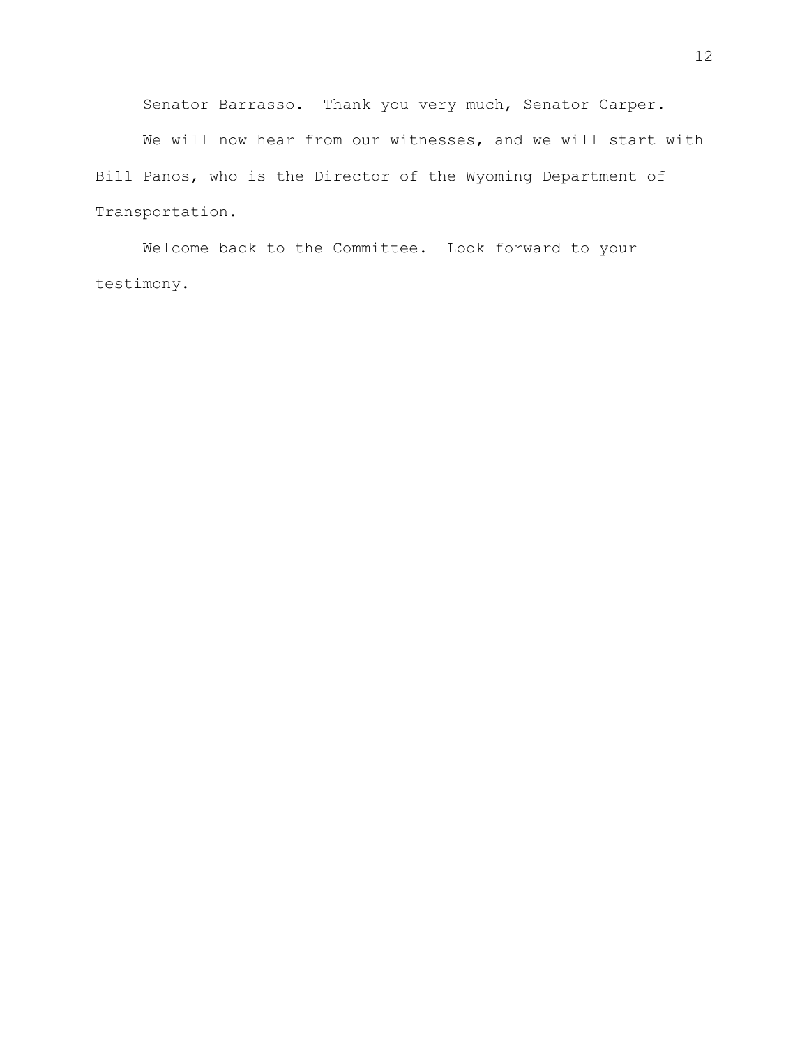Senator Barrasso. Thank you very much, Senator Carper.

We will now hear from our witnesses, and we will start with Bill Panos, who is the Director of the Wyoming Department of Transportation.

Welcome back to the Committee. Look forward to your testimony.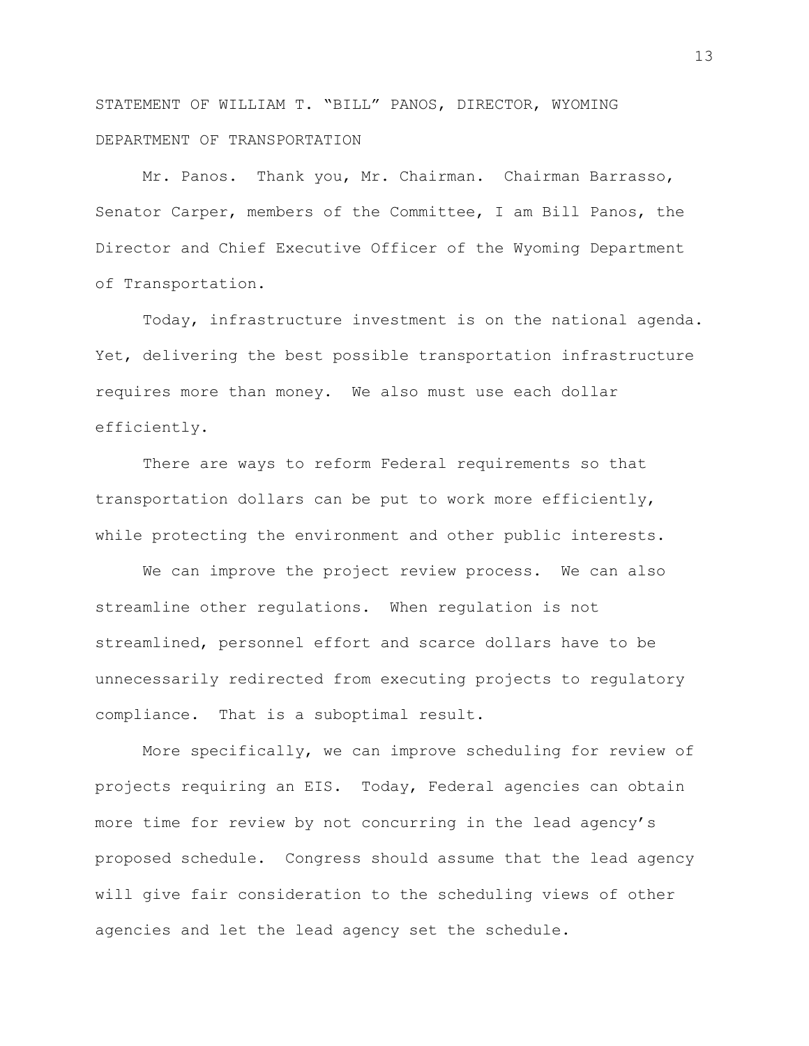STATEMENT OF WILLIAM T. "BILL" PANOS, DIRECTOR, WYOMING DEPARTMENT OF TRANSPORTATION

Mr. Panos. Thank you, Mr. Chairman. Chairman Barrasso, Senator Carper, members of the Committee, I am Bill Panos, the Director and Chief Executive Officer of the Wyoming Department of Transportation.

Today, infrastructure investment is on the national agenda. Yet, delivering the best possible transportation infrastructure requires more than money. We also must use each dollar efficiently.

There are ways to reform Federal requirements so that transportation dollars can be put to work more efficiently, while protecting the environment and other public interests.

We can improve the project review process. We can also streamline other regulations. When regulation is not streamlined, personnel effort and scarce dollars have to be unnecessarily redirected from executing projects to regulatory compliance. That is a suboptimal result.

More specifically, we can improve scheduling for review of projects requiring an EIS. Today, Federal agencies can obtain more time for review by not concurring in the lead agency's proposed schedule. Congress should assume that the lead agency will give fair consideration to the scheduling views of other agencies and let the lead agency set the schedule.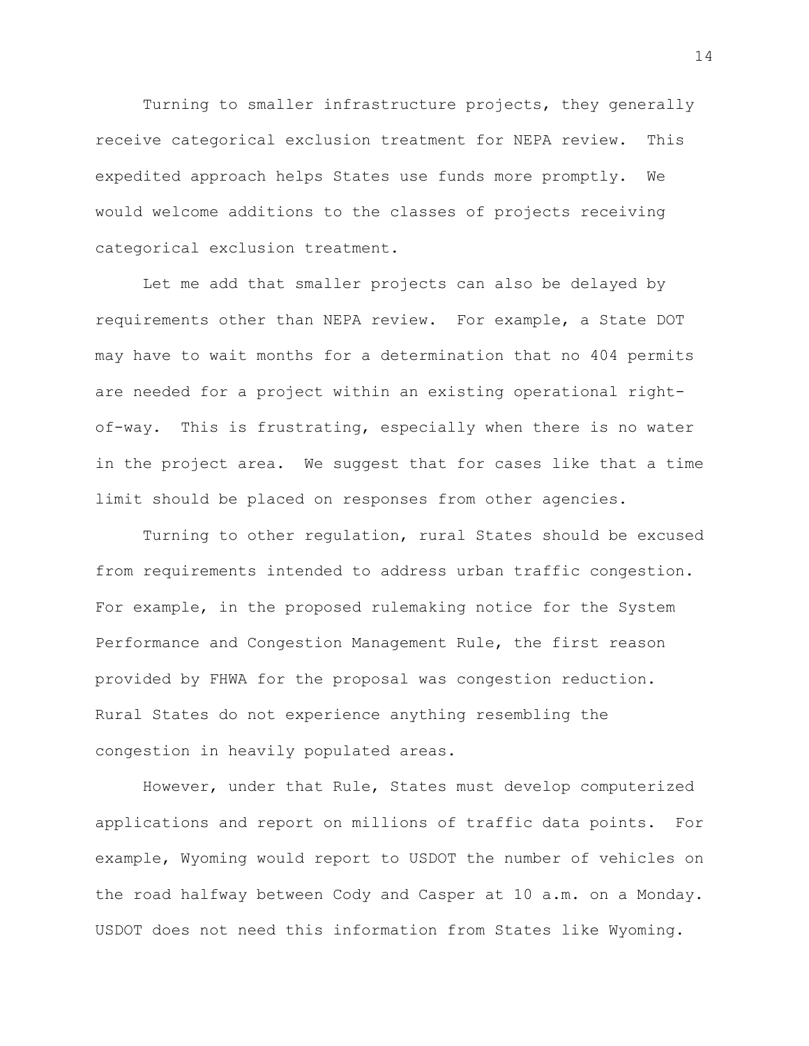Turning to smaller infrastructure projects, they generally receive categorical exclusion treatment for NEPA review. This expedited approach helps States use funds more promptly. We would welcome additions to the classes of projects receiving categorical exclusion treatment.

Let me add that smaller projects can also be delayed by requirements other than NEPA review. For example, a State DOT may have to wait months for a determination that no 404 permits are needed for a project within an existing operational rightof-way. This is frustrating, especially when there is no water in the project area. We suggest that for cases like that a time limit should be placed on responses from other agencies.

Turning to other regulation, rural States should be excused from requirements intended to address urban traffic congestion. For example, in the proposed rulemaking notice for the System Performance and Congestion Management Rule, the first reason provided by FHWA for the proposal was congestion reduction. Rural States do not experience anything resembling the congestion in heavily populated areas.

However, under that Rule, States must develop computerized applications and report on millions of traffic data points. For example, Wyoming would report to USDOT the number of vehicles on the road halfway between Cody and Casper at 10 a.m. on a Monday. USDOT does not need this information from States like Wyoming.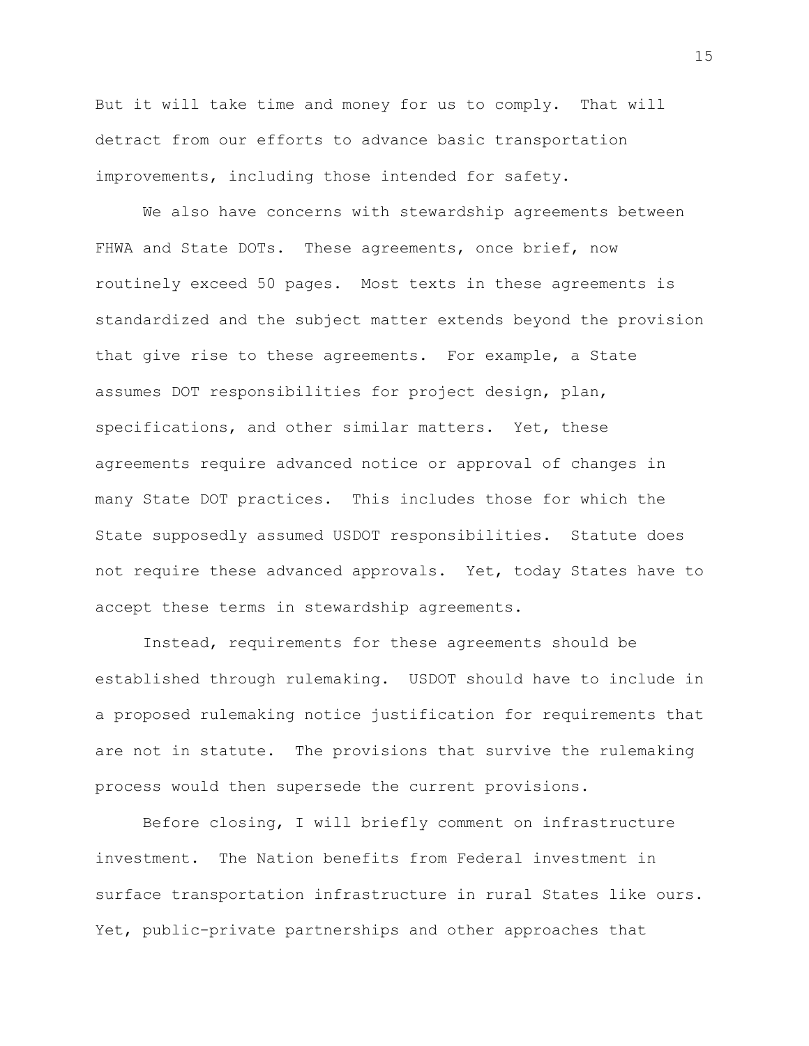But it will take time and money for us to comply. That will detract from our efforts to advance basic transportation improvements, including those intended for safety.

We also have concerns with stewardship agreements between FHWA and State DOTs. These agreements, once brief, now routinely exceed 50 pages. Most texts in these agreements is standardized and the subject matter extends beyond the provision that give rise to these agreements. For example, a State assumes DOT responsibilities for project design, plan, specifications, and other similar matters. Yet, these agreements require advanced notice or approval of changes in many State DOT practices. This includes those for which the State supposedly assumed USDOT responsibilities. Statute does not require these advanced approvals. Yet, today States have to accept these terms in stewardship agreements.

Instead, requirements for these agreements should be established through rulemaking. USDOT should have to include in a proposed rulemaking notice justification for requirements that are not in statute. The provisions that survive the rulemaking process would then supersede the current provisions.

Before closing, I will briefly comment on infrastructure investment. The Nation benefits from Federal investment in surface transportation infrastructure in rural States like ours. Yet, public-private partnerships and other approaches that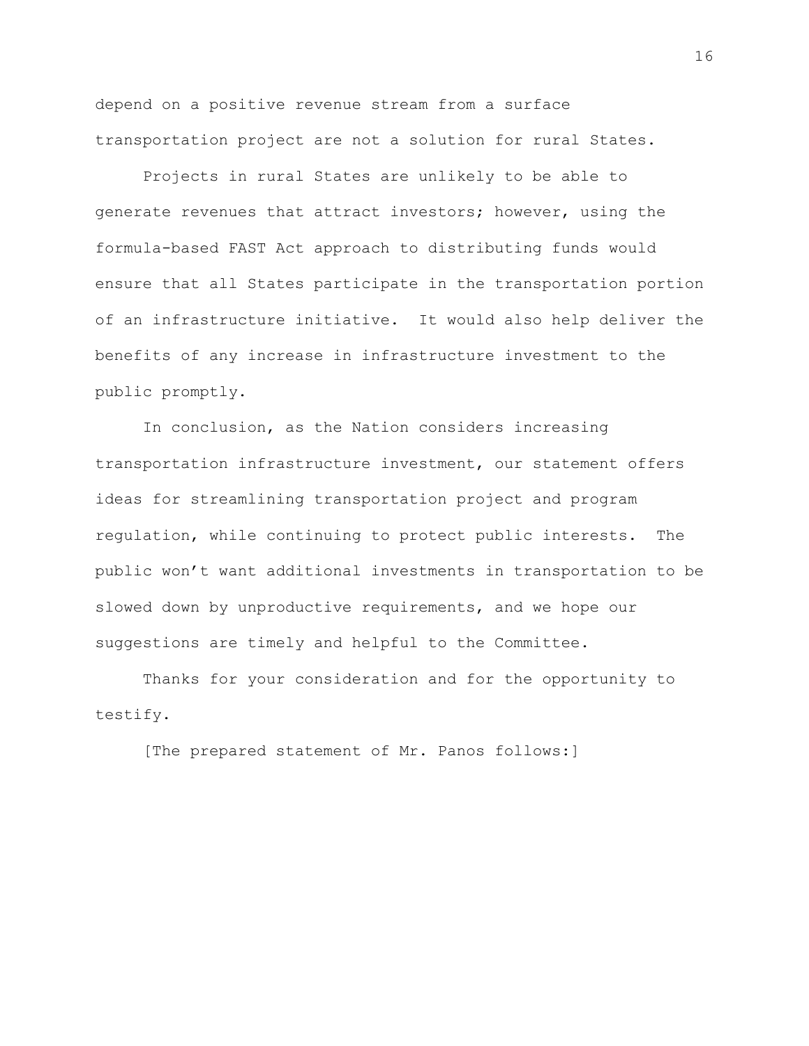depend on a positive revenue stream from a surface transportation project are not a solution for rural States.

Projects in rural States are unlikely to be able to generate revenues that attract investors; however, using the formula-based FAST Act approach to distributing funds would ensure that all States participate in the transportation portion of an infrastructure initiative. It would also help deliver the benefits of any increase in infrastructure investment to the public promptly.

In conclusion, as the Nation considers increasing transportation infrastructure investment, our statement offers ideas for streamlining transportation project and program regulation, while continuing to protect public interests. The public won't want additional investments in transportation to be slowed down by unproductive requirements, and we hope our suggestions are timely and helpful to the Committee.

Thanks for your consideration and for the opportunity to testify.

[The prepared statement of Mr. Panos follows:]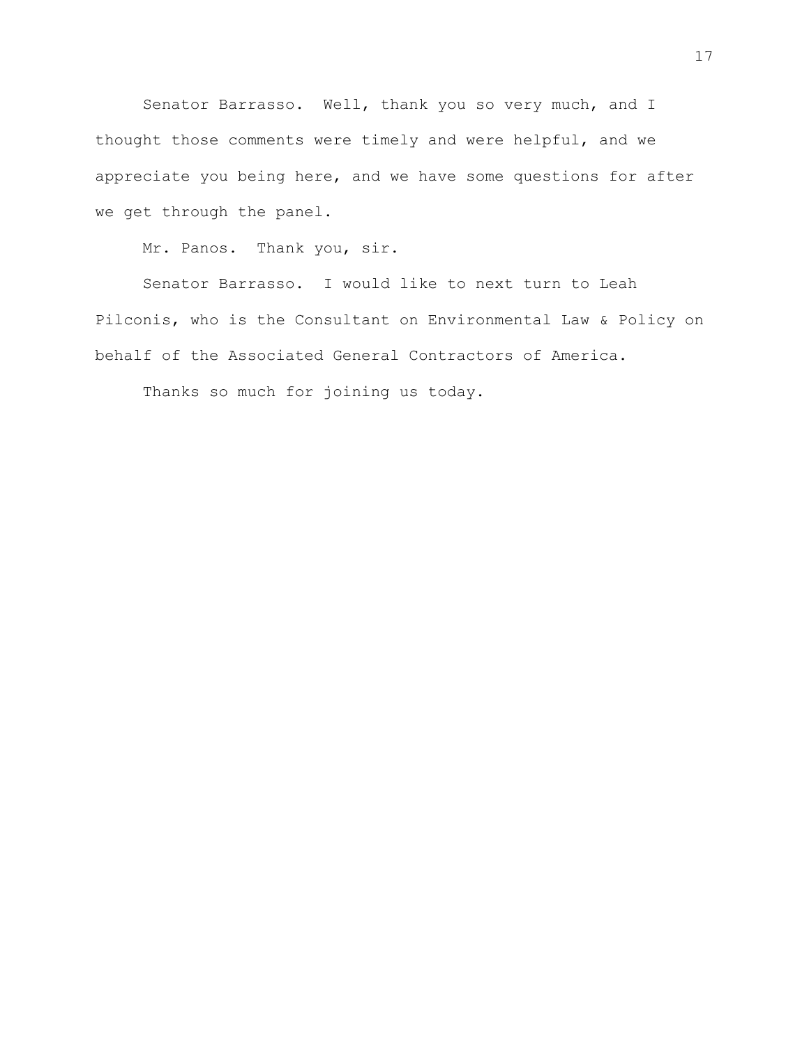Senator Barrasso. Well, thank you so very much, and I thought those comments were timely and were helpful, and we appreciate you being here, and we have some questions for after we get through the panel.

Mr. Panos. Thank you, sir.

Senator Barrasso. I would like to next turn to Leah Pilconis, who is the Consultant on Environmental Law & Policy on behalf of the Associated General Contractors of America.

Thanks so much for joining us today.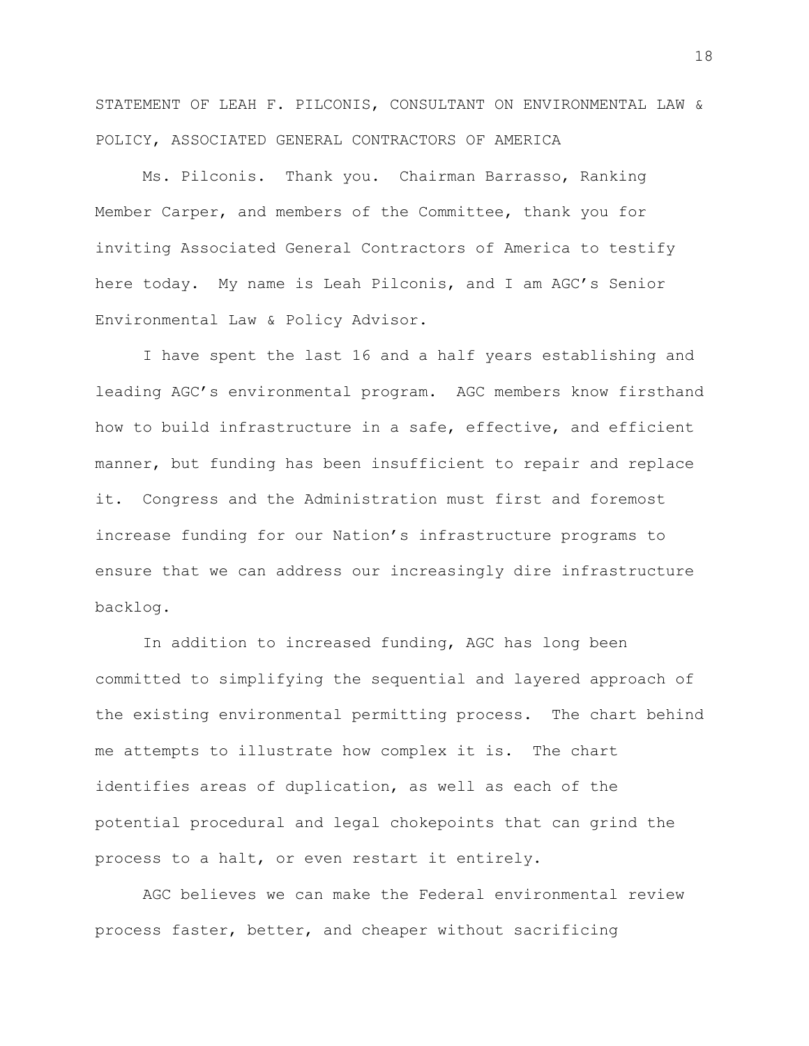STATEMENT OF LEAH F. PILCONIS, CONSULTANT ON ENVIRONMENTAL LAW & POLICY, ASSOCIATED GENERAL CONTRACTORS OF AMERICA

Ms. Pilconis. Thank you. Chairman Barrasso, Ranking Member Carper, and members of the Committee, thank you for inviting Associated General Contractors of America to testify here today. My name is Leah Pilconis, and I am AGC's Senior Environmental Law & Policy Advisor.

I have spent the last 16 and a half years establishing and leading AGC's environmental program. AGC members know firsthand how to build infrastructure in a safe, effective, and efficient manner, but funding has been insufficient to repair and replace it. Congress and the Administration must first and foremost increase funding for our Nation's infrastructure programs to ensure that we can address our increasingly dire infrastructure backlog.

In addition to increased funding, AGC has long been committed to simplifying the sequential and layered approach of the existing environmental permitting process. The chart behind me attempts to illustrate how complex it is. The chart identifies areas of duplication, as well as each of the potential procedural and legal chokepoints that can grind the process to a halt, or even restart it entirely.

AGC believes we can make the Federal environmental review process faster, better, and cheaper without sacrificing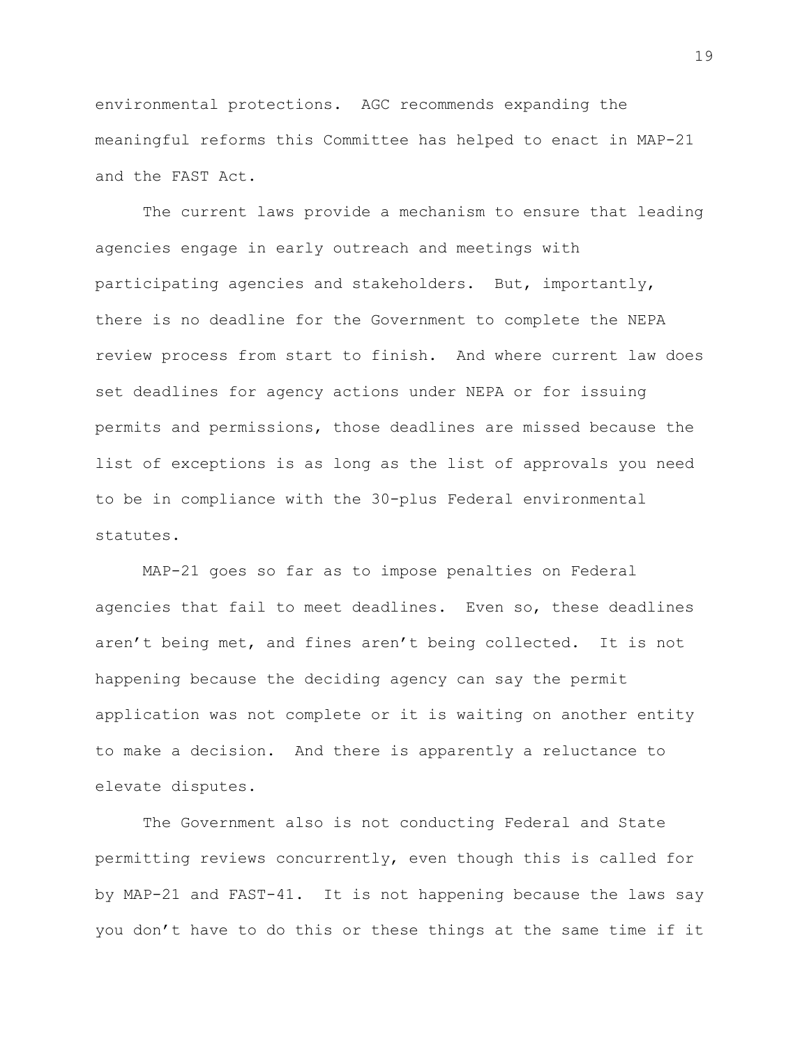environmental protections. AGC recommends expanding the meaningful reforms this Committee has helped to enact in MAP-21 and the FAST Act.

The current laws provide a mechanism to ensure that leading agencies engage in early outreach and meetings with participating agencies and stakeholders. But, importantly, there is no deadline for the Government to complete the NEPA review process from start to finish. And where current law does set deadlines for agency actions under NEPA or for issuing permits and permissions, those deadlines are missed because the list of exceptions is as long as the list of approvals you need to be in compliance with the 30-plus Federal environmental statutes.

MAP-21 goes so far as to impose penalties on Federal agencies that fail to meet deadlines. Even so, these deadlines aren't being met, and fines aren't being collected. It is not happening because the deciding agency can say the permit application was not complete or it is waiting on another entity to make a decision. And there is apparently a reluctance to elevate disputes.

The Government also is not conducting Federal and State permitting reviews concurrently, even though this is called for by MAP-21 and FAST-41. It is not happening because the laws say you don't have to do this or these things at the same time if it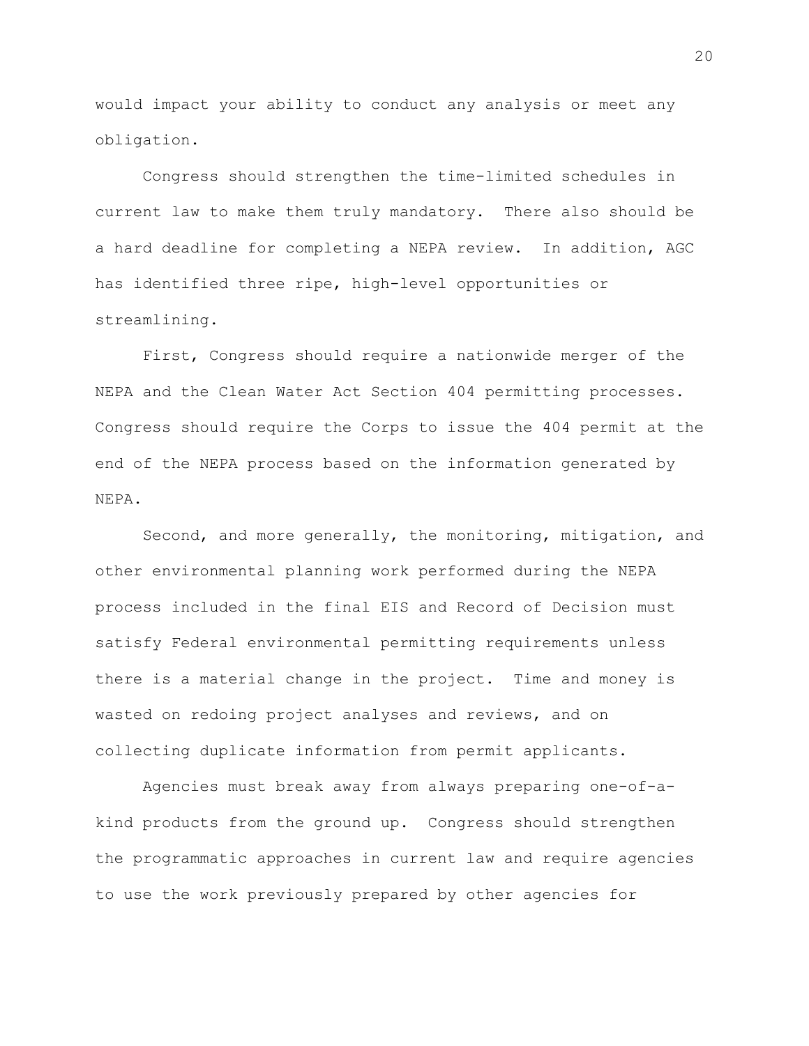would impact your ability to conduct any analysis or meet any obligation.

Congress should strengthen the time-limited schedules in current law to make them truly mandatory. There also should be a hard deadline for completing a NEPA review. In addition, AGC has identified three ripe, high-level opportunities or streamlining.

First, Congress should require a nationwide merger of the NEPA and the Clean Water Act Section 404 permitting processes. Congress should require the Corps to issue the 404 permit at the end of the NEPA process based on the information generated by NEPA.

Second, and more generally, the monitoring, mitigation, and other environmental planning work performed during the NEPA process included in the final EIS and Record of Decision must satisfy Federal environmental permitting requirements unless there is a material change in the project. Time and money is wasted on redoing project analyses and reviews, and on collecting duplicate information from permit applicants.

Agencies must break away from always preparing one-of-akind products from the ground up. Congress should strengthen the programmatic approaches in current law and require agencies to use the work previously prepared by other agencies for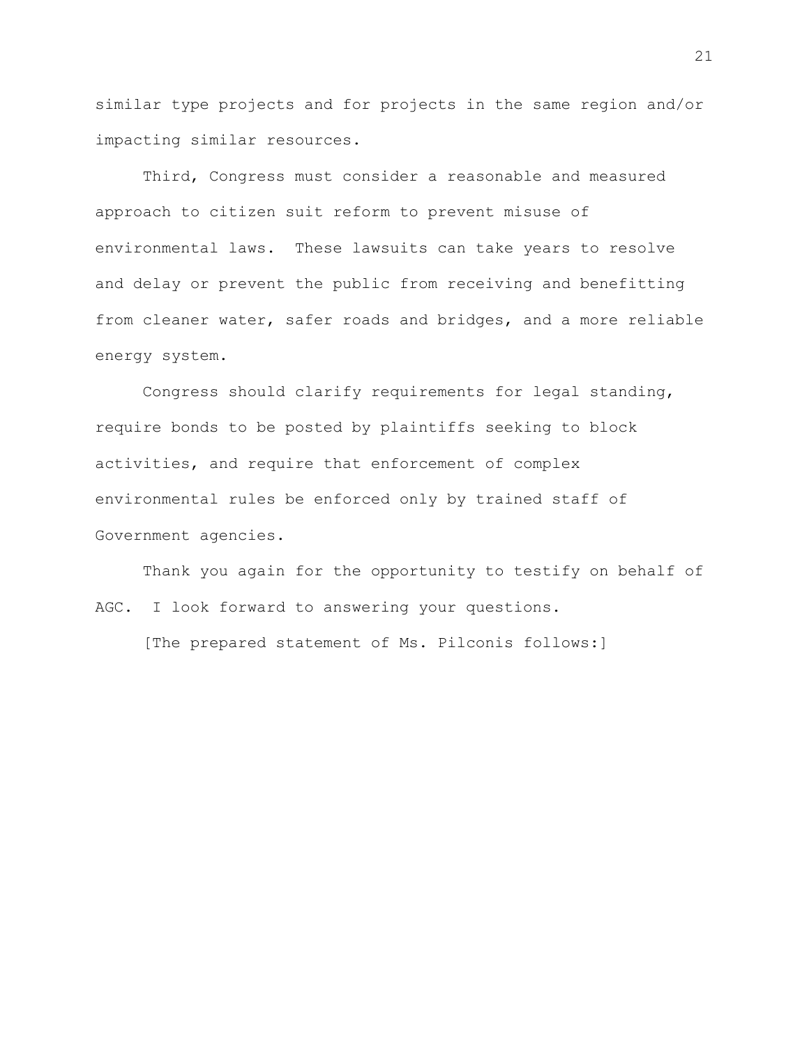similar type projects and for projects in the same region and/or impacting similar resources.

Third, Congress must consider a reasonable and measured approach to citizen suit reform to prevent misuse of environmental laws. These lawsuits can take years to resolve and delay or prevent the public from receiving and benefitting from cleaner water, safer roads and bridges, and a more reliable energy system.

Congress should clarify requirements for legal standing, require bonds to be posted by plaintiffs seeking to block activities, and require that enforcement of complex environmental rules be enforced only by trained staff of Government agencies.

Thank you again for the opportunity to testify on behalf of AGC. I look forward to answering your questions. [The prepared statement of Ms. Pilconis follows:]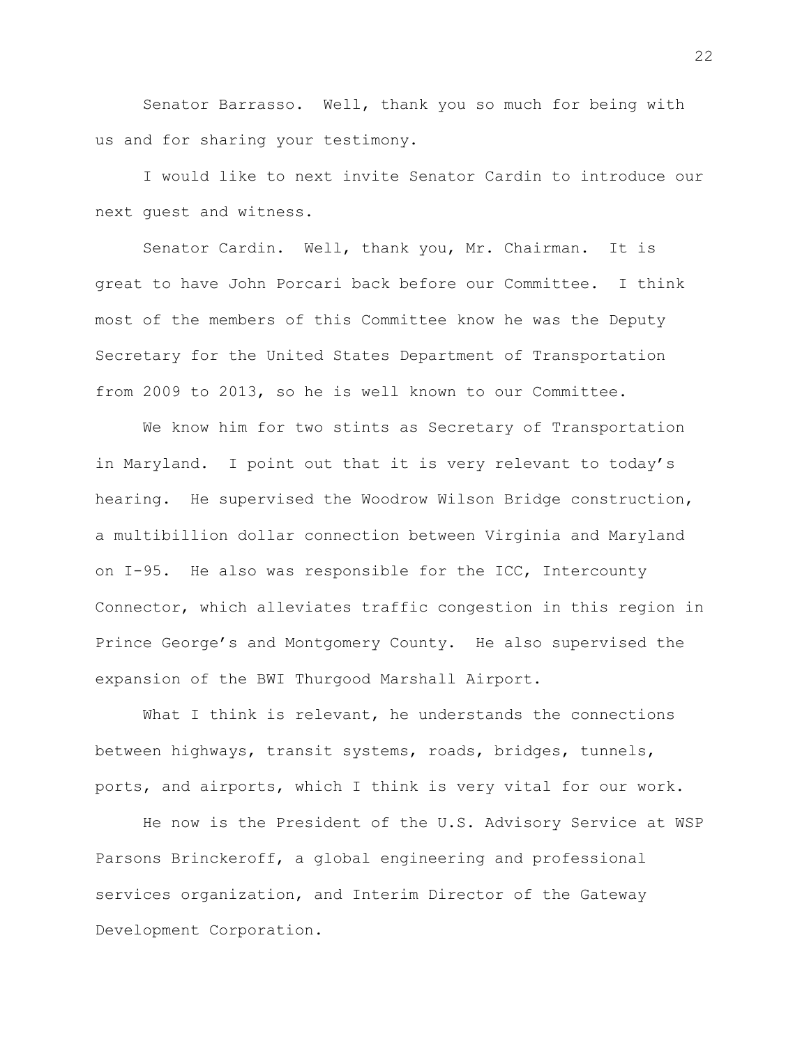Senator Barrasso. Well, thank you so much for being with us and for sharing your testimony.

I would like to next invite Senator Cardin to introduce our next guest and witness.

Senator Cardin. Well, thank you, Mr. Chairman. It is great to have John Porcari back before our Committee. I think most of the members of this Committee know he was the Deputy Secretary for the United States Department of Transportation from 2009 to 2013, so he is well known to our Committee.

We know him for two stints as Secretary of Transportation in Maryland. I point out that it is very relevant to today's hearing. He supervised the Woodrow Wilson Bridge construction, a multibillion dollar connection between Virginia and Maryland on I-95. He also was responsible for the ICC, Intercounty Connector, which alleviates traffic congestion in this region in Prince George's and Montgomery County. He also supervised the expansion of the BWI Thurgood Marshall Airport.

What I think is relevant, he understands the connections between highways, transit systems, roads, bridges, tunnels, ports, and airports, which I think is very vital for our work.

He now is the President of the U.S. Advisory Service at WSP Parsons Brinckeroff, a global engineering and professional services organization, and Interim Director of the Gateway Development Corporation.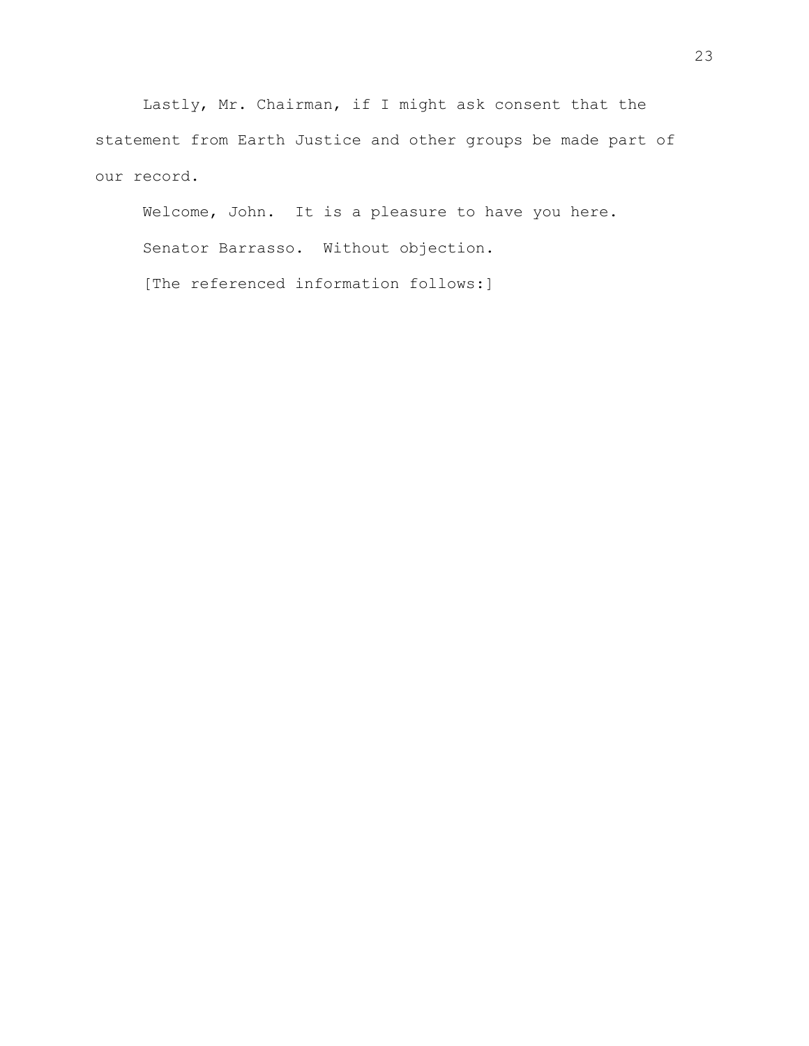Lastly, Mr. Chairman, if I might ask consent that the statement from Earth Justice and other groups be made part of our record.

Welcome, John. It is a pleasure to have you here. Senator Barrasso. Without objection. [The referenced information follows:]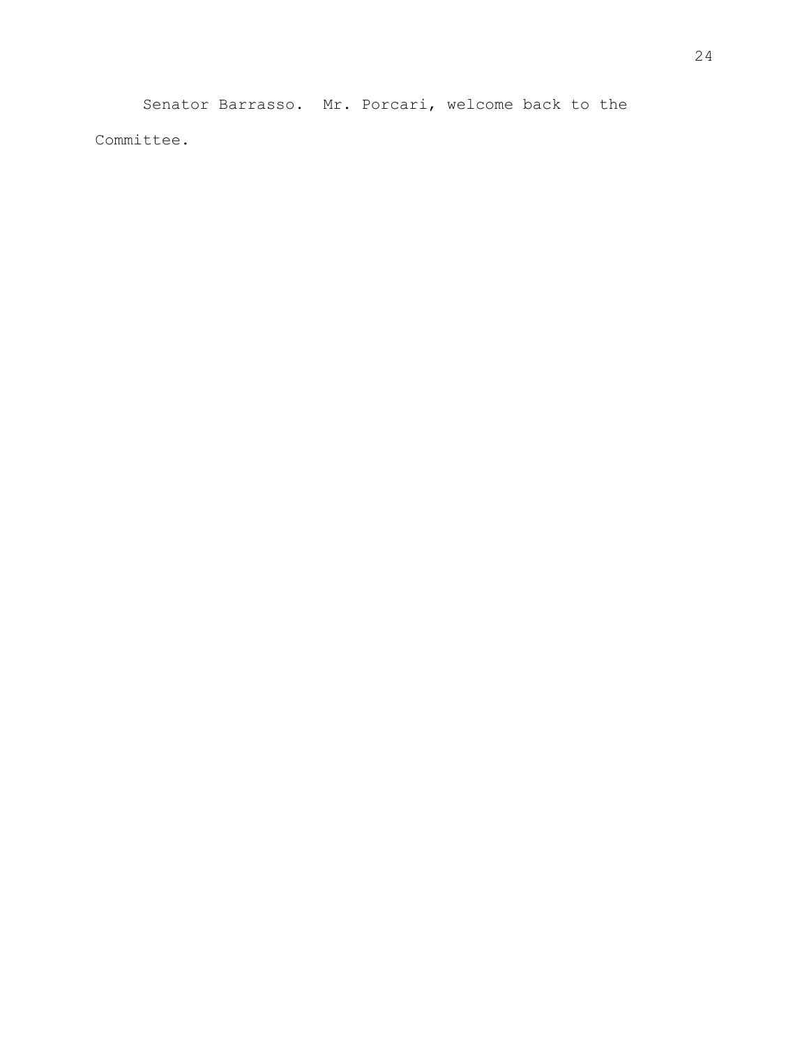Senator Barrasso. Mr. Porcari, welcome back to the Committee.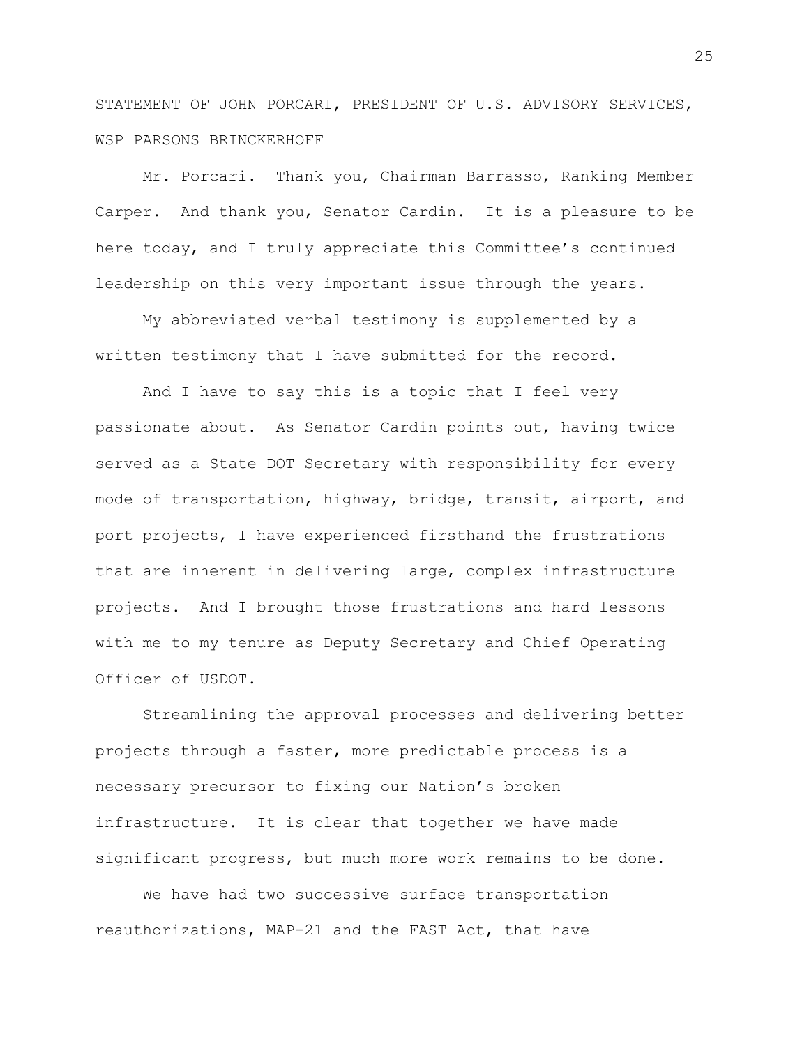STATEMENT OF JOHN PORCARI, PRESIDENT OF U.S. ADVISORY SERVICES, WSP PARSONS BRINCKERHOFF

Mr. Porcari. Thank you, Chairman Barrasso, Ranking Member Carper. And thank you, Senator Cardin. It is a pleasure to be here today, and I truly appreciate this Committee's continued leadership on this very important issue through the years.

My abbreviated verbal testimony is supplemented by a written testimony that I have submitted for the record.

And I have to say this is a topic that I feel very passionate about. As Senator Cardin points out, having twice served as a State DOT Secretary with responsibility for every mode of transportation, highway, bridge, transit, airport, and port projects, I have experienced firsthand the frustrations that are inherent in delivering large, complex infrastructure projects. And I brought those frustrations and hard lessons with me to my tenure as Deputy Secretary and Chief Operating Officer of USDOT.

Streamlining the approval processes and delivering better projects through a faster, more predictable process is a necessary precursor to fixing our Nation's broken infrastructure. It is clear that together we have made significant progress, but much more work remains to be done.

We have had two successive surface transportation reauthorizations, MAP-21 and the FAST Act, that have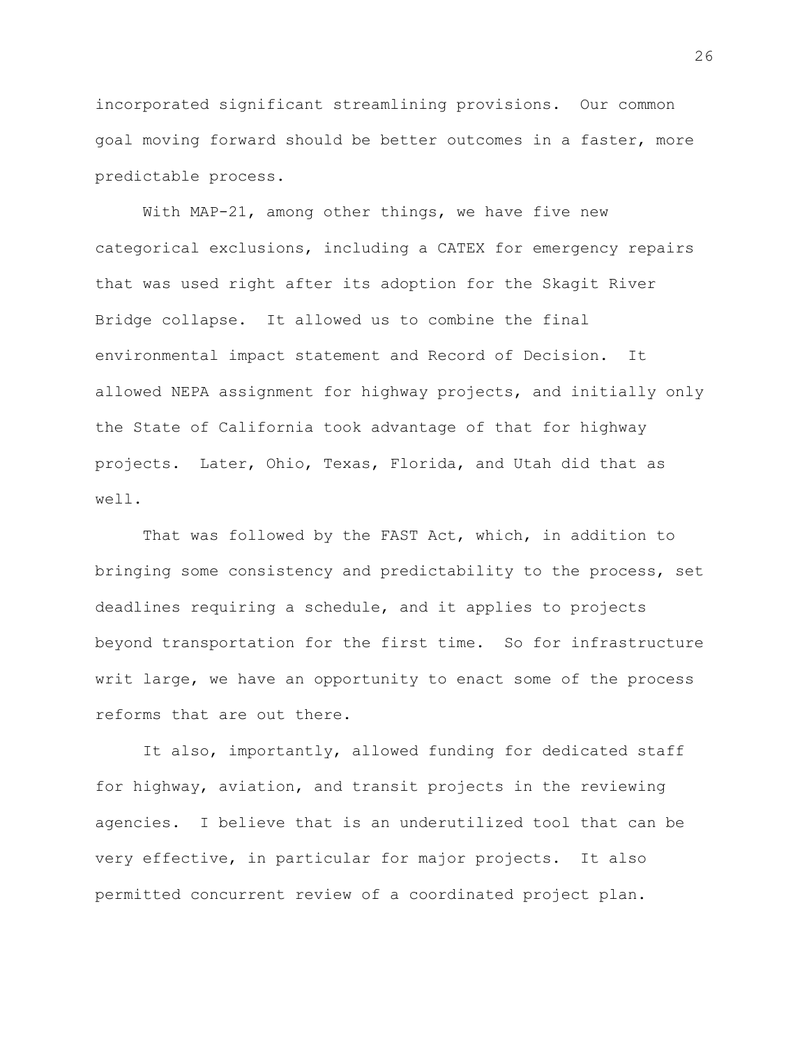incorporated significant streamlining provisions. Our common goal moving forward should be better outcomes in a faster, more predictable process.

With MAP-21, among other things, we have five new categorical exclusions, including a CATEX for emergency repairs that was used right after its adoption for the Skagit River Bridge collapse. It allowed us to combine the final environmental impact statement and Record of Decision. It allowed NEPA assignment for highway projects, and initially only the State of California took advantage of that for highway projects. Later, Ohio, Texas, Florida, and Utah did that as well.

That was followed by the FAST Act, which, in addition to bringing some consistency and predictability to the process, set deadlines requiring a schedule, and it applies to projects beyond transportation for the first time. So for infrastructure writ large, we have an opportunity to enact some of the process reforms that are out there.

It also, importantly, allowed funding for dedicated staff for highway, aviation, and transit projects in the reviewing agencies. I believe that is an underutilized tool that can be very effective, in particular for major projects. It also permitted concurrent review of a coordinated project plan.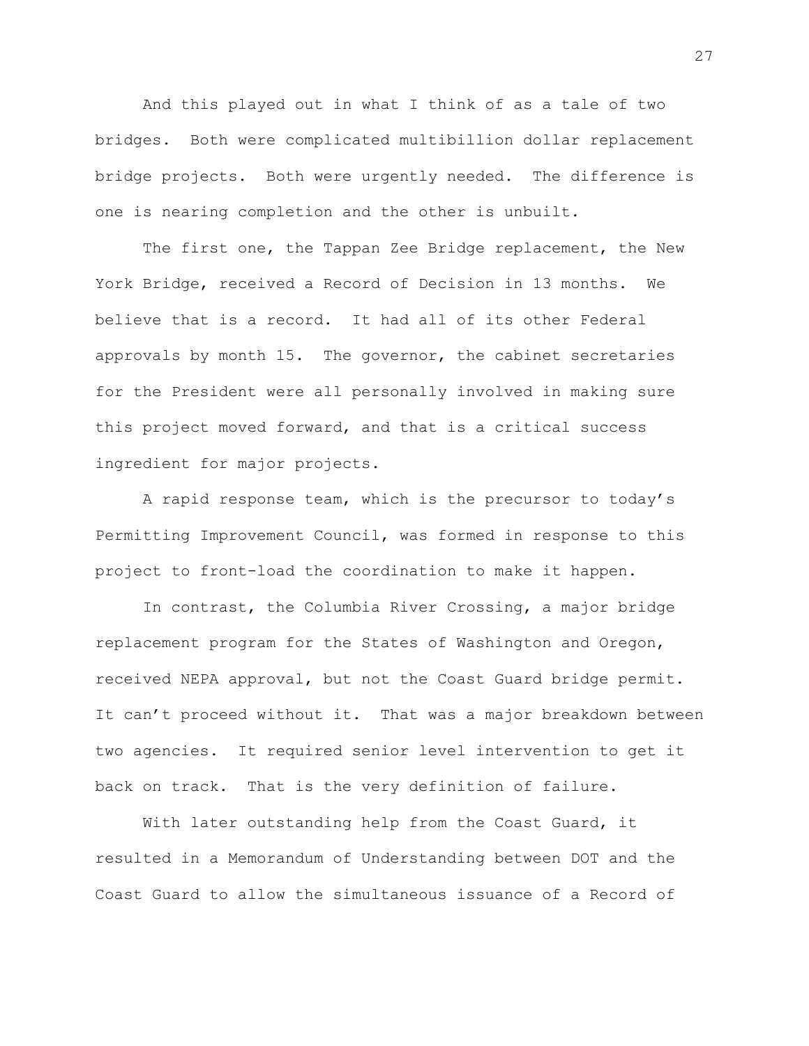And this played out in what I think of as a tale of two bridges. Both were complicated multibillion dollar replacement bridge projects. Both were urgently needed. The difference is one is nearing completion and the other is unbuilt.

The first one, the Tappan Zee Bridge replacement, the New York Bridge, received a Record of Decision in 13 months. We believe that is a record. It had all of its other Federal approvals by month 15. The governor, the cabinet secretaries for the President were all personally involved in making sure this project moved forward, and that is a critical success ingredient for major projects.

A rapid response team, which is the precursor to today's Permitting Improvement Council, was formed in response to this project to front-load the coordination to make it happen.

In contrast, the Columbia River Crossing, a major bridge replacement program for the States of Washington and Oregon, received NEPA approval, but not the Coast Guard bridge permit. It can't proceed without it. That was a major breakdown between two agencies. It required senior level intervention to get it back on track. That is the very definition of failure.

With later outstanding help from the Coast Guard, it resulted in a Memorandum of Understanding between DOT and the Coast Guard to allow the simultaneous issuance of a Record of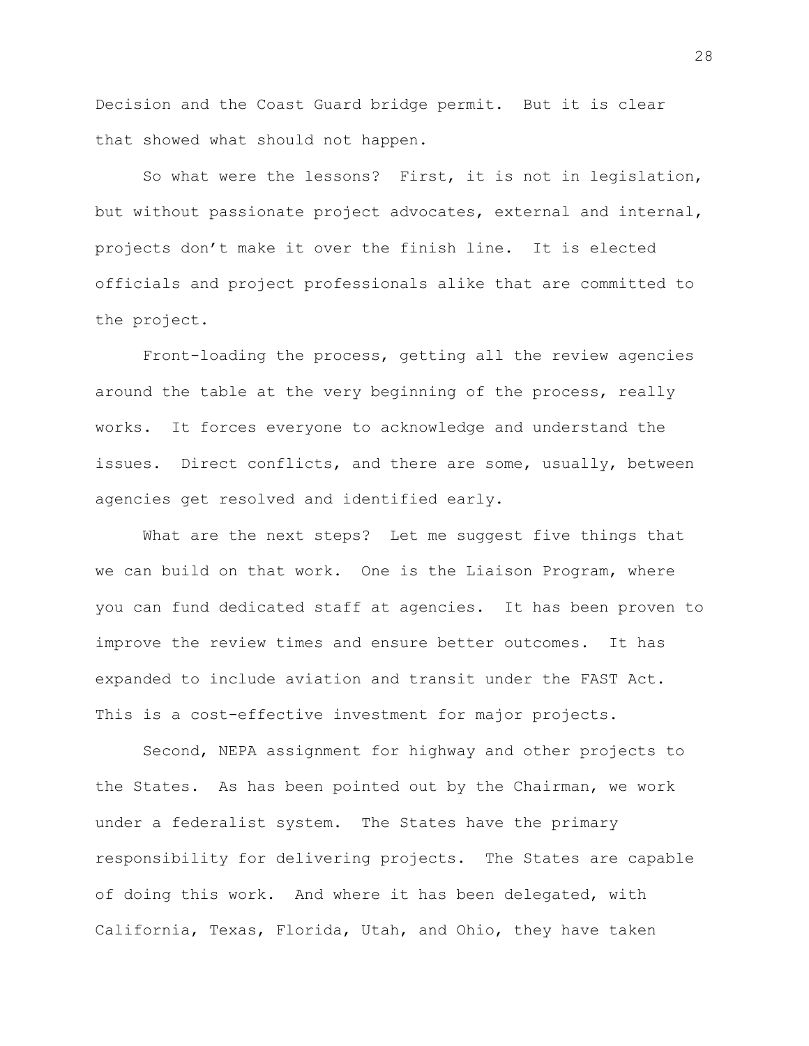Decision and the Coast Guard bridge permit. But it is clear that showed what should not happen.

So what were the lessons? First, it is not in legislation, but without passionate project advocates, external and internal, projects don't make it over the finish line. It is elected officials and project professionals alike that are committed to the project.

Front-loading the process, getting all the review agencies around the table at the very beginning of the process, really works. It forces everyone to acknowledge and understand the issues. Direct conflicts, and there are some, usually, between agencies get resolved and identified early.

What are the next steps? Let me suggest five things that we can build on that work. One is the Liaison Program, where you can fund dedicated staff at agencies. It has been proven to improve the review times and ensure better outcomes. It has expanded to include aviation and transit under the FAST Act. This is a cost-effective investment for major projects.

Second, NEPA assignment for highway and other projects to the States. As has been pointed out by the Chairman, we work under a federalist system. The States have the primary responsibility for delivering projects. The States are capable of doing this work. And where it has been delegated, with California, Texas, Florida, Utah, and Ohio, they have taken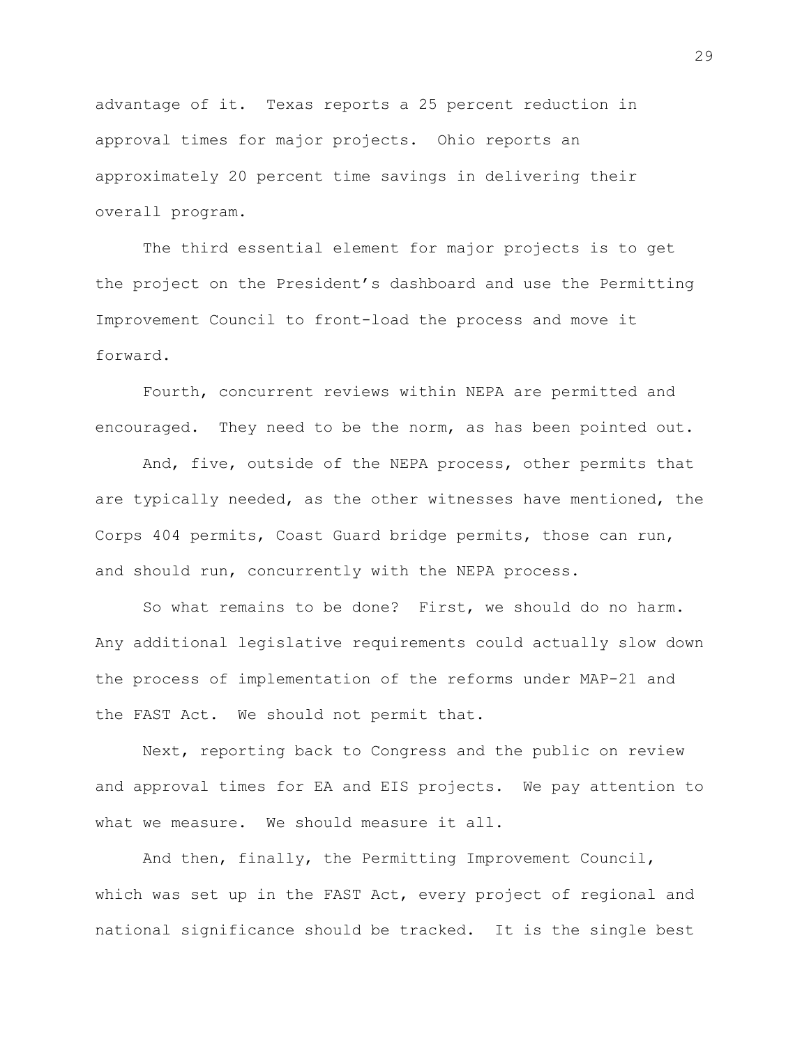advantage of it. Texas reports a 25 percent reduction in approval times for major projects. Ohio reports an approximately 20 percent time savings in delivering their overall program.

The third essential element for major projects is to get the project on the President's dashboard and use the Permitting Improvement Council to front-load the process and move it forward.

Fourth, concurrent reviews within NEPA are permitted and encouraged. They need to be the norm, as has been pointed out.

And, five, outside of the NEPA process, other permits that are typically needed, as the other witnesses have mentioned, the Corps 404 permits, Coast Guard bridge permits, those can run, and should run, concurrently with the NEPA process.

So what remains to be done? First, we should do no harm. Any additional legislative requirements could actually slow down the process of implementation of the reforms under MAP-21 and the FAST Act. We should not permit that.

Next, reporting back to Congress and the public on review and approval times for EA and EIS projects. We pay attention to what we measure. We should measure it all.

And then, finally, the Permitting Improvement Council, which was set up in the FAST Act, every project of regional and national significance should be tracked. It is the single best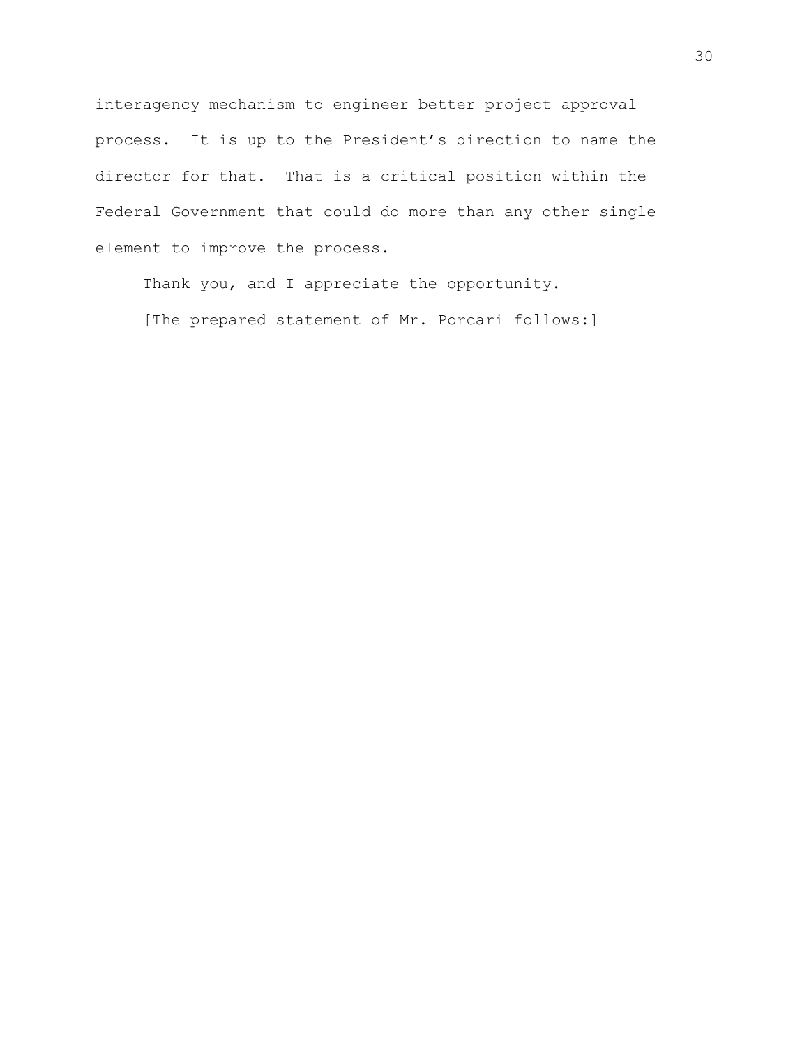interagency mechanism to engineer better project approval process. It is up to the President's direction to name the director for that. That is a critical position within the Federal Government that could do more than any other single element to improve the process.

Thank you, and I appreciate the opportunity.

[The prepared statement of Mr. Porcari follows:]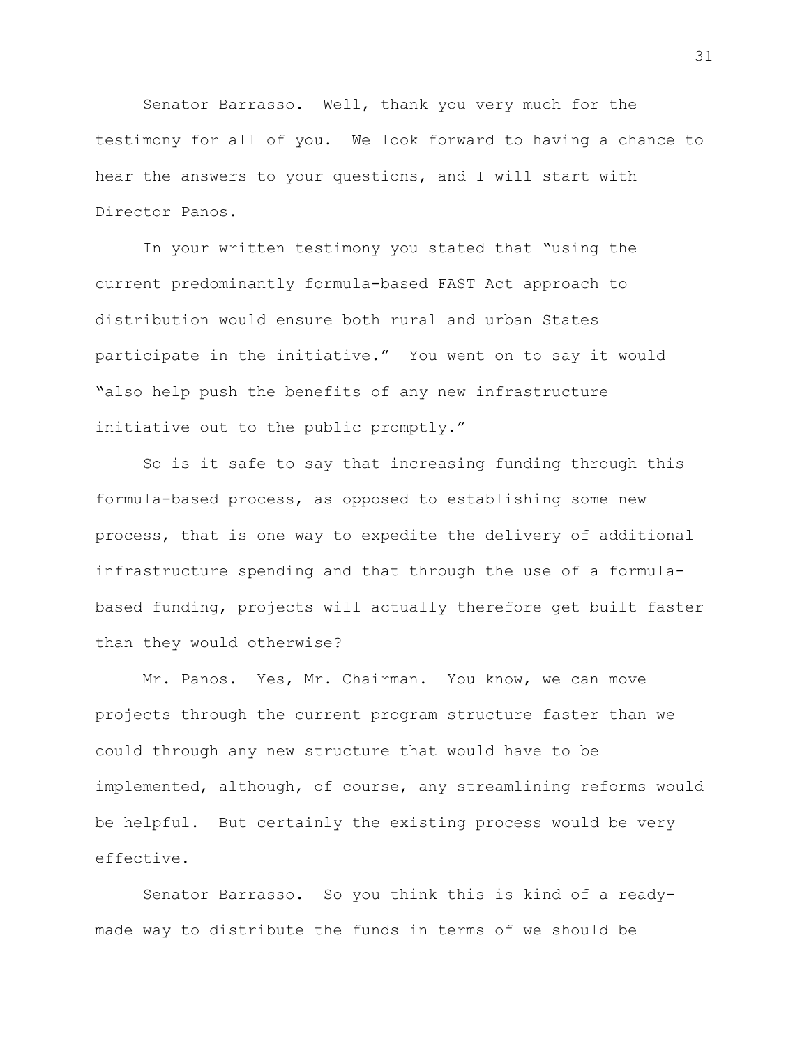Senator Barrasso. Well, thank you very much for the testimony for all of you. We look forward to having a chance to hear the answers to your questions, and I will start with Director Panos.

In your written testimony you stated that "using the current predominantly formula-based FAST Act approach to distribution would ensure both rural and urban States participate in the initiative." You went on to say it would "also help push the benefits of any new infrastructure initiative out to the public promptly."

So is it safe to say that increasing funding through this formula-based process, as opposed to establishing some new process, that is one way to expedite the delivery of additional infrastructure spending and that through the use of a formulabased funding, projects will actually therefore get built faster than they would otherwise?

Mr. Panos. Yes, Mr. Chairman. You know, we can move projects through the current program structure faster than we could through any new structure that would have to be implemented, although, of course, any streamlining reforms would be helpful. But certainly the existing process would be very effective.

Senator Barrasso. So you think this is kind of a readymade way to distribute the funds in terms of we should be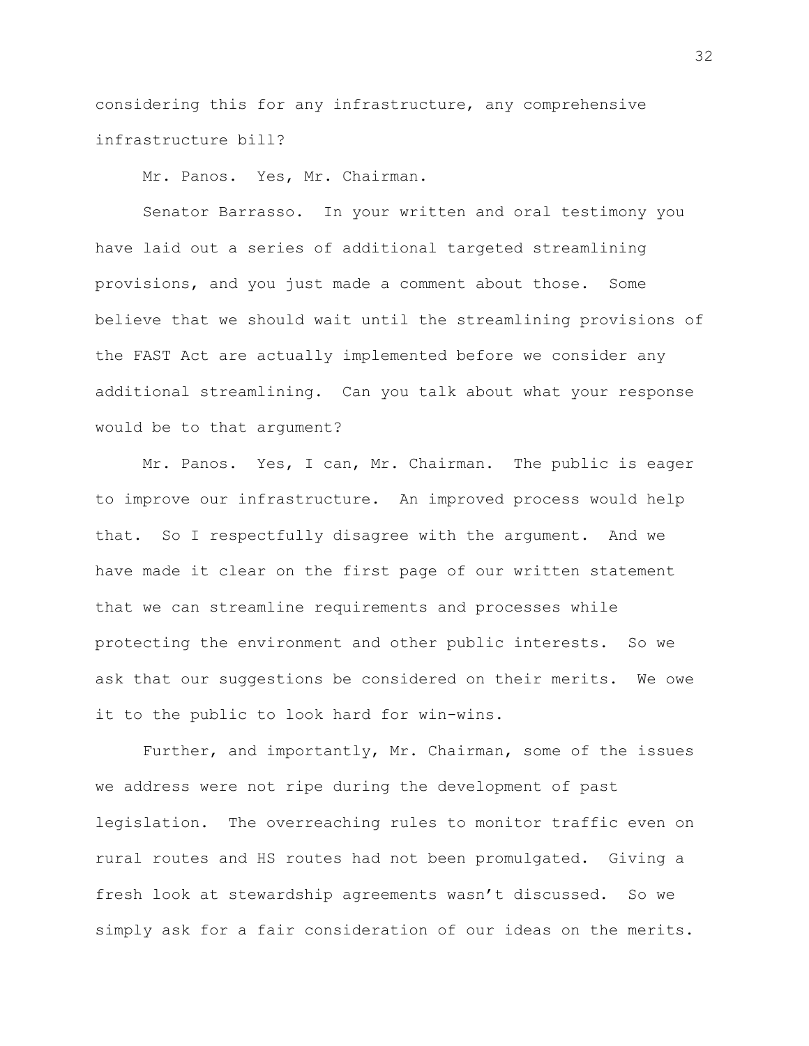considering this for any infrastructure, any comprehensive infrastructure bill?

Mr. Panos. Yes, Mr. Chairman.

Senator Barrasso. In your written and oral testimony you have laid out a series of additional targeted streamlining provisions, and you just made a comment about those. Some believe that we should wait until the streamlining provisions of the FAST Act are actually implemented before we consider any additional streamlining. Can you talk about what your response would be to that argument?

Mr. Panos. Yes, I can, Mr. Chairman. The public is eager to improve our infrastructure. An improved process would help that. So I respectfully disagree with the argument. And we have made it clear on the first page of our written statement that we can streamline requirements and processes while protecting the environment and other public interests. So we ask that our suggestions be considered on their merits. We owe it to the public to look hard for win-wins.

Further, and importantly, Mr. Chairman, some of the issues we address were not ripe during the development of past legislation. The overreaching rules to monitor traffic even on rural routes and HS routes had not been promulgated. Giving a fresh look at stewardship agreements wasn't discussed. So we simply ask for a fair consideration of our ideas on the merits.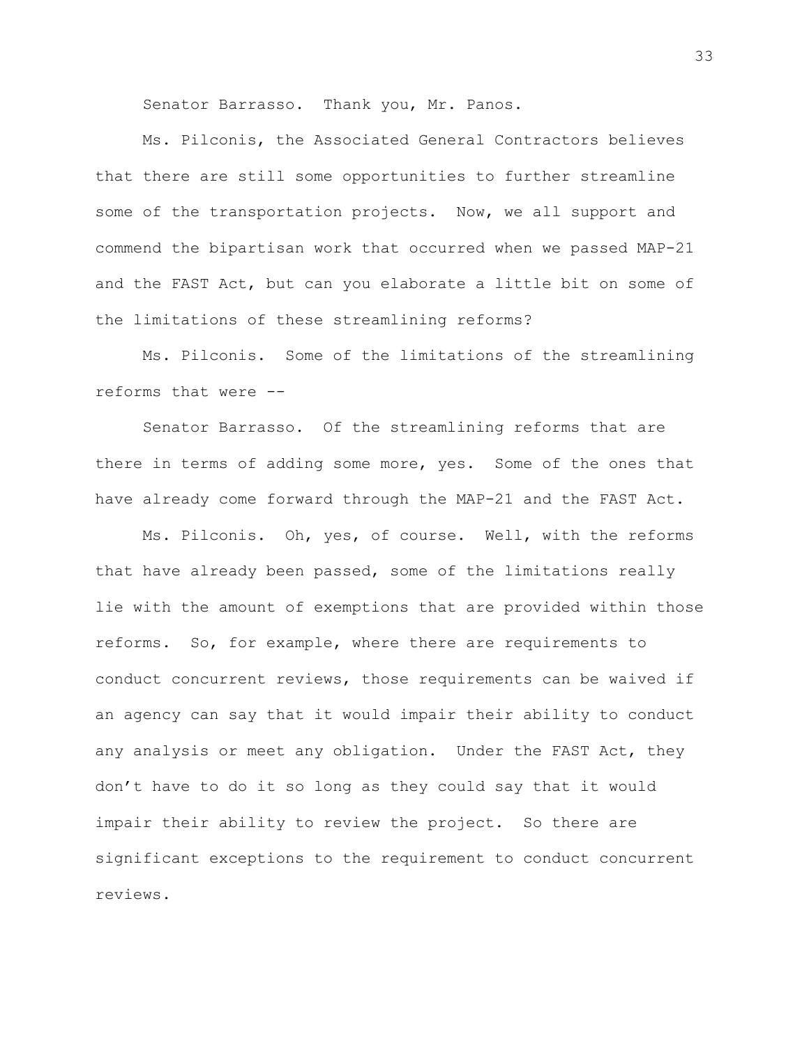Senator Barrasso. Thank you, Mr. Panos.

Ms. Pilconis, the Associated General Contractors believes that there are still some opportunities to further streamline some of the transportation projects. Now, we all support and commend the bipartisan work that occurred when we passed MAP-21 and the FAST Act, but can you elaborate a little bit on some of the limitations of these streamlining reforms?

Ms. Pilconis. Some of the limitations of the streamlining reforms that were --

Senator Barrasso. Of the streamlining reforms that are there in terms of adding some more, yes. Some of the ones that have already come forward through the MAP-21 and the FAST Act.

Ms. Pilconis. Oh, yes, of course. Well, with the reforms that have already been passed, some of the limitations really lie with the amount of exemptions that are provided within those reforms. So, for example, where there are requirements to conduct concurrent reviews, those requirements can be waived if an agency can say that it would impair their ability to conduct any analysis or meet any obligation. Under the FAST Act, they don't have to do it so long as they could say that it would impair their ability to review the project. So there are significant exceptions to the requirement to conduct concurrent reviews.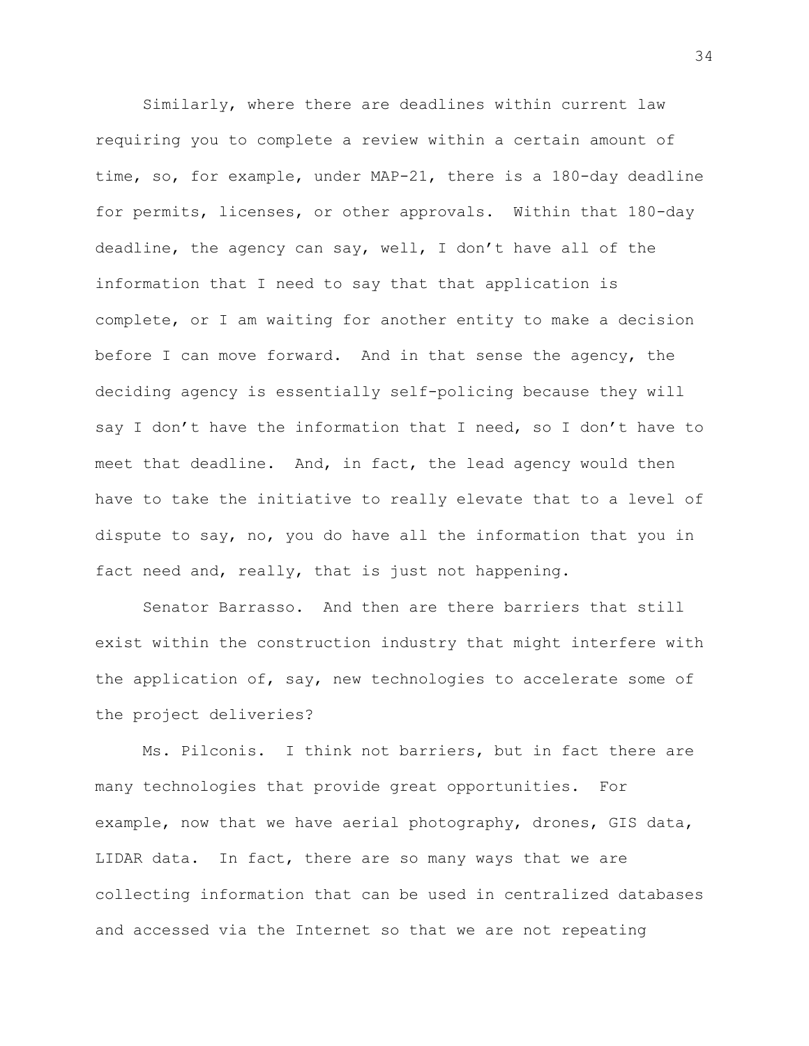Similarly, where there are deadlines within current law requiring you to complete a review within a certain amount of time, so, for example, under MAP-21, there is a 180-day deadline for permits, licenses, or other approvals. Within that 180-day deadline, the agency can say, well, I don't have all of the information that I need to say that that application is complete, or I am waiting for another entity to make a decision before I can move forward. And in that sense the agency, the deciding agency is essentially self-policing because they will say I don't have the information that I need, so I don't have to meet that deadline. And, in fact, the lead agency would then have to take the initiative to really elevate that to a level of dispute to say, no, you do have all the information that you in fact need and, really, that is just not happening.

Senator Barrasso. And then are there barriers that still exist within the construction industry that might interfere with the application of, say, new technologies to accelerate some of the project deliveries?

Ms. Pilconis. I think not barriers, but in fact there are many technologies that provide great opportunities. For example, now that we have aerial photography, drones, GIS data, LIDAR data. In fact, there are so many ways that we are collecting information that can be used in centralized databases and accessed via the Internet so that we are not repeating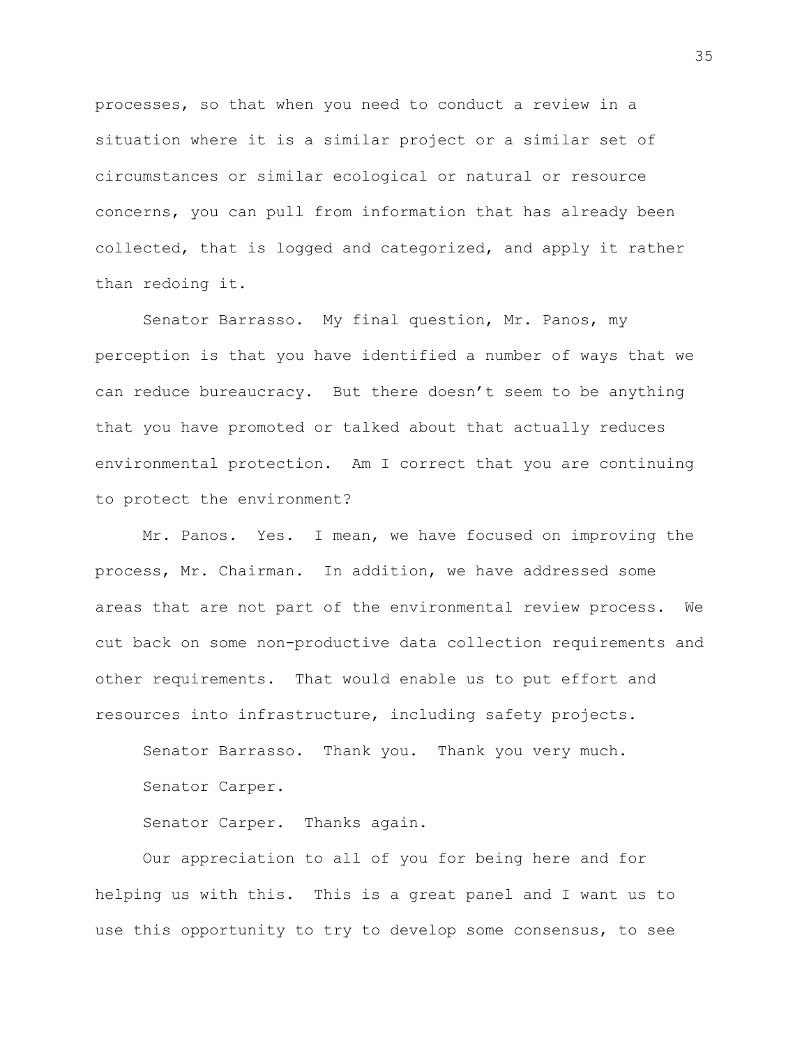processes, so that when you need to conduct a review in a situation where it is a similar project or a similar set of circumstances or similar ecological or natural or resource concerns, you can pull from information that has already been collected, that is logged and categorized, and apply it rather than redoing it.

Senator Barrasso. My final question, Mr. Panos, my perception is that you have identified a number of ways that we can reduce bureaucracy. But there doesn't seem to be anything that you have promoted or talked about that actually reduces environmental protection. Am I correct that you are continuing to protect the environment?

Mr. Panos. Yes. I mean, we have focused on improving the process, Mr. Chairman. In addition, we have addressed some areas that are not part of the environmental review process. We cut back on some non-productive data collection requirements and other requirements. That would enable us to put effort and resources into infrastructure, including safety projects.

Senator Barrasso. Thank you. Thank you very much.

Senator Carper.

Senator Carper. Thanks again.

Our appreciation to all of you for being here and for helping us with this. This is a great panel and I want us to use this opportunity to try to develop some consensus, to see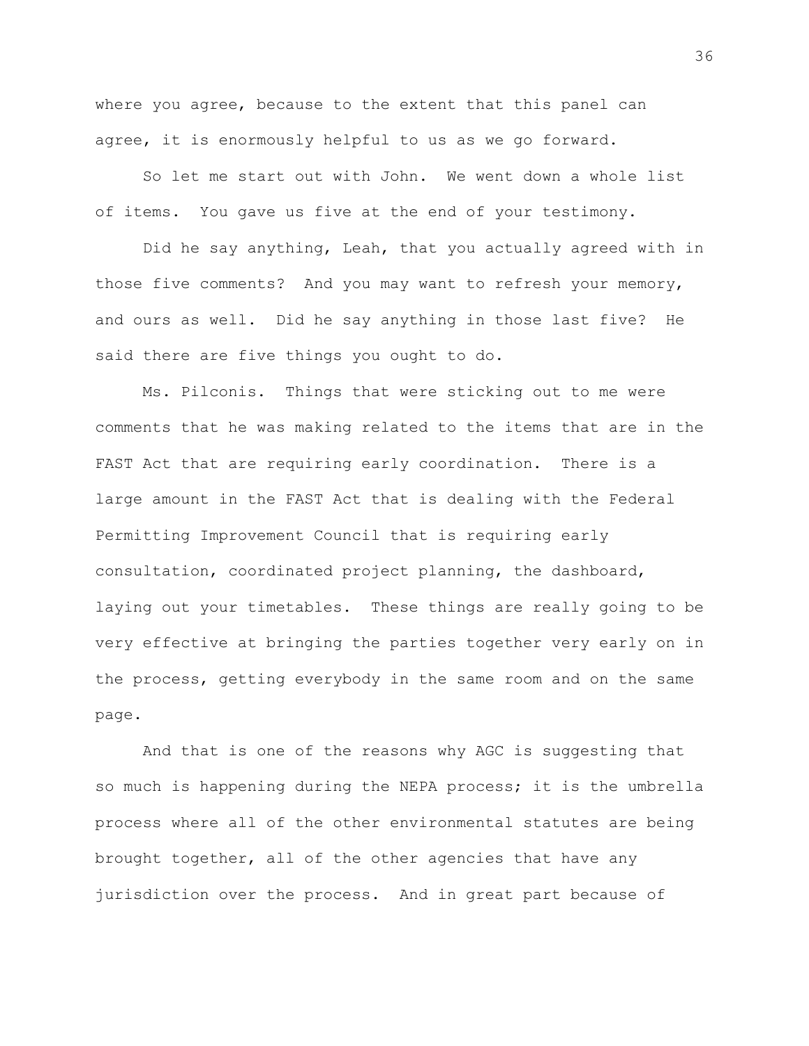where you agree, because to the extent that this panel can agree, it is enormously helpful to us as we go forward.

So let me start out with John. We went down a whole list of items. You gave us five at the end of your testimony.

Did he say anything, Leah, that you actually agreed with in those five comments? And you may want to refresh your memory, and ours as well. Did he say anything in those last five? He said there are five things you ought to do.

Ms. Pilconis. Things that were sticking out to me were comments that he was making related to the items that are in the FAST Act that are requiring early coordination. There is a large amount in the FAST Act that is dealing with the Federal Permitting Improvement Council that is requiring early consultation, coordinated project planning, the dashboard, laying out your timetables. These things are really going to be very effective at bringing the parties together very early on in the process, getting everybody in the same room and on the same page.

And that is one of the reasons why AGC is suggesting that so much is happening during the NEPA process; it is the umbrella process where all of the other environmental statutes are being brought together, all of the other agencies that have any jurisdiction over the process. And in great part because of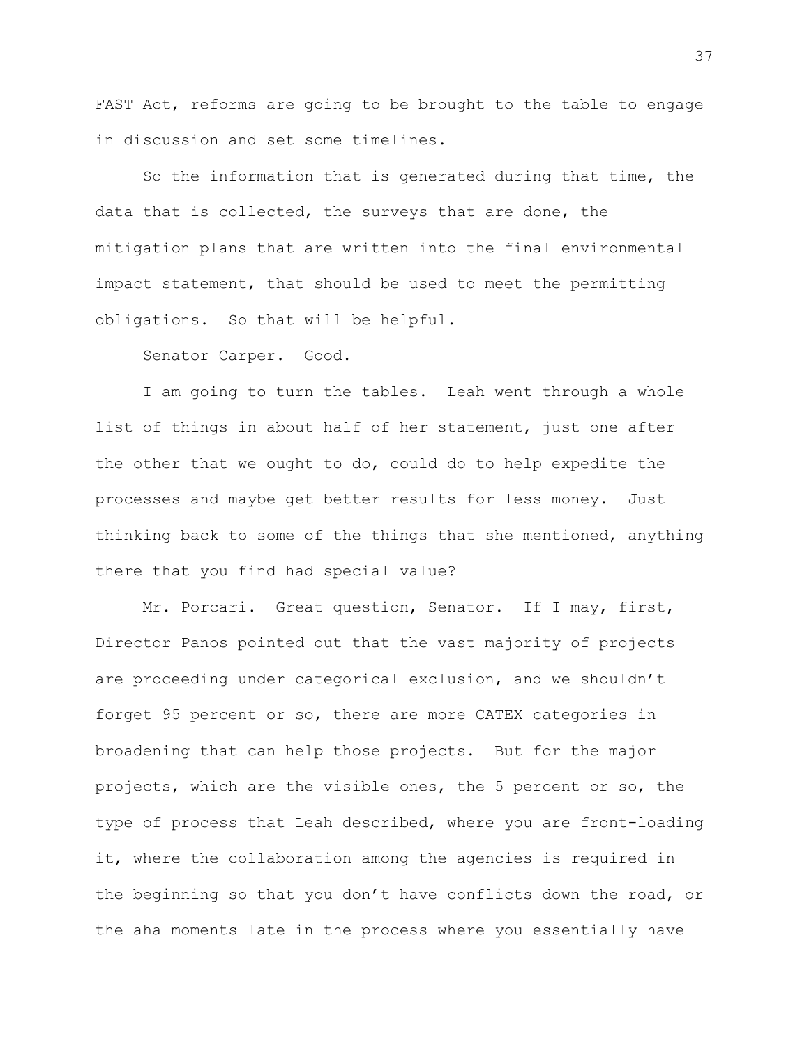FAST Act, reforms are going to be brought to the table to engage in discussion and set some timelines.

So the information that is generated during that time, the data that is collected, the surveys that are done, the mitigation plans that are written into the final environmental impact statement, that should be used to meet the permitting obligations. So that will be helpful.

Senator Carper. Good.

I am going to turn the tables. Leah went through a whole list of things in about half of her statement, just one after the other that we ought to do, could do to help expedite the processes and maybe get better results for less money. Just thinking back to some of the things that she mentioned, anything there that you find had special value?

Mr. Porcari. Great question, Senator. If I may, first, Director Panos pointed out that the vast majority of projects are proceeding under categorical exclusion, and we shouldn't forget 95 percent or so, there are more CATEX categories in broadening that can help those projects. But for the major projects, which are the visible ones, the 5 percent or so, the type of process that Leah described, where you are front-loading it, where the collaboration among the agencies is required in the beginning so that you don't have conflicts down the road, or the aha moments late in the process where you essentially have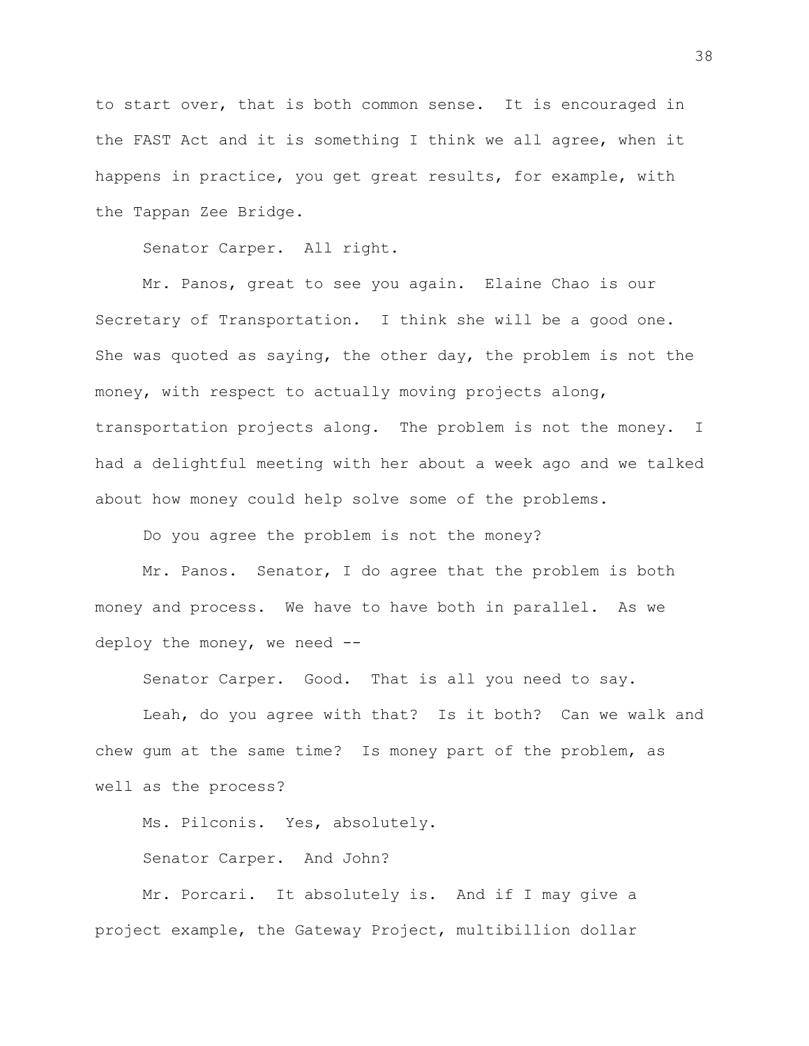to start over, that is both common sense. It is encouraged in the FAST Act and it is something I think we all agree, when it happens in practice, you get great results, for example, with the Tappan Zee Bridge.

Senator Carper. All right.

Mr. Panos, great to see you again. Elaine Chao is our Secretary of Transportation. I think she will be a good one. She was quoted as saying, the other day, the problem is not the money, with respect to actually moving projects along, transportation projects along. The problem is not the money. I had a delightful meeting with her about a week ago and we talked about how money could help solve some of the problems.

Do you agree the problem is not the money?

Mr. Panos. Senator, I do agree that the problem is both money and process. We have to have both in parallel. As we deploy the money, we need --

Senator Carper. Good. That is all you need to say.

Leah, do you agree with that? Is it both? Can we walk and chew gum at the same time? Is money part of the problem, as well as the process?

Ms. Pilconis. Yes, absolutely.

Senator Carper. And John?

Mr. Porcari. It absolutely is. And if I may give a project example, the Gateway Project, multibillion dollar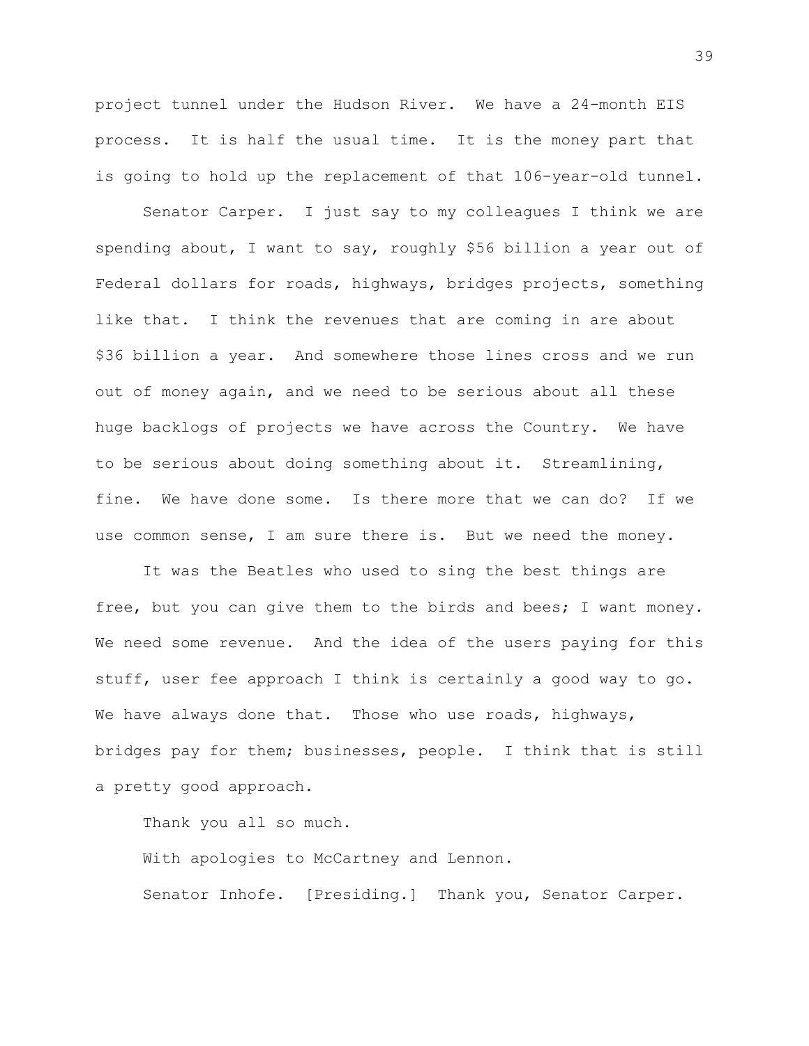project tunnel under the Hudson River. We have a 24-month EIS process. It is half the usual time. It is the money part that is going to hold up the replacement of that 106-year-old tunnel.

Senator Carper. I just say to my colleagues I think we are spending about, I want to say, roughly \$56 billion a year out of Federal dollars for roads, highways, bridges projects, something like that. I think the revenues that are coming in are about \$36 billion a year. And somewhere those lines cross and we run out of money again, and we need to be serious about all these huge backlogs of projects we have across the Country. We have to be serious about doing something about it. Streamlining, fine. We have done some. Is there more that we can do? If we use common sense, I am sure there is. But we need the money.

It was the Beatles who used to sing the best things are free, but you can give them to the birds and bees; I want money. We need some revenue. And the idea of the users paying for this stuff, user fee approach I think is certainly a good way to go. We have always done that. Those who use roads, highways, bridges pay for them; businesses, people. I think that is still a pretty good approach.

Thank you all so much.

With apologies to McCartney and Lennon. Senator Inhofe. [Presiding.] Thank you, Senator Carper.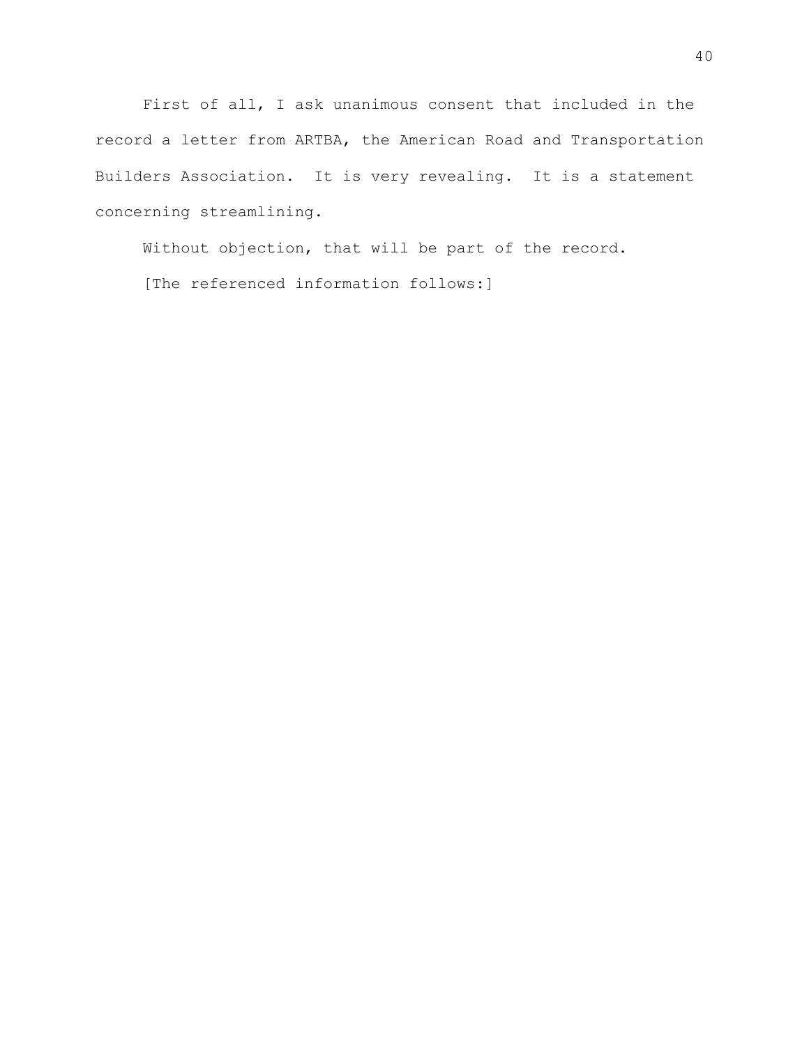First of all, I ask unanimous consent that included in the record a letter from ARTBA, the American Road and Transportation Builders Association. It is very revealing. It is a statement concerning streamlining.

Without objection, that will be part of the record. [The referenced information follows:]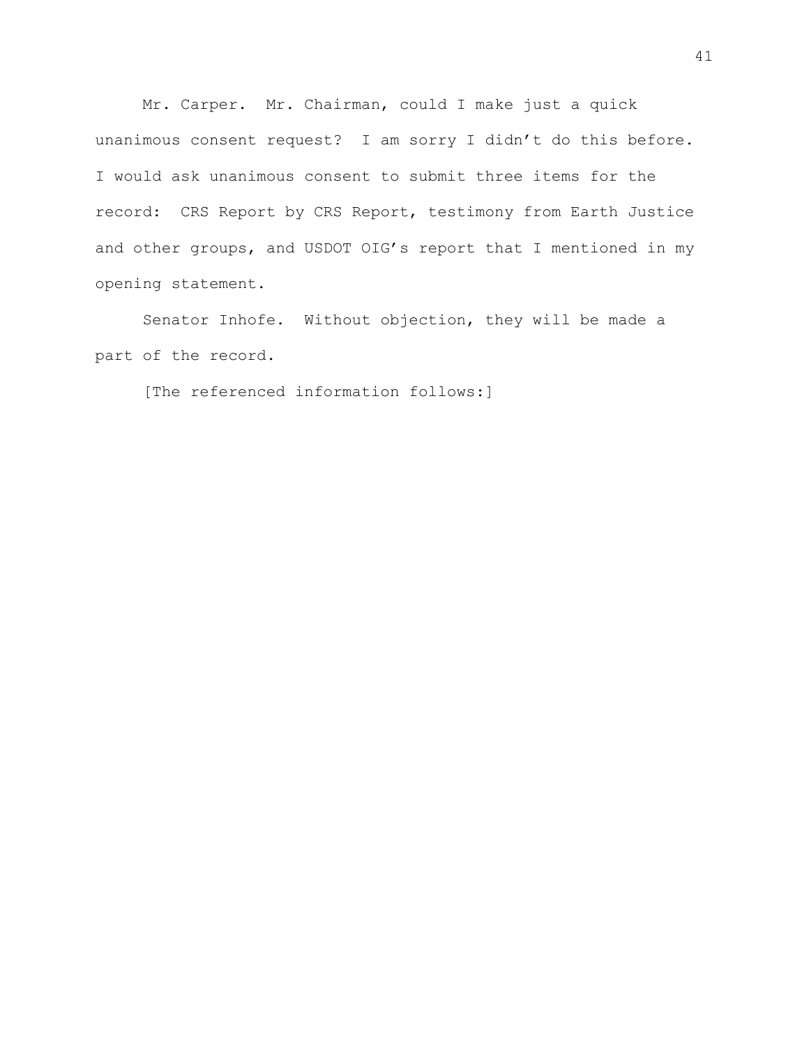Mr. Carper. Mr. Chairman, could I make just a quick unanimous consent request? I am sorry I didn't do this before. I would ask unanimous consent to submit three items for the record: CRS Report by CRS Report, testimony from Earth Justice and other groups, and USDOT OIG's report that I mentioned in my opening statement.

Senator Inhofe. Without objection, they will be made a part of the record.

[The referenced information follows:]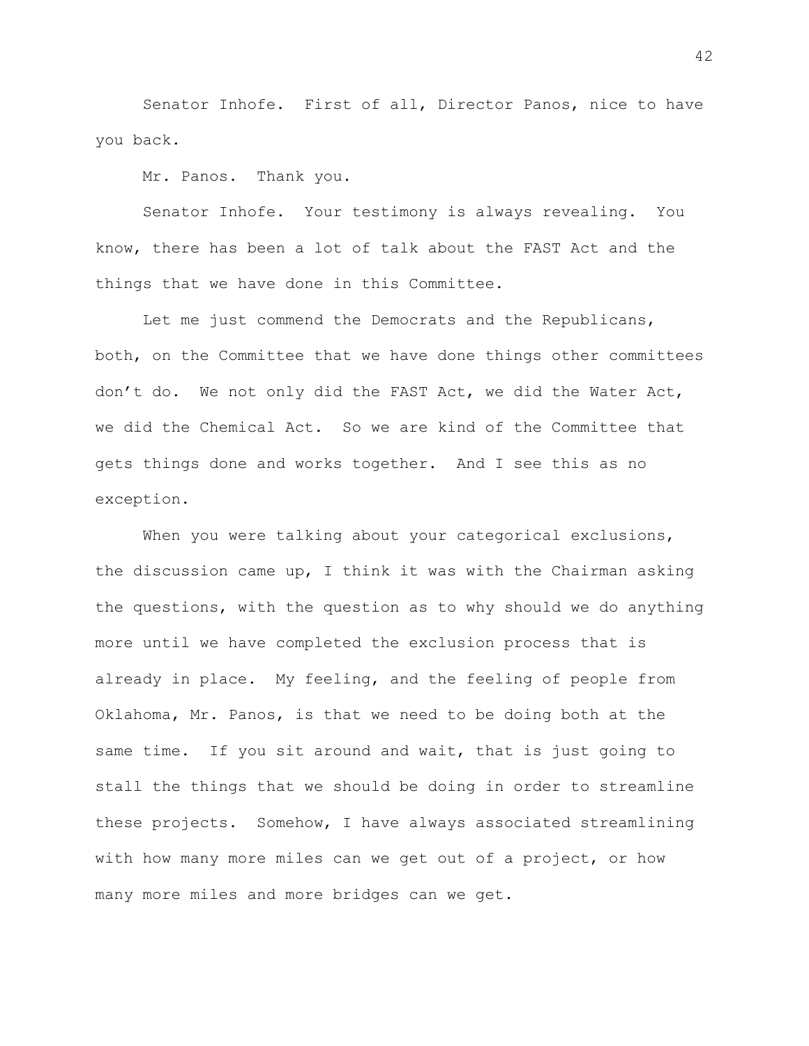Senator Inhofe. First of all, Director Panos, nice to have you back.

Mr. Panos. Thank you.

Senator Inhofe. Your testimony is always revealing. You know, there has been a lot of talk about the FAST Act and the things that we have done in this Committee.

Let me just commend the Democrats and the Republicans, both, on the Committee that we have done things other committees don't do. We not only did the FAST Act, we did the Water Act, we did the Chemical Act. So we are kind of the Committee that gets things done and works together. And I see this as no exception.

When you were talking about your categorical exclusions, the discussion came up, I think it was with the Chairman asking the questions, with the question as to why should we do anything more until we have completed the exclusion process that is already in place. My feeling, and the feeling of people from Oklahoma, Mr. Panos, is that we need to be doing both at the same time. If you sit around and wait, that is just going to stall the things that we should be doing in order to streamline these projects. Somehow, I have always associated streamlining with how many more miles can we get out of a project, or how many more miles and more bridges can we get.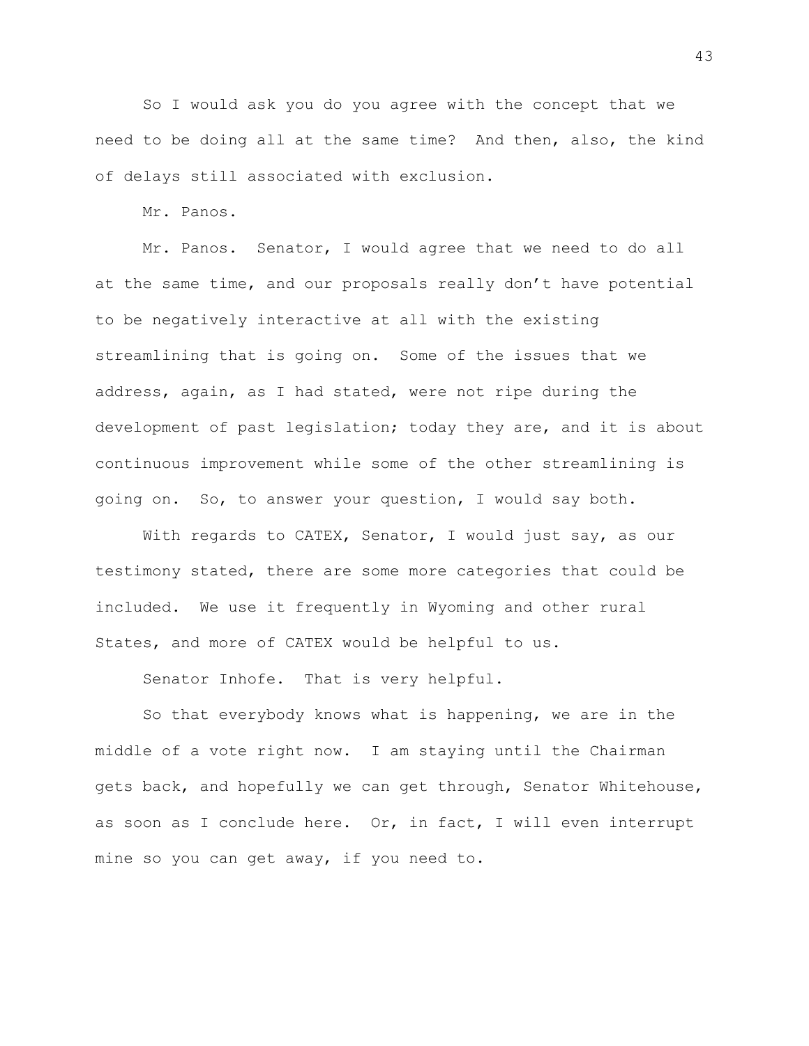So I would ask you do you agree with the concept that we need to be doing all at the same time? And then, also, the kind of delays still associated with exclusion.

Mr. Panos.

Mr. Panos. Senator, I would agree that we need to do all at the same time, and our proposals really don't have potential to be negatively interactive at all with the existing streamlining that is going on. Some of the issues that we address, again, as I had stated, were not ripe during the development of past legislation; today they are, and it is about continuous improvement while some of the other streamlining is going on. So, to answer your question, I would say both.

With regards to CATEX, Senator, I would just say, as our testimony stated, there are some more categories that could be included. We use it frequently in Wyoming and other rural States, and more of CATEX would be helpful to us.

Senator Inhofe. That is very helpful.

So that everybody knows what is happening, we are in the middle of a vote right now. I am staying until the Chairman gets back, and hopefully we can get through, Senator Whitehouse, as soon as I conclude here. Or, in fact, I will even interrupt mine so you can get away, if you need to.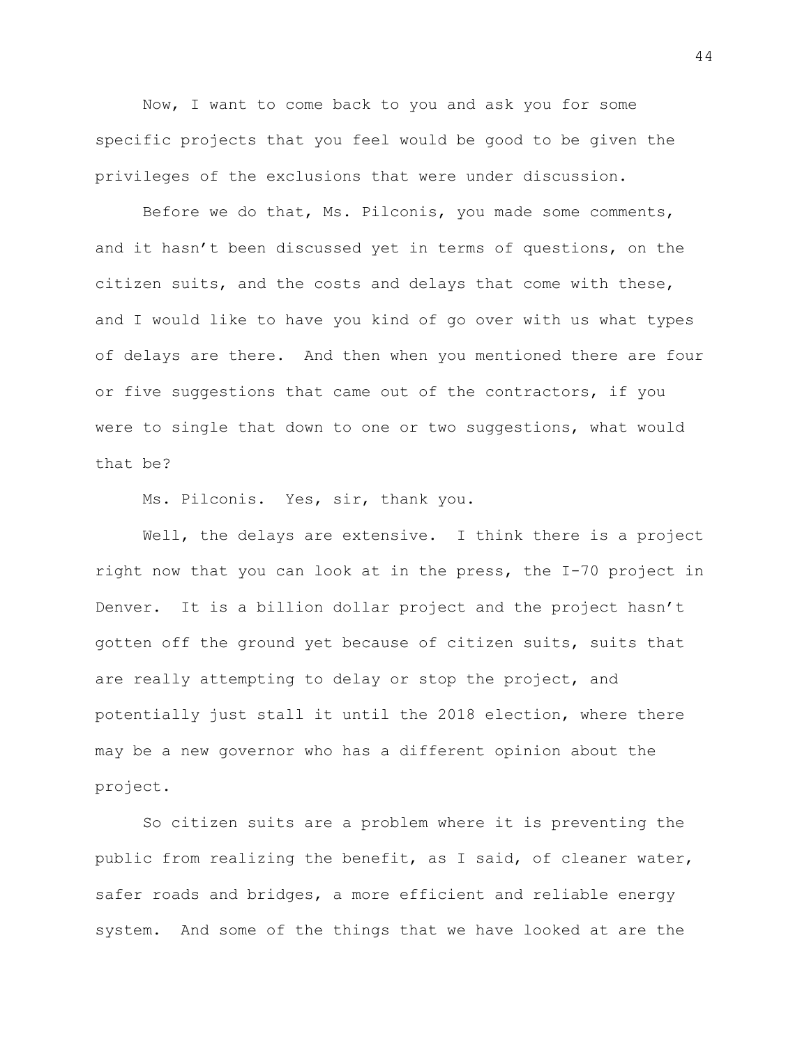Now, I want to come back to you and ask you for some specific projects that you feel would be good to be given the privileges of the exclusions that were under discussion.

Before we do that, Ms. Pilconis, you made some comments, and it hasn't been discussed yet in terms of questions, on the citizen suits, and the costs and delays that come with these, and I would like to have you kind of go over with us what types of delays are there. And then when you mentioned there are four or five suggestions that came out of the contractors, if you were to single that down to one or two suggestions, what would that be?

Ms. Pilconis. Yes, sir, thank you.

Well, the delays are extensive. I think there is a project right now that you can look at in the press, the I-70 project in Denver. It is a billion dollar project and the project hasn't gotten off the ground yet because of citizen suits, suits that are really attempting to delay or stop the project, and potentially just stall it until the 2018 election, where there may be a new governor who has a different opinion about the project.

So citizen suits are a problem where it is preventing the public from realizing the benefit, as I said, of cleaner water, safer roads and bridges, a more efficient and reliable energy system. And some of the things that we have looked at are the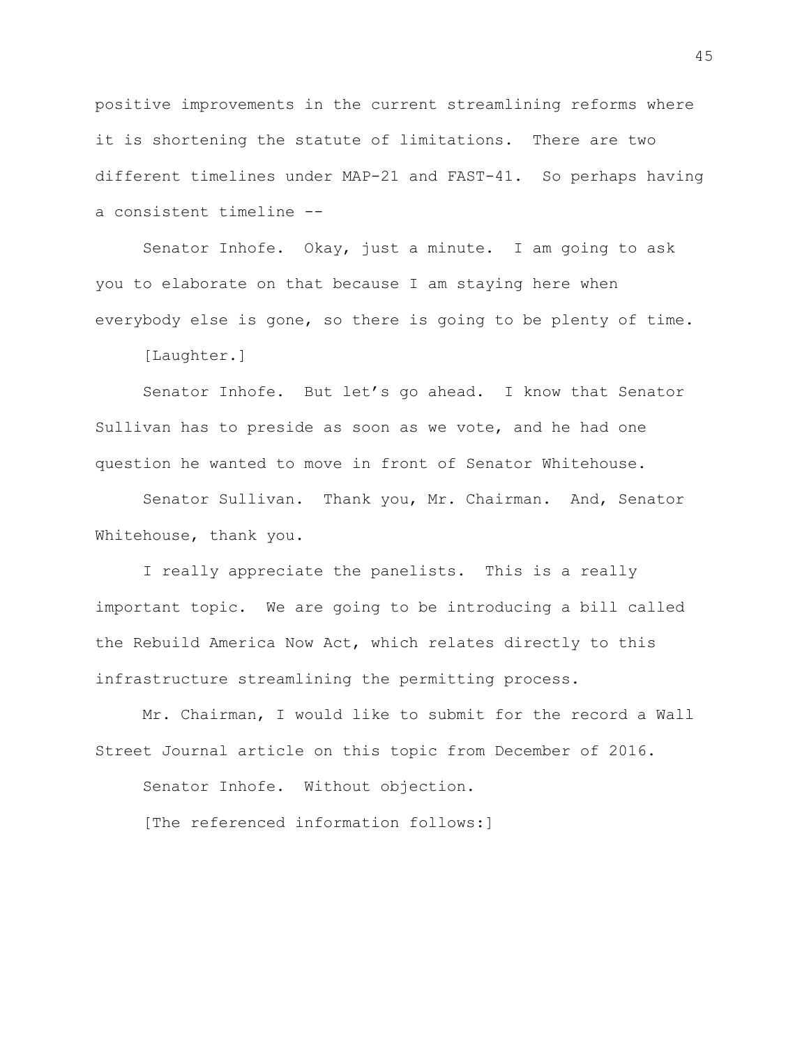positive improvements in the current streamlining reforms where it is shortening the statute of limitations. There are two different timelines under MAP-21 and FAST-41. So perhaps having a consistent timeline --

Senator Inhofe. Okay, just a minute. I am going to ask you to elaborate on that because I am staying here when everybody else is gone, so there is going to be plenty of time.

[Laughter.]

Senator Inhofe. But let's go ahead. I know that Senator Sullivan has to preside as soon as we vote, and he had one question he wanted to move in front of Senator Whitehouse.

Senator Sullivan. Thank you, Mr. Chairman. And, Senator Whitehouse, thank you.

I really appreciate the panelists. This is a really important topic. We are going to be introducing a bill called the Rebuild America Now Act, which relates directly to this infrastructure streamlining the permitting process.

Mr. Chairman, I would like to submit for the record a Wall Street Journal article on this topic from December of 2016.

Senator Inhofe. Without objection.

[The referenced information follows:]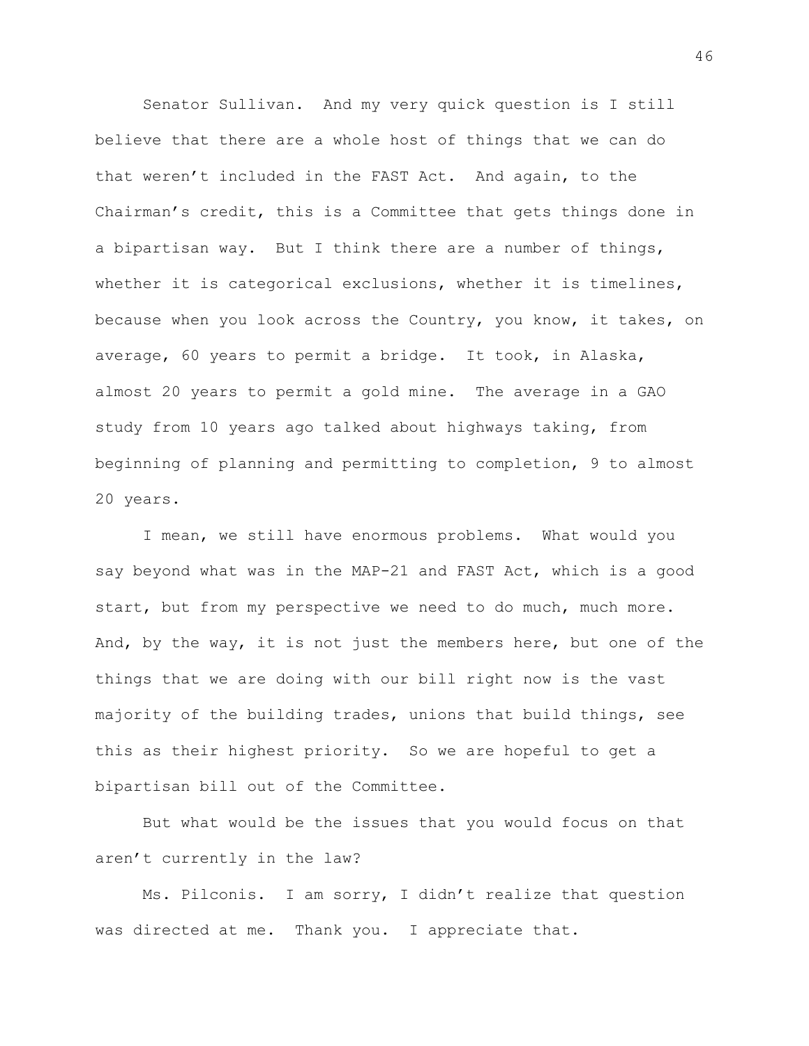Senator Sullivan. And my very quick question is I still believe that there are a whole host of things that we can do that weren't included in the FAST Act. And again, to the Chairman's credit, this is a Committee that gets things done in a bipartisan way. But I think there are a number of things, whether it is categorical exclusions, whether it is timelines, because when you look across the Country, you know, it takes, on average, 60 years to permit a bridge. It took, in Alaska, almost 20 years to permit a gold mine. The average in a GAO study from 10 years ago talked about highways taking, from beginning of planning and permitting to completion, 9 to almost 20 years.

I mean, we still have enormous problems. What would you say beyond what was in the MAP-21 and FAST Act, which is a good start, but from my perspective we need to do much, much more. And, by the way, it is not just the members here, but one of the things that we are doing with our bill right now is the vast majority of the building trades, unions that build things, see this as their highest priority. So we are hopeful to get a bipartisan bill out of the Committee.

But what would be the issues that you would focus on that aren't currently in the law?

Ms. Pilconis. I am sorry, I didn't realize that question was directed at me. Thank you. I appreciate that.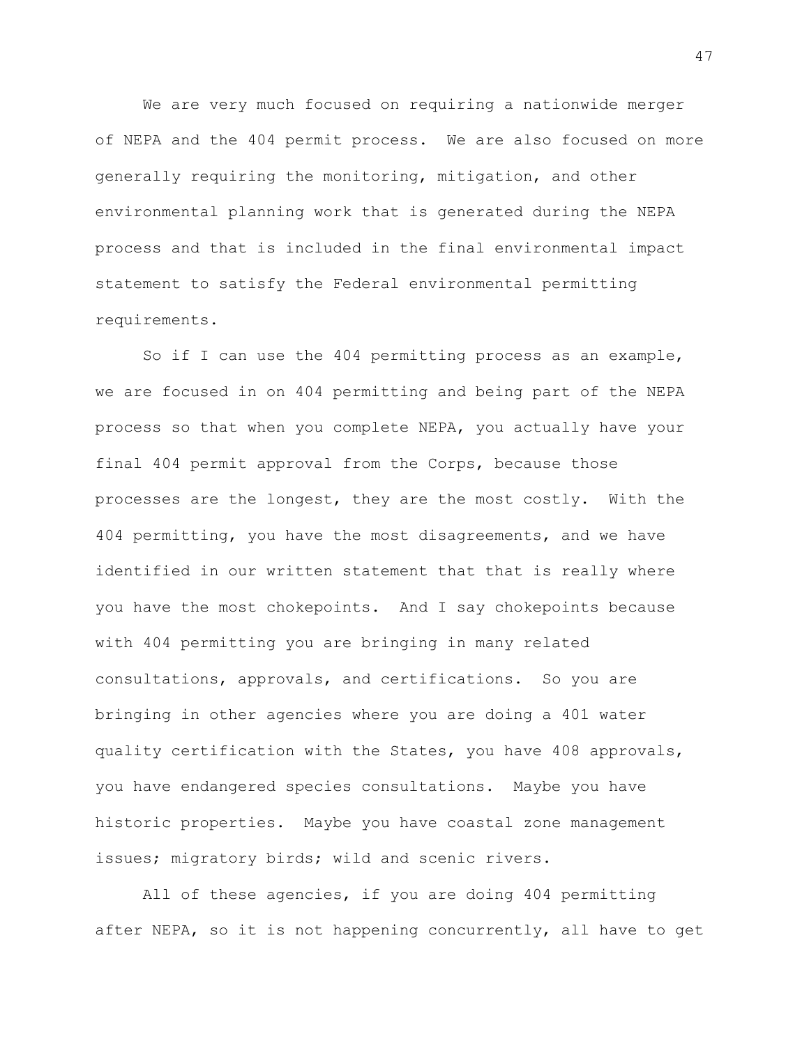We are very much focused on requiring a nationwide merger of NEPA and the 404 permit process. We are also focused on more generally requiring the monitoring, mitigation, and other environmental planning work that is generated during the NEPA process and that is included in the final environmental impact statement to satisfy the Federal environmental permitting requirements.

So if I can use the 404 permitting process as an example, we are focused in on 404 permitting and being part of the NEPA process so that when you complete NEPA, you actually have your final 404 permit approval from the Corps, because those processes are the longest, they are the most costly. With the 404 permitting, you have the most disagreements, and we have identified in our written statement that that is really where you have the most chokepoints. And I say chokepoints because with 404 permitting you are bringing in many related consultations, approvals, and certifications. So you are bringing in other agencies where you are doing a 401 water quality certification with the States, you have 408 approvals, you have endangered species consultations. Maybe you have historic properties. Maybe you have coastal zone management issues; migratory birds; wild and scenic rivers.

All of these agencies, if you are doing 404 permitting after NEPA, so it is not happening concurrently, all have to get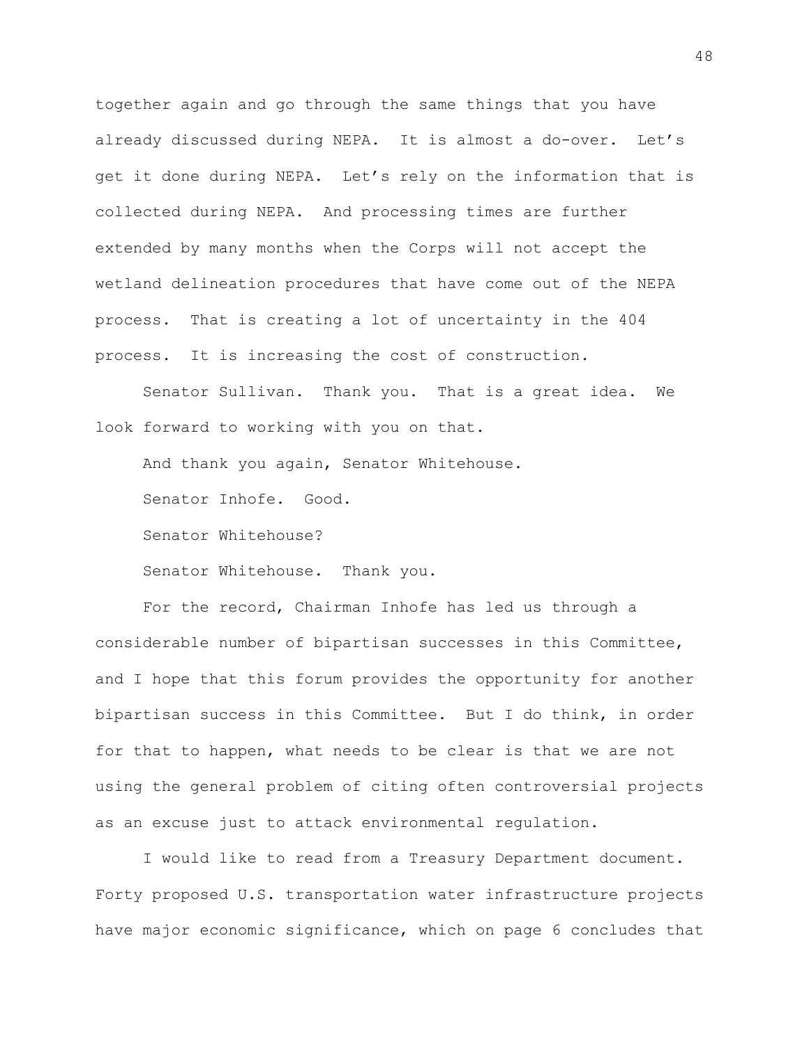together again and go through the same things that you have already discussed during NEPA. It is almost a do-over. Let's get it done during NEPA. Let's rely on the information that is collected during NEPA. And processing times are further extended by many months when the Corps will not accept the wetland delineation procedures that have come out of the NEPA process. That is creating a lot of uncertainty in the 404 process. It is increasing the cost of construction.

Senator Sullivan. Thank you. That is a great idea. We look forward to working with you on that.

And thank you again, Senator Whitehouse.

Senator Inhofe. Good.

Senator Whitehouse?

Senator Whitehouse. Thank you.

For the record, Chairman Inhofe has led us through a considerable number of bipartisan successes in this Committee, and I hope that this forum provides the opportunity for another bipartisan success in this Committee. But I do think, in order for that to happen, what needs to be clear is that we are not using the general problem of citing often controversial projects as an excuse just to attack environmental regulation.

I would like to read from a Treasury Department document. Forty proposed U.S. transportation water infrastructure projects have major economic significance, which on page 6 concludes that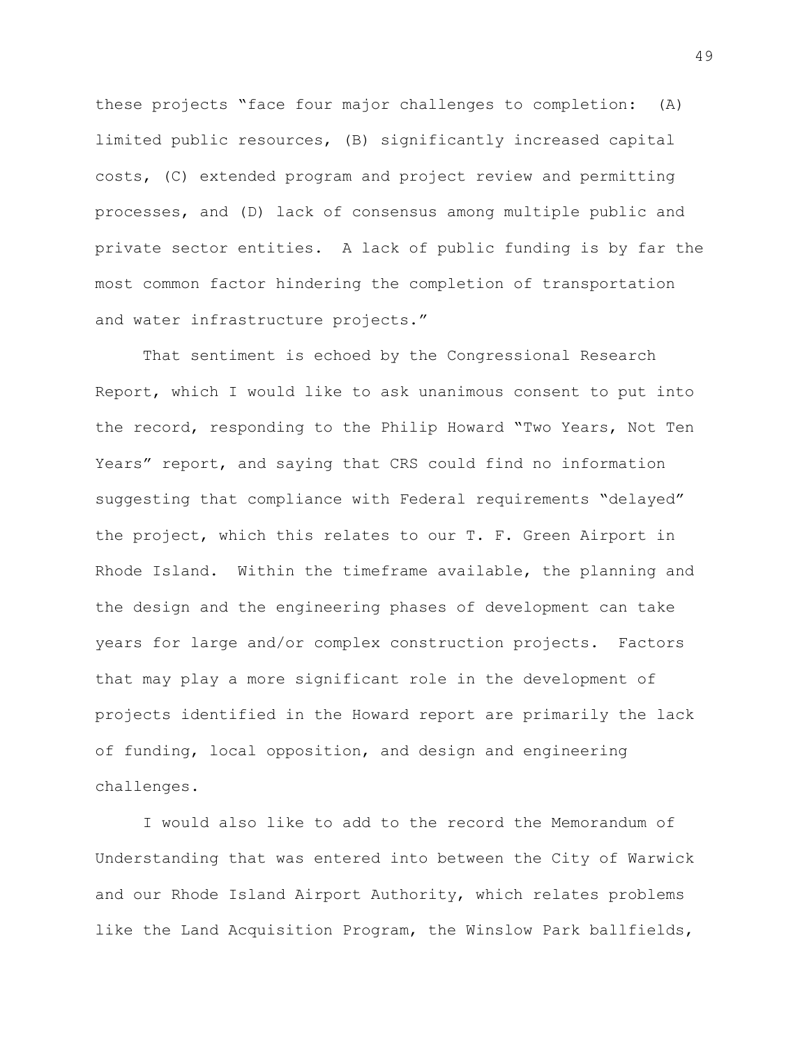these projects "face four major challenges to completion: (A) limited public resources, (B) significantly increased capital costs, (C) extended program and project review and permitting processes, and (D) lack of consensus among multiple public and private sector entities. A lack of public funding is by far the most common factor hindering the completion of transportation and water infrastructure projects."

That sentiment is echoed by the Congressional Research Report, which I would like to ask unanimous consent to put into the record, responding to the Philip Howard "Two Years, Not Ten Years" report, and saying that CRS could find no information suggesting that compliance with Federal requirements "delayed" the project, which this relates to our T. F. Green Airport in Rhode Island. Within the timeframe available, the planning and the design and the engineering phases of development can take years for large and/or complex construction projects. Factors that may play a more significant role in the development of projects identified in the Howard report are primarily the lack of funding, local opposition, and design and engineering challenges.

I would also like to add to the record the Memorandum of Understanding that was entered into between the City of Warwick and our Rhode Island Airport Authority, which relates problems like the Land Acquisition Program, the Winslow Park ballfields,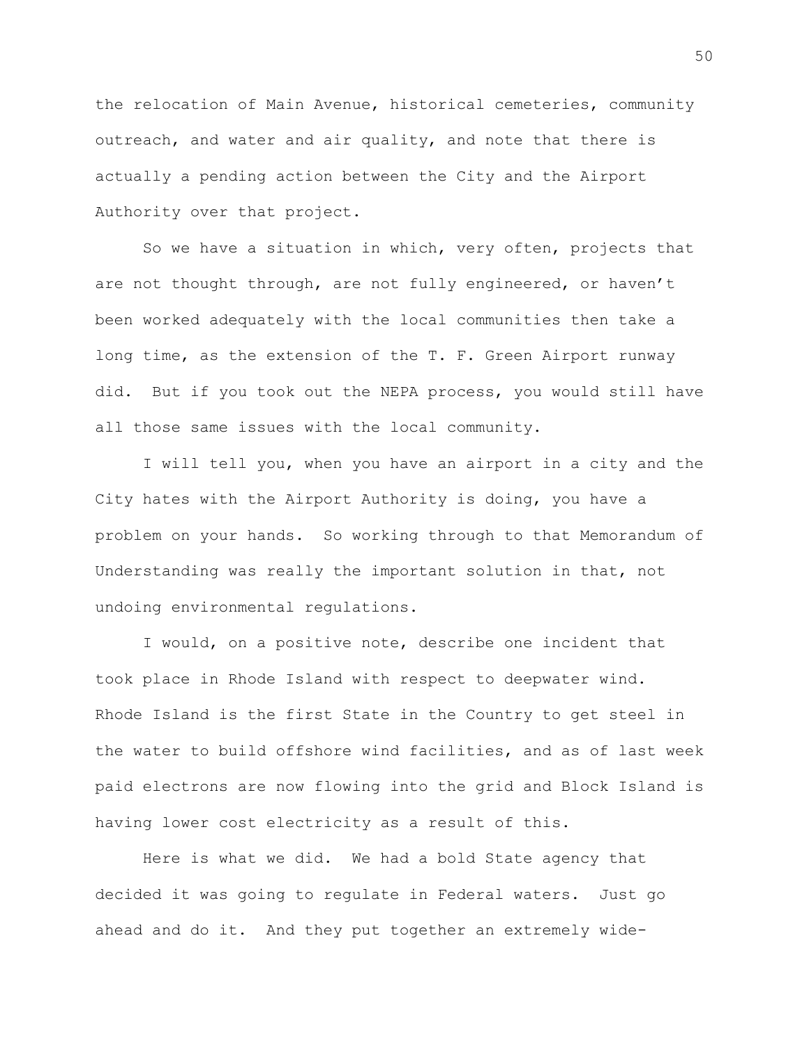the relocation of Main Avenue, historical cemeteries, community outreach, and water and air quality, and note that there is actually a pending action between the City and the Airport Authority over that project.

So we have a situation in which, very often, projects that are not thought through, are not fully engineered, or haven't been worked adequately with the local communities then take a long time, as the extension of the T. F. Green Airport runway did. But if you took out the NEPA process, you would still have all those same issues with the local community.

I will tell you, when you have an airport in a city and the City hates with the Airport Authority is doing, you have a problem on your hands. So working through to that Memorandum of Understanding was really the important solution in that, not undoing environmental regulations.

I would, on a positive note, describe one incident that took place in Rhode Island with respect to deepwater wind. Rhode Island is the first State in the Country to get steel in the water to build offshore wind facilities, and as of last week paid electrons are now flowing into the grid and Block Island is having lower cost electricity as a result of this.

Here is what we did. We had a bold State agency that decided it was going to regulate in Federal waters. Just go ahead and do it. And they put together an extremely wide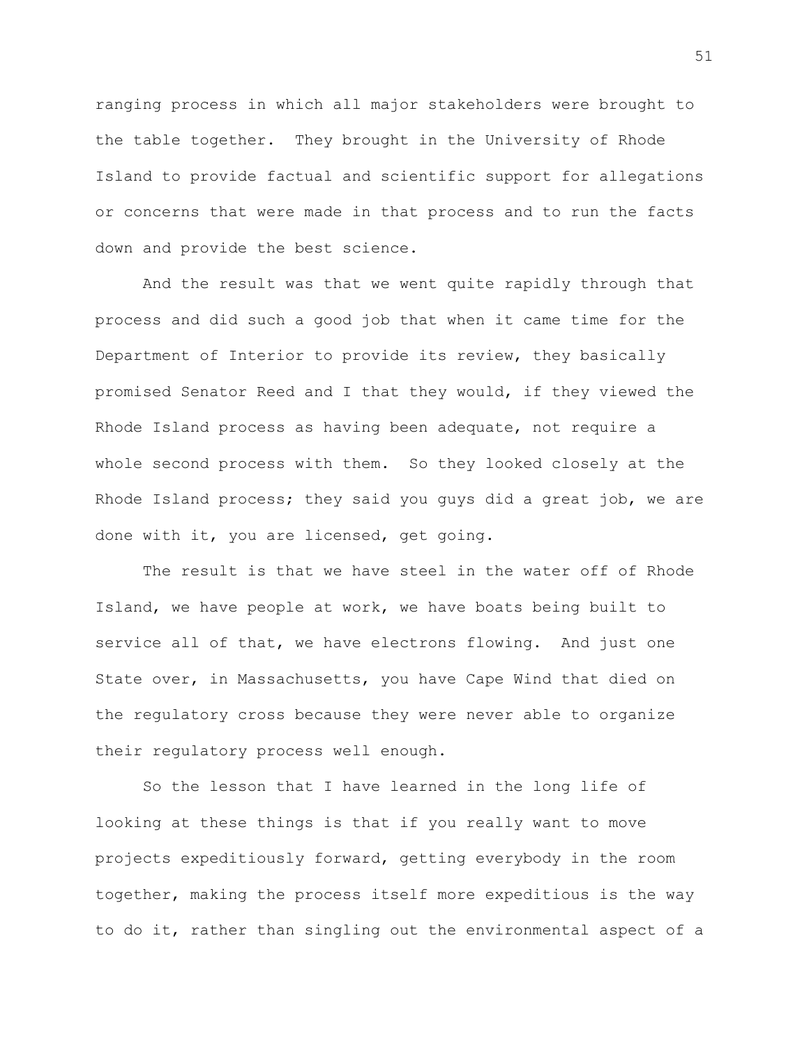ranging process in which all major stakeholders were brought to the table together. They brought in the University of Rhode Island to provide factual and scientific support for allegations or concerns that were made in that process and to run the facts down and provide the best science.

And the result was that we went quite rapidly through that process and did such a good job that when it came time for the Department of Interior to provide its review, they basically promised Senator Reed and I that they would, if they viewed the Rhode Island process as having been adequate, not require a whole second process with them. So they looked closely at the Rhode Island process; they said you guys did a great job, we are done with it, you are licensed, get going.

The result is that we have steel in the water off of Rhode Island, we have people at work, we have boats being built to service all of that, we have electrons flowing. And just one State over, in Massachusetts, you have Cape Wind that died on the regulatory cross because they were never able to organize their regulatory process well enough.

So the lesson that I have learned in the long life of looking at these things is that if you really want to move projects expeditiously forward, getting everybody in the room together, making the process itself more expeditious is the way to do it, rather than singling out the environmental aspect of a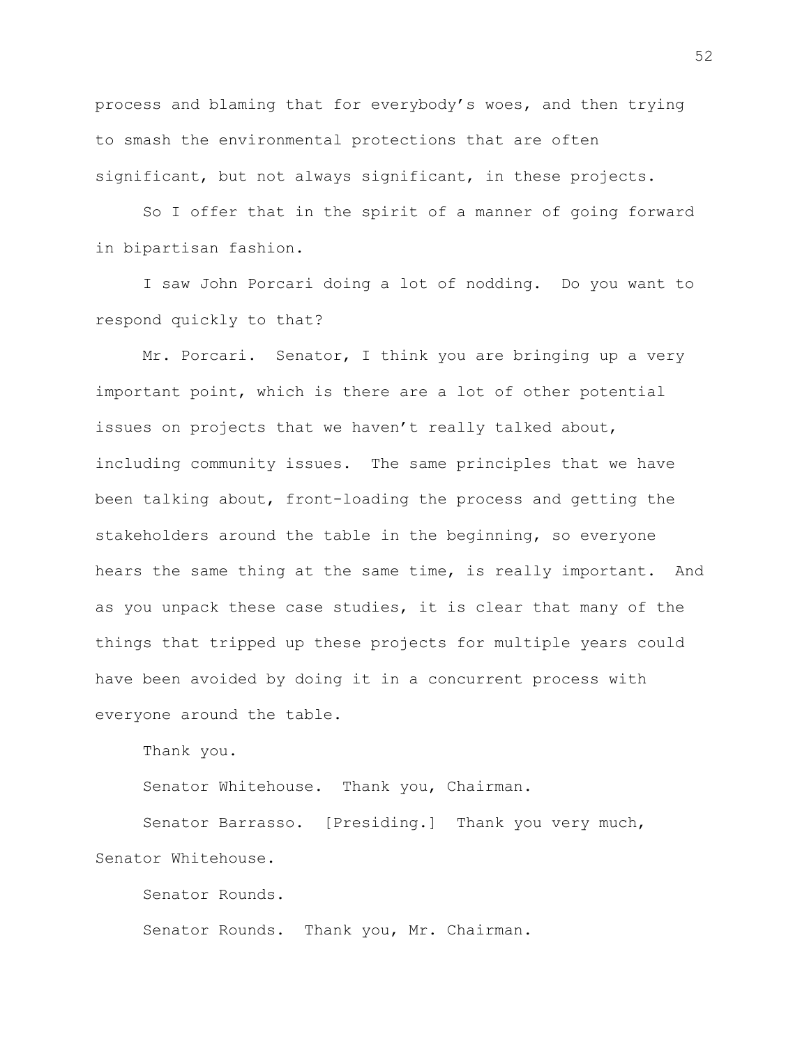process and blaming that for everybody's woes, and then trying to smash the environmental protections that are often significant, but not always significant, in these projects.

So I offer that in the spirit of a manner of going forward in bipartisan fashion.

I saw John Porcari doing a lot of nodding. Do you want to respond quickly to that?

Mr. Porcari. Senator, I think you are bringing up a very important point, which is there are a lot of other potential issues on projects that we haven't really talked about, including community issues. The same principles that we have been talking about, front-loading the process and getting the stakeholders around the table in the beginning, so everyone hears the same thing at the same time, is really important. And as you unpack these case studies, it is clear that many of the things that tripped up these projects for multiple years could have been avoided by doing it in a concurrent process with everyone around the table.

Thank you.

Senator Whitehouse. Thank you, Chairman.

Senator Barrasso. [Presiding.] Thank you very much, Senator Whitehouse.

Senator Rounds. Senator Rounds. Thank you, Mr. Chairman.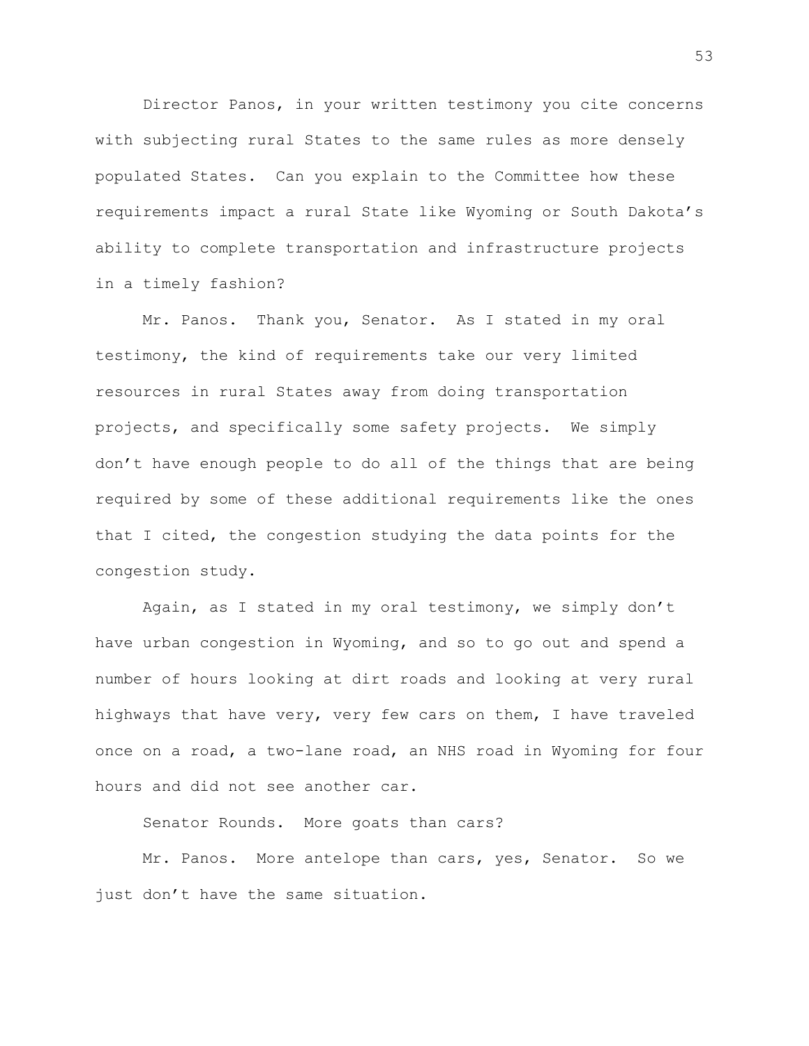Director Panos, in your written testimony you cite concerns with subjecting rural States to the same rules as more densely populated States. Can you explain to the Committee how these requirements impact a rural State like Wyoming or South Dakota's ability to complete transportation and infrastructure projects in a timely fashion?

Mr. Panos. Thank you, Senator. As I stated in my oral testimony, the kind of requirements take our very limited resources in rural States away from doing transportation projects, and specifically some safety projects. We simply don't have enough people to do all of the things that are being required by some of these additional requirements like the ones that I cited, the congestion studying the data points for the congestion study.

Again, as I stated in my oral testimony, we simply don't have urban congestion in Wyoming, and so to go out and spend a number of hours looking at dirt roads and looking at very rural highways that have very, very few cars on them, I have traveled once on a road, a two-lane road, an NHS road in Wyoming for four hours and did not see another car.

Senator Rounds. More goats than cars?

Mr. Panos. More antelope than cars, yes, Senator. So we just don't have the same situation.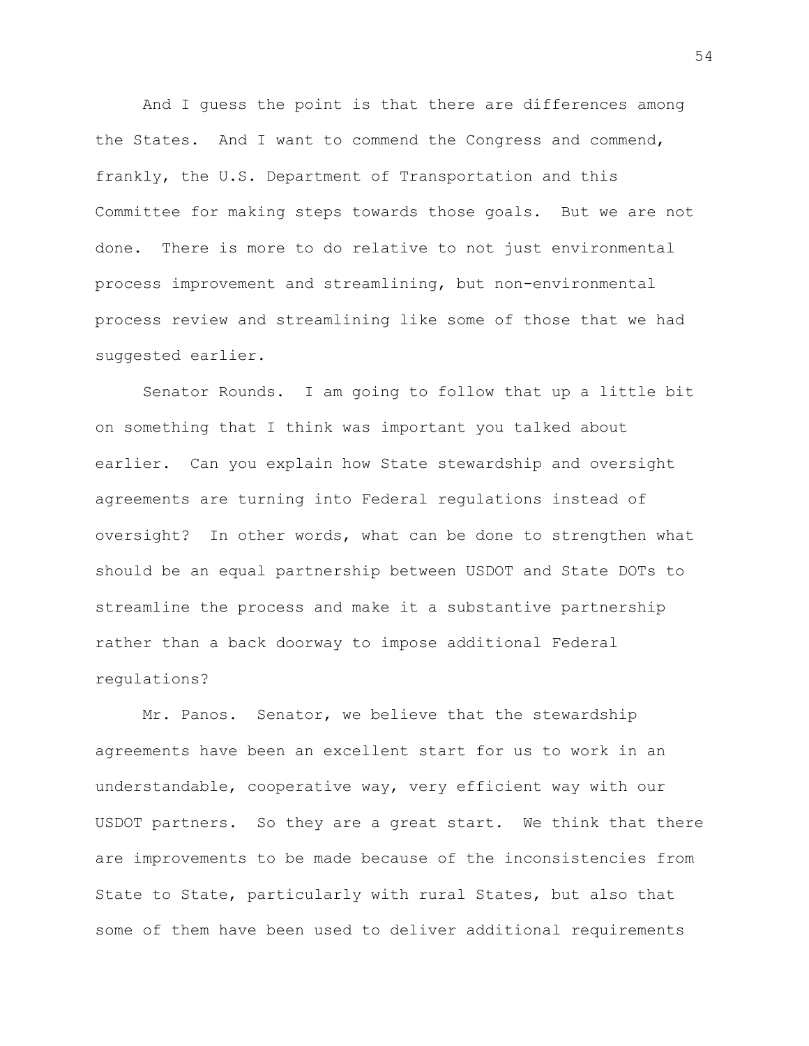And I guess the point is that there are differences among the States. And I want to commend the Congress and commend, frankly, the U.S. Department of Transportation and this Committee for making steps towards those goals. But we are not done. There is more to do relative to not just environmental process improvement and streamlining, but non-environmental process review and streamlining like some of those that we had suggested earlier.

Senator Rounds. I am going to follow that up a little bit on something that I think was important you talked about earlier. Can you explain how State stewardship and oversight agreements are turning into Federal regulations instead of oversight? In other words, what can be done to strengthen what should be an equal partnership between USDOT and State DOTs to streamline the process and make it a substantive partnership rather than a back doorway to impose additional Federal regulations?

Mr. Panos. Senator, we believe that the stewardship agreements have been an excellent start for us to work in an understandable, cooperative way, very efficient way with our USDOT partners. So they are a great start. We think that there are improvements to be made because of the inconsistencies from State to State, particularly with rural States, but also that some of them have been used to deliver additional requirements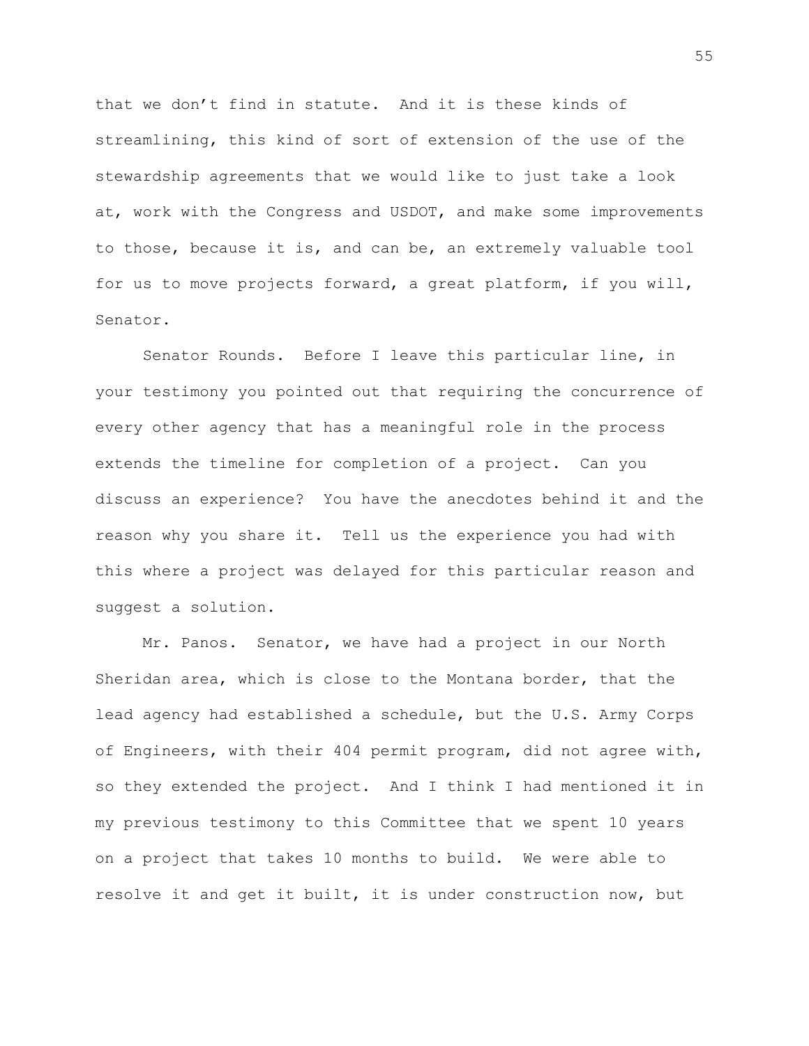that we don't find in statute. And it is these kinds of streamlining, this kind of sort of extension of the use of the stewardship agreements that we would like to just take a look at, work with the Congress and USDOT, and make some improvements to those, because it is, and can be, an extremely valuable tool for us to move projects forward, a great platform, if you will, Senator.

Senator Rounds. Before I leave this particular line, in your testimony you pointed out that requiring the concurrence of every other agency that has a meaningful role in the process extends the timeline for completion of a project. Can you discuss an experience? You have the anecdotes behind it and the reason why you share it. Tell us the experience you had with this where a project was delayed for this particular reason and suggest a solution.

Mr. Panos. Senator, we have had a project in our North Sheridan area, which is close to the Montana border, that the lead agency had established a schedule, but the U.S. Army Corps of Engineers, with their 404 permit program, did not agree with, so they extended the project. And I think I had mentioned it in my previous testimony to this Committee that we spent 10 years on a project that takes 10 months to build. We were able to resolve it and get it built, it is under construction now, but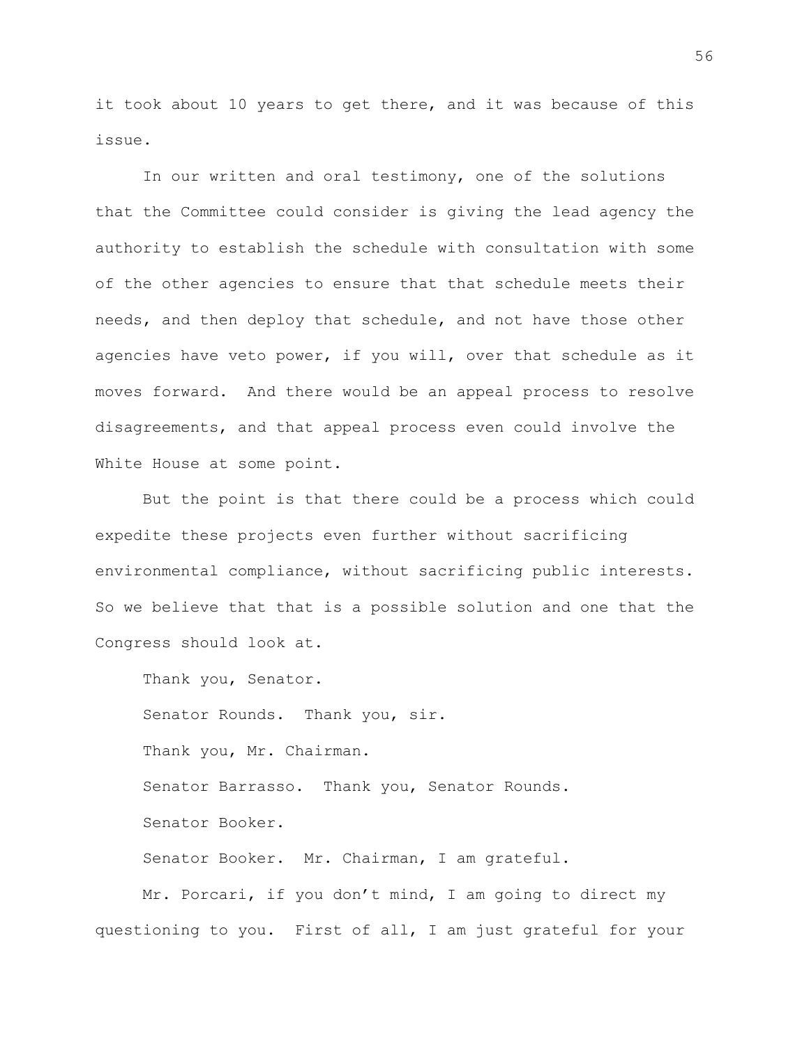it took about 10 years to get there, and it was because of this issue.

In our written and oral testimony, one of the solutions that the Committee could consider is giving the lead agency the authority to establish the schedule with consultation with some of the other agencies to ensure that that schedule meets their needs, and then deploy that schedule, and not have those other agencies have veto power, if you will, over that schedule as it moves forward. And there would be an appeal process to resolve disagreements, and that appeal process even could involve the White House at some point.

But the point is that there could be a process which could expedite these projects even further without sacrificing environmental compliance, without sacrificing public interests. So we believe that that is a possible solution and one that the Congress should look at.

Thank you, Senator. Senator Rounds. Thank you, sir. Thank you, Mr. Chairman. Senator Barrasso. Thank you, Senator Rounds. Senator Booker. Senator Booker. Mr. Chairman, I am grateful. Mr. Porcari, if you don't mind, I am going to direct my

questioning to you. First of all, I am just grateful for your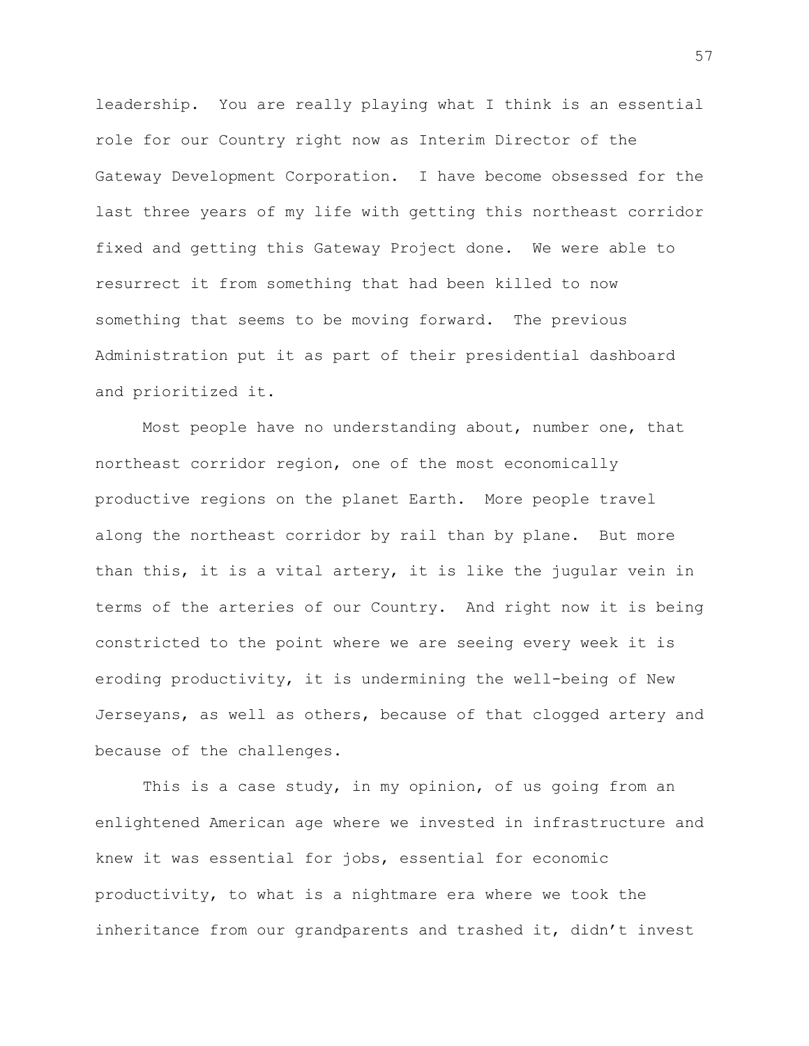leadership. You are really playing what I think is an essential role for our Country right now as Interim Director of the Gateway Development Corporation. I have become obsessed for the last three years of my life with getting this northeast corridor fixed and getting this Gateway Project done. We were able to resurrect it from something that had been killed to now something that seems to be moving forward. The previous Administration put it as part of their presidential dashboard and prioritized it.

Most people have no understanding about, number one, that northeast corridor region, one of the most economically productive regions on the planet Earth. More people travel along the northeast corridor by rail than by plane. But more than this, it is a vital artery, it is like the jugular vein in terms of the arteries of our Country. And right now it is being constricted to the point where we are seeing every week it is eroding productivity, it is undermining the well-being of New Jerseyans, as well as others, because of that clogged artery and because of the challenges.

This is a case study, in my opinion, of us going from an enlightened American age where we invested in infrastructure and knew it was essential for jobs, essential for economic productivity, to what is a nightmare era where we took the inheritance from our grandparents and trashed it, didn't invest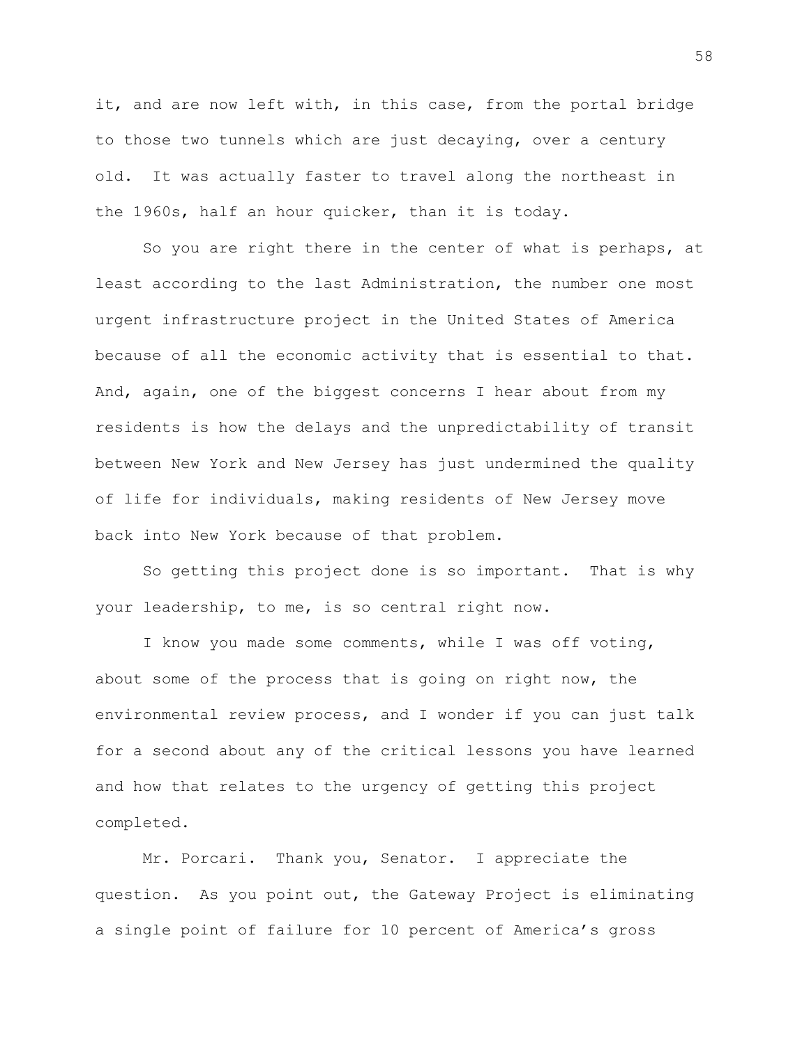it, and are now left with, in this case, from the portal bridge to those two tunnels which are just decaying, over a century old. It was actually faster to travel along the northeast in the 1960s, half an hour quicker, than it is today.

So you are right there in the center of what is perhaps, at least according to the last Administration, the number one most urgent infrastructure project in the United States of America because of all the economic activity that is essential to that. And, again, one of the biggest concerns I hear about from my residents is how the delays and the unpredictability of transit between New York and New Jersey has just undermined the quality of life for individuals, making residents of New Jersey move back into New York because of that problem.

So getting this project done is so important. That is why your leadership, to me, is so central right now.

I know you made some comments, while I was off voting, about some of the process that is going on right now, the environmental review process, and I wonder if you can just talk for a second about any of the critical lessons you have learned and how that relates to the urgency of getting this project completed.

Mr. Porcari. Thank you, Senator. I appreciate the question. As you point out, the Gateway Project is eliminating a single point of failure for 10 percent of America's gross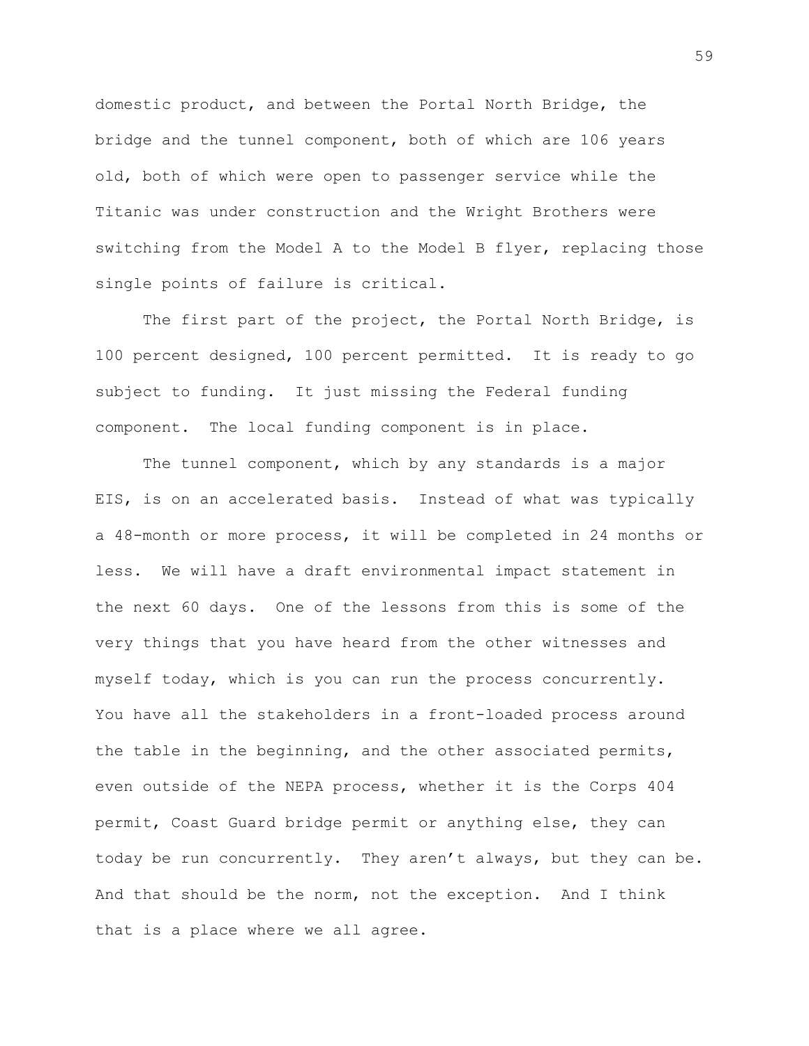domestic product, and between the Portal North Bridge, the bridge and the tunnel component, both of which are 106 years old, both of which were open to passenger service while the Titanic was under construction and the Wright Brothers were switching from the Model A to the Model B flyer, replacing those single points of failure is critical.

The first part of the project, the Portal North Bridge, is 100 percent designed, 100 percent permitted. It is ready to go subject to funding. It just missing the Federal funding component. The local funding component is in place.

The tunnel component, which by any standards is a major EIS, is on an accelerated basis. Instead of what was typically a 48-month or more process, it will be completed in 24 months or less. We will have a draft environmental impact statement in the next 60 days. One of the lessons from this is some of the very things that you have heard from the other witnesses and myself today, which is you can run the process concurrently. You have all the stakeholders in a front-loaded process around the table in the beginning, and the other associated permits, even outside of the NEPA process, whether it is the Corps 404 permit, Coast Guard bridge permit or anything else, they can today be run concurrently. They aren't always, but they can be. And that should be the norm, not the exception. And I think that is a place where we all agree.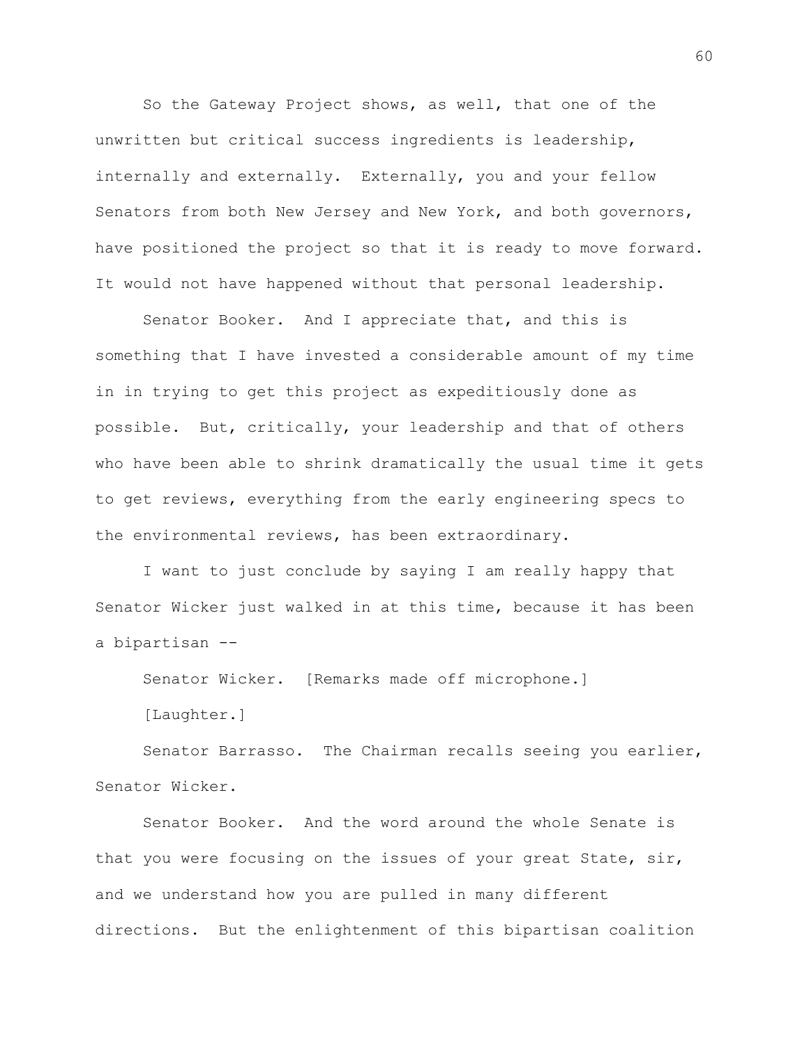So the Gateway Project shows, as well, that one of the unwritten but critical success ingredients is leadership, internally and externally. Externally, you and your fellow Senators from both New Jersey and New York, and both governors, have positioned the project so that it is ready to move forward. It would not have happened without that personal leadership.

Senator Booker. And I appreciate that, and this is something that I have invested a considerable amount of my time in in trying to get this project as expeditiously done as possible. But, critically, your leadership and that of others who have been able to shrink dramatically the usual time it gets to get reviews, everything from the early engineering specs to the environmental reviews, has been extraordinary.

I want to just conclude by saying I am really happy that Senator Wicker just walked in at this time, because it has been a bipartisan --

Senator Wicker. [Remarks made off microphone.]

[Laughter.]

Senator Barrasso. The Chairman recalls seeing you earlier, Senator Wicker.

Senator Booker. And the word around the whole Senate is that you were focusing on the issues of your great State, sir, and we understand how you are pulled in many different directions. But the enlightenment of this bipartisan coalition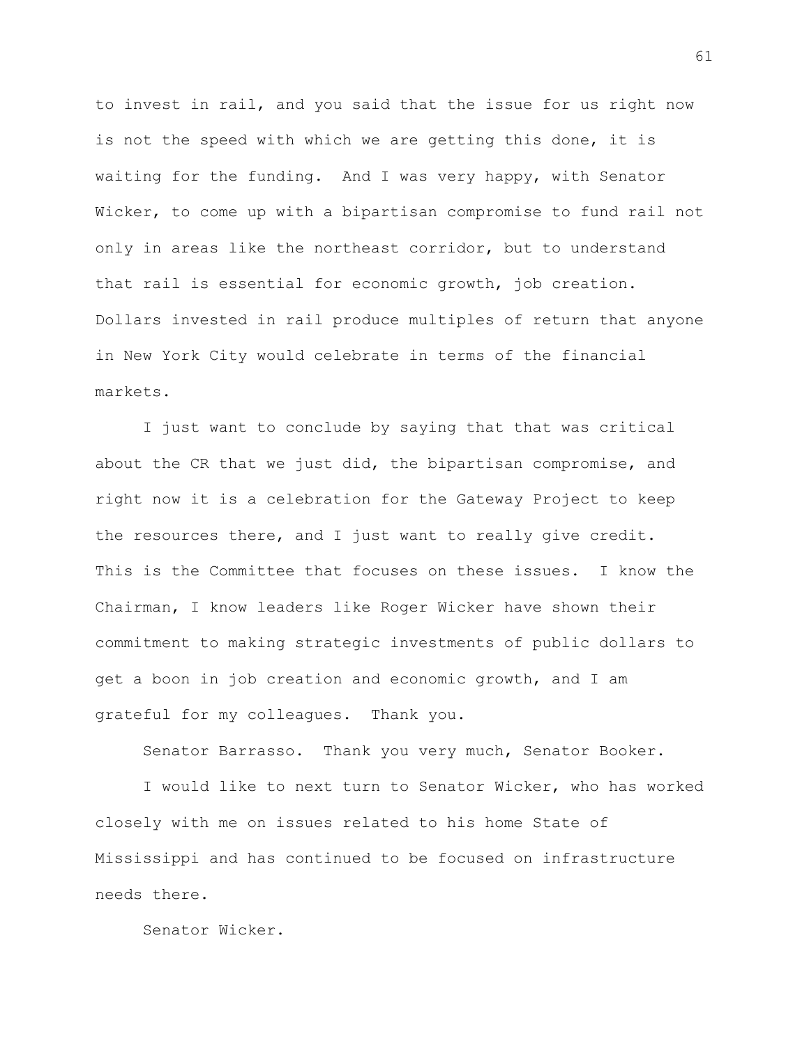to invest in rail, and you said that the issue for us right now is not the speed with which we are getting this done, it is waiting for the funding. And I was very happy, with Senator Wicker, to come up with a bipartisan compromise to fund rail not only in areas like the northeast corridor, but to understand that rail is essential for economic growth, job creation. Dollars invested in rail produce multiples of return that anyone in New York City would celebrate in terms of the financial markets.

I just want to conclude by saying that that was critical about the CR that we just did, the bipartisan compromise, and right now it is a celebration for the Gateway Project to keep the resources there, and I just want to really give credit. This is the Committee that focuses on these issues. I know the Chairman, I know leaders like Roger Wicker have shown their commitment to making strategic investments of public dollars to get a boon in job creation and economic growth, and I am grateful for my colleagues. Thank you.

Senator Barrasso. Thank you very much, Senator Booker.

I would like to next turn to Senator Wicker, who has worked closely with me on issues related to his home State of Mississippi and has continued to be focused on infrastructure needs there.

Senator Wicker.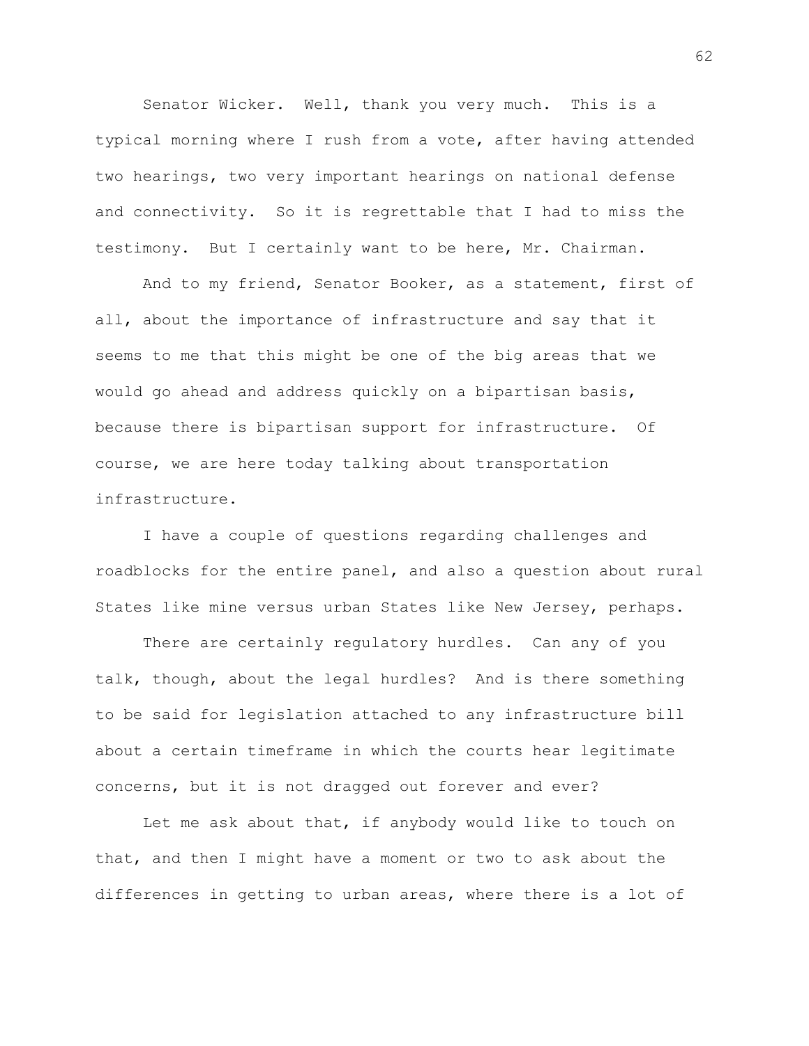Senator Wicker. Well, thank you very much. This is a typical morning where I rush from a vote, after having attended two hearings, two very important hearings on national defense and connectivity. So it is regrettable that I had to miss the testimony. But I certainly want to be here, Mr. Chairman.

And to my friend, Senator Booker, as a statement, first of all, about the importance of infrastructure and say that it seems to me that this might be one of the big areas that we would go ahead and address quickly on a bipartisan basis, because there is bipartisan support for infrastructure. Of course, we are here today talking about transportation infrastructure.

I have a couple of questions regarding challenges and roadblocks for the entire panel, and also a question about rural States like mine versus urban States like New Jersey, perhaps.

There are certainly regulatory hurdles. Can any of you talk, though, about the legal hurdles? And is there something to be said for legislation attached to any infrastructure bill about a certain timeframe in which the courts hear legitimate concerns, but it is not dragged out forever and ever?

Let me ask about that, if anybody would like to touch on that, and then I might have a moment or two to ask about the differences in getting to urban areas, where there is a lot of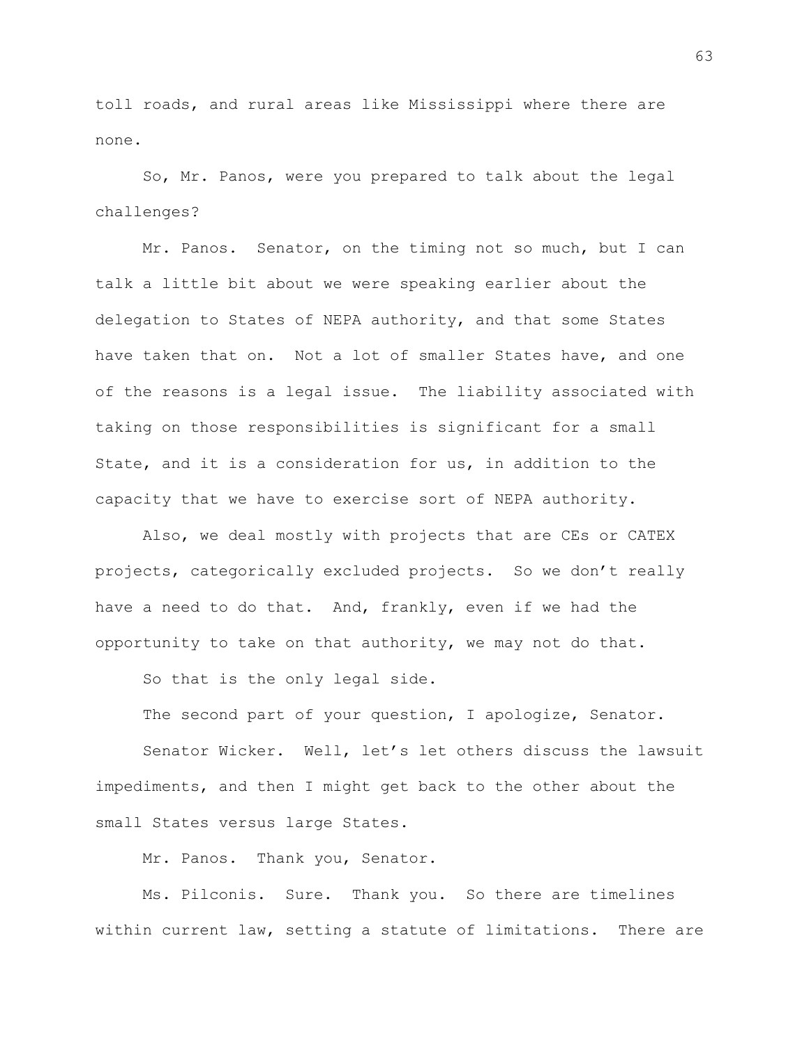toll roads, and rural areas like Mississippi where there are none.

So, Mr. Panos, were you prepared to talk about the legal challenges?

Mr. Panos. Senator, on the timing not so much, but I can talk a little bit about we were speaking earlier about the delegation to States of NEPA authority, and that some States have taken that on. Not a lot of smaller States have, and one of the reasons is a legal issue. The liability associated with taking on those responsibilities is significant for a small State, and it is a consideration for us, in addition to the capacity that we have to exercise sort of NEPA authority.

Also, we deal mostly with projects that are CEs or CATEX projects, categorically excluded projects. So we don't really have a need to do that. And, frankly, even if we had the opportunity to take on that authority, we may not do that.

So that is the only legal side.

The second part of your question, I apologize, Senator.

Senator Wicker. Well, let's let others discuss the lawsuit impediments, and then I might get back to the other about the small States versus large States.

Mr. Panos. Thank you, Senator.

Ms. Pilconis. Sure. Thank you. So there are timelines within current law, setting a statute of limitations. There are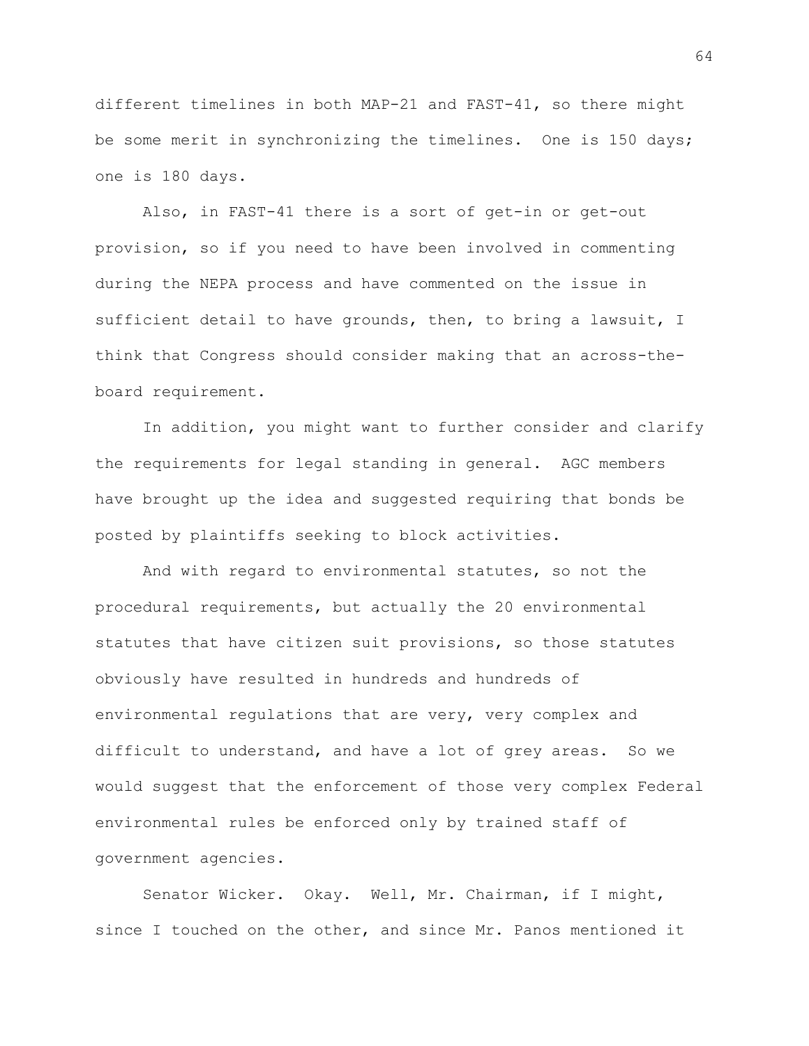different timelines in both MAP-21 and FAST-41, so there might be some merit in synchronizing the timelines. One is 150 days; one is 180 days.

Also, in FAST-41 there is a sort of get-in or get-out provision, so if you need to have been involved in commenting during the NEPA process and have commented on the issue in sufficient detail to have grounds, then, to bring a lawsuit, I think that Congress should consider making that an across-theboard requirement.

In addition, you might want to further consider and clarify the requirements for legal standing in general. AGC members have brought up the idea and suggested requiring that bonds be posted by plaintiffs seeking to block activities.

And with regard to environmental statutes, so not the procedural requirements, but actually the 20 environmental statutes that have citizen suit provisions, so those statutes obviously have resulted in hundreds and hundreds of environmental regulations that are very, very complex and difficult to understand, and have a lot of grey areas. So we would suggest that the enforcement of those very complex Federal environmental rules be enforced only by trained staff of government agencies.

Senator Wicker. Okay. Well, Mr. Chairman, if I might, since I touched on the other, and since Mr. Panos mentioned it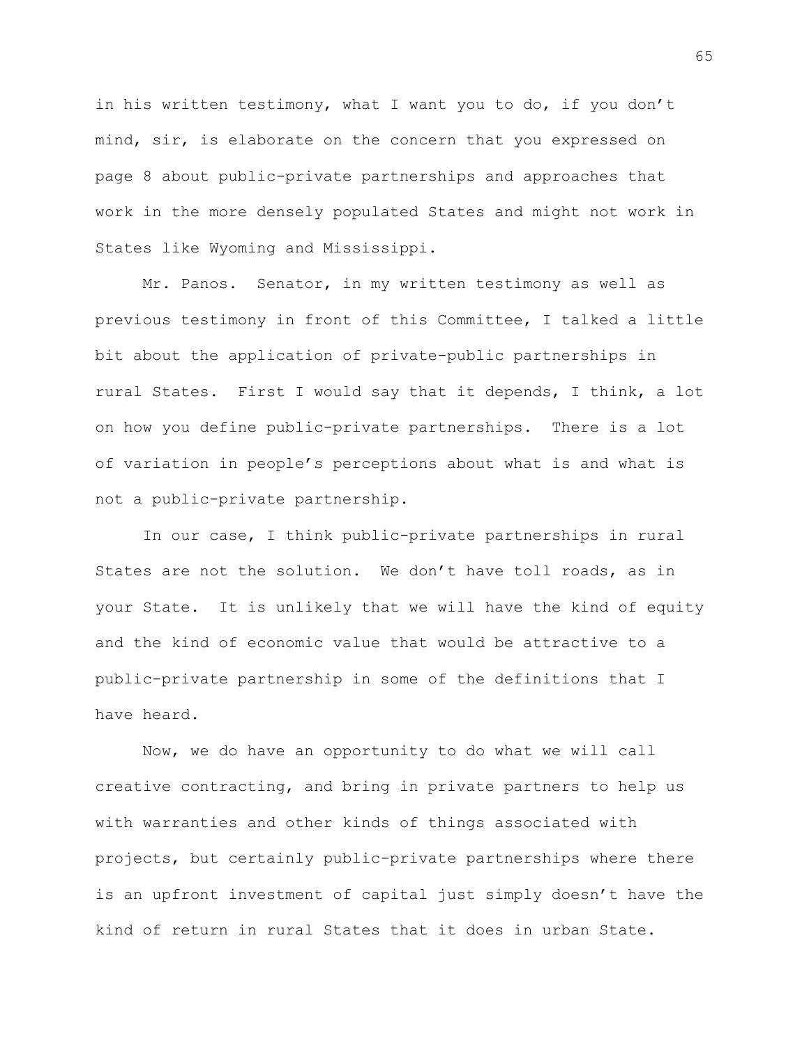in his written testimony, what I want you to do, if you don't mind, sir, is elaborate on the concern that you expressed on page 8 about public-private partnerships and approaches that work in the more densely populated States and might not work in States like Wyoming and Mississippi.

Mr. Panos. Senator, in my written testimony as well as previous testimony in front of this Committee, I talked a little bit about the application of private-public partnerships in rural States. First I would say that it depends, I think, a lot on how you define public-private partnerships. There is a lot of variation in people's perceptions about what is and what is not a public-private partnership.

In our case, I think public-private partnerships in rural States are not the solution. We don't have toll roads, as in your State. It is unlikely that we will have the kind of equity and the kind of economic value that would be attractive to a public-private partnership in some of the definitions that I have heard.

Now, we do have an opportunity to do what we will call creative contracting, and bring in private partners to help us with warranties and other kinds of things associated with projects, but certainly public-private partnerships where there is an upfront investment of capital just simply doesn't have the kind of return in rural States that it does in urban State.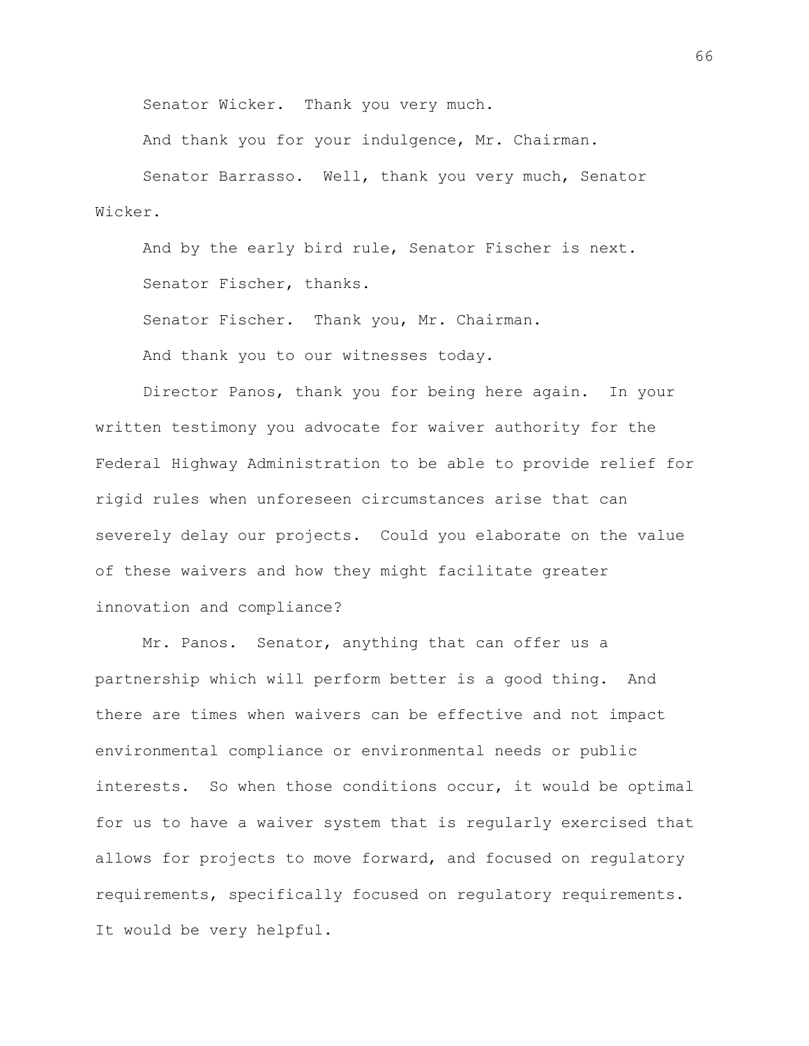Senator Wicker. Thank you very much.

And thank you for your indulgence, Mr. Chairman.

Senator Barrasso. Well, thank you very much, Senator Wicker.

And by the early bird rule, Senator Fischer is next. Senator Fischer, thanks.

Senator Fischer. Thank you, Mr. Chairman.

And thank you to our witnesses today.

Director Panos, thank you for being here again. In your written testimony you advocate for waiver authority for the Federal Highway Administration to be able to provide relief for rigid rules when unforeseen circumstances arise that can severely delay our projects. Could you elaborate on the value of these waivers and how they might facilitate greater innovation and compliance?

Mr. Panos. Senator, anything that can offer us a partnership which will perform better is a good thing. And there are times when waivers can be effective and not impact environmental compliance or environmental needs or public interests. So when those conditions occur, it would be optimal for us to have a waiver system that is regularly exercised that allows for projects to move forward, and focused on regulatory requirements, specifically focused on regulatory requirements. It would be very helpful.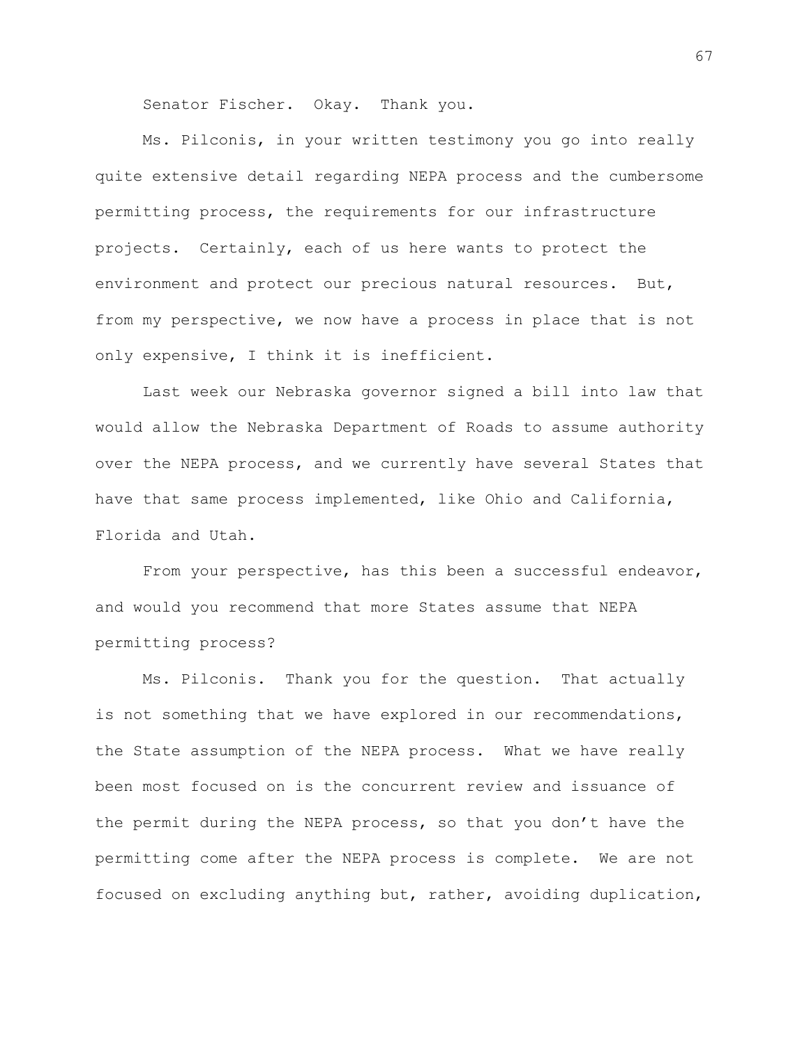Senator Fischer. Okay. Thank you.

Ms. Pilconis, in your written testimony you go into really quite extensive detail regarding NEPA process and the cumbersome permitting process, the requirements for our infrastructure projects. Certainly, each of us here wants to protect the environment and protect our precious natural resources. But, from my perspective, we now have a process in place that is not only expensive, I think it is inefficient.

Last week our Nebraska governor signed a bill into law that would allow the Nebraska Department of Roads to assume authority over the NEPA process, and we currently have several States that have that same process implemented, like Ohio and California, Florida and Utah.

From your perspective, has this been a successful endeavor, and would you recommend that more States assume that NEPA permitting process?

Ms. Pilconis. Thank you for the question. That actually is not something that we have explored in our recommendations, the State assumption of the NEPA process. What we have really been most focused on is the concurrent review and issuance of the permit during the NEPA process, so that you don't have the permitting come after the NEPA process is complete. We are not focused on excluding anything but, rather, avoiding duplication,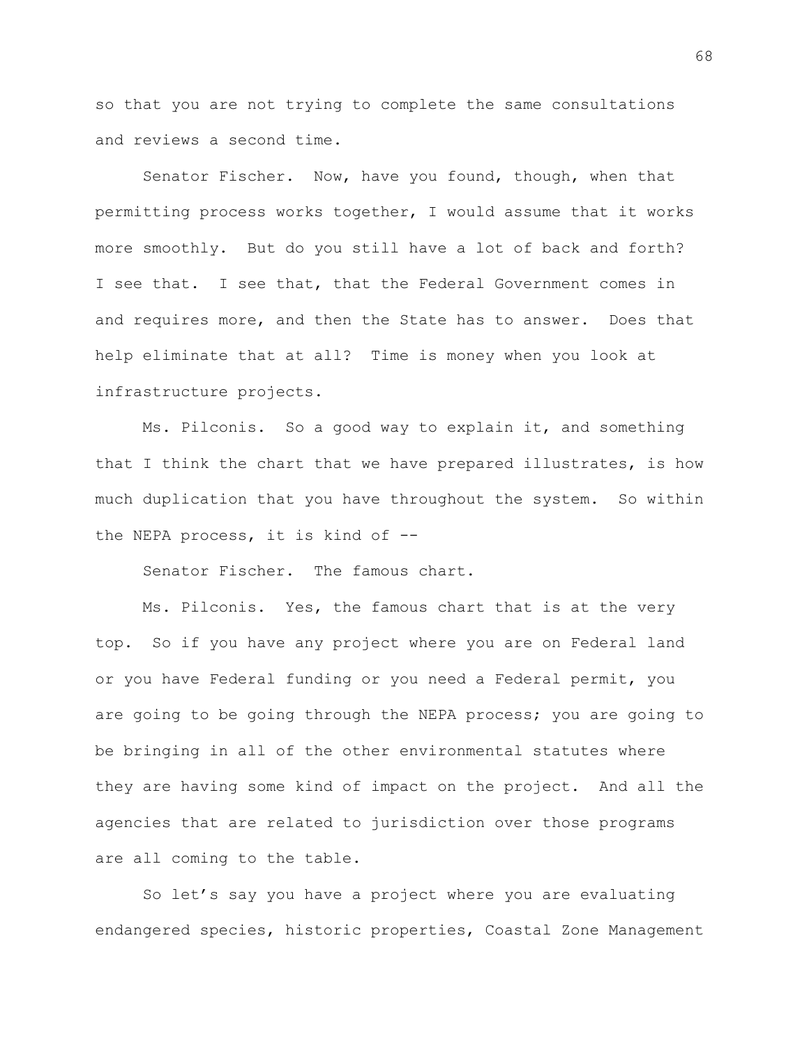so that you are not trying to complete the same consultations and reviews a second time.

Senator Fischer. Now, have you found, though, when that permitting process works together, I would assume that it works more smoothly. But do you still have a lot of back and forth? I see that. I see that, that the Federal Government comes in and requires more, and then the State has to answer. Does that help eliminate that at all? Time is money when you look at infrastructure projects.

Ms. Pilconis. So a good way to explain it, and something that I think the chart that we have prepared illustrates, is how much duplication that you have throughout the system. So within the NEPA process, it is kind of --

Senator Fischer. The famous chart.

Ms. Pilconis. Yes, the famous chart that is at the very top. So if you have any project where you are on Federal land or you have Federal funding or you need a Federal permit, you are going to be going through the NEPA process; you are going to be bringing in all of the other environmental statutes where they are having some kind of impact on the project. And all the agencies that are related to jurisdiction over those programs are all coming to the table.

So let's say you have a project where you are evaluating endangered species, historic properties, Coastal Zone Management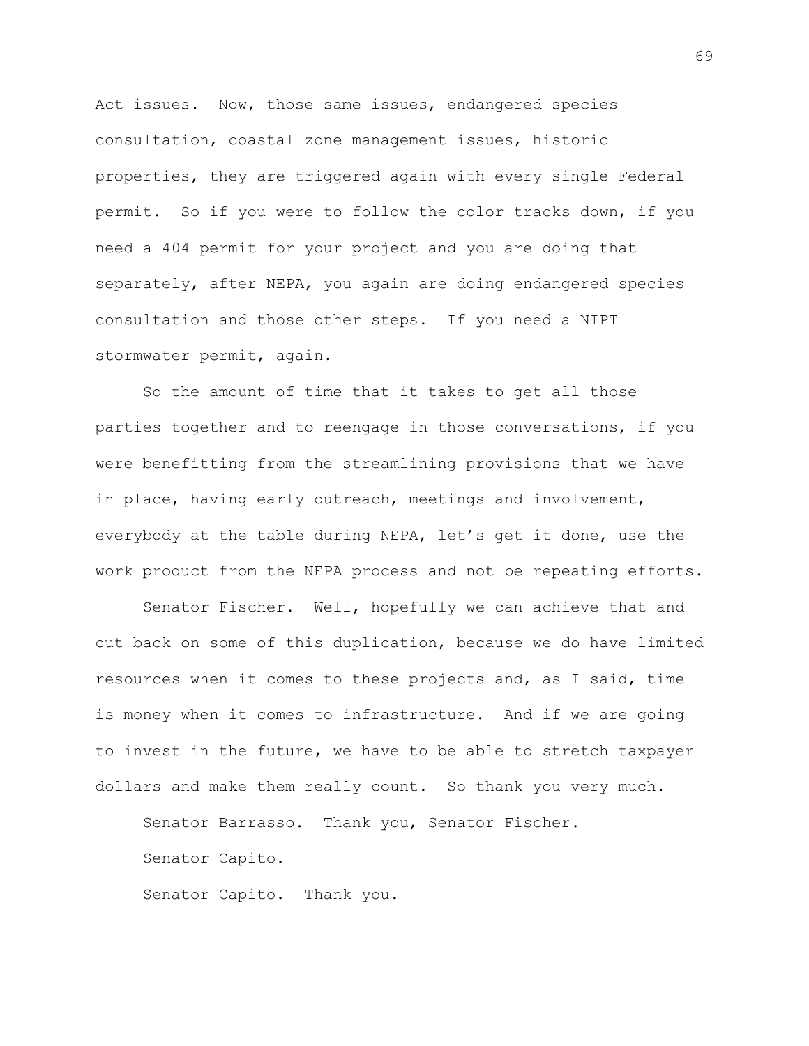Act issues. Now, those same issues, endangered species consultation, coastal zone management issues, historic properties, they are triggered again with every single Federal permit. So if you were to follow the color tracks down, if you need a 404 permit for your project and you are doing that separately, after NEPA, you again are doing endangered species consultation and those other steps. If you need a NIPT stormwater permit, again.

So the amount of time that it takes to get all those parties together and to reengage in those conversations, if you were benefitting from the streamlining provisions that we have in place, having early outreach, meetings and involvement, everybody at the table during NEPA, let's get it done, use the work product from the NEPA process and not be repeating efforts.

Senator Fischer. Well, hopefully we can achieve that and cut back on some of this duplication, because we do have limited resources when it comes to these projects and, as I said, time is money when it comes to infrastructure. And if we are going to invest in the future, we have to be able to stretch taxpayer dollars and make them really count. So thank you very much.

Senator Barrasso. Thank you, Senator Fischer.

Senator Capito.

Senator Capito. Thank you.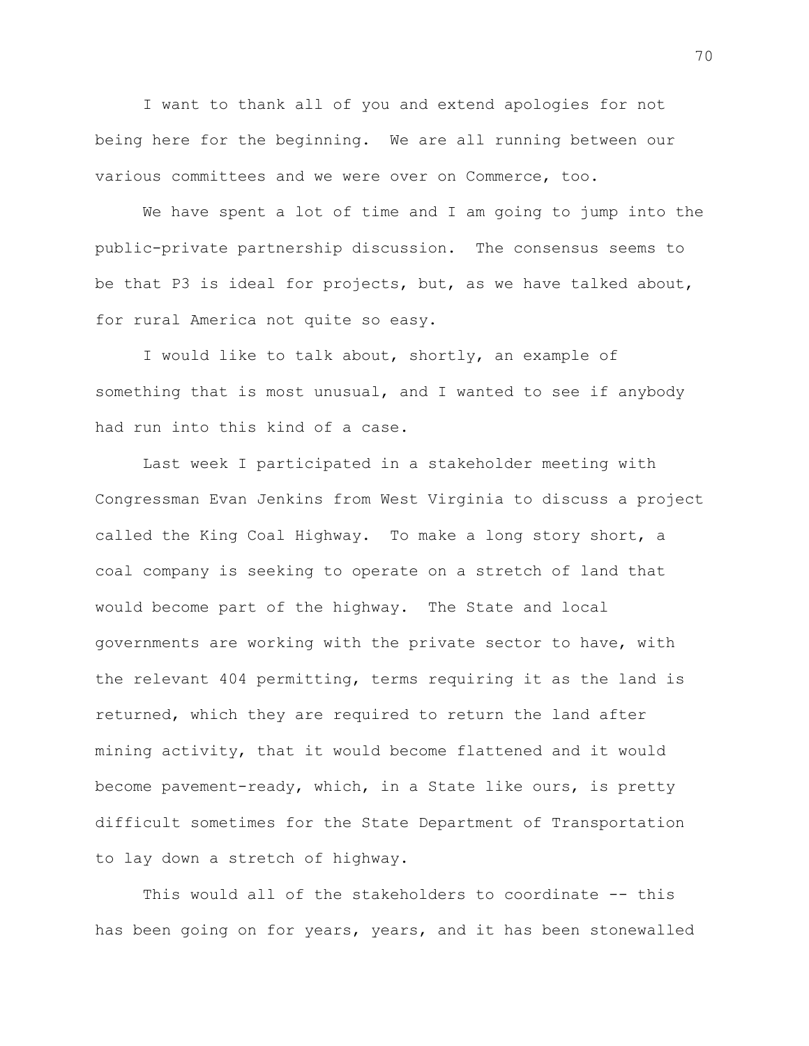I want to thank all of you and extend apologies for not being here for the beginning. We are all running between our various committees and we were over on Commerce, too.

We have spent a lot of time and I am going to jump into the public-private partnership discussion. The consensus seems to be that P3 is ideal for projects, but, as we have talked about, for rural America not quite so easy.

I would like to talk about, shortly, an example of something that is most unusual, and I wanted to see if anybody had run into this kind of a case.

Last week I participated in a stakeholder meeting with Congressman Evan Jenkins from West Virginia to discuss a project called the King Coal Highway. To make a long story short, a coal company is seeking to operate on a stretch of land that would become part of the highway. The State and local governments are working with the private sector to have, with the relevant 404 permitting, terms requiring it as the land is returned, which they are required to return the land after mining activity, that it would become flattened and it would become pavement-ready, which, in a State like ours, is pretty difficult sometimes for the State Department of Transportation to lay down a stretch of highway.

This would all of the stakeholders to coordinate -- this has been going on for years, years, and it has been stonewalled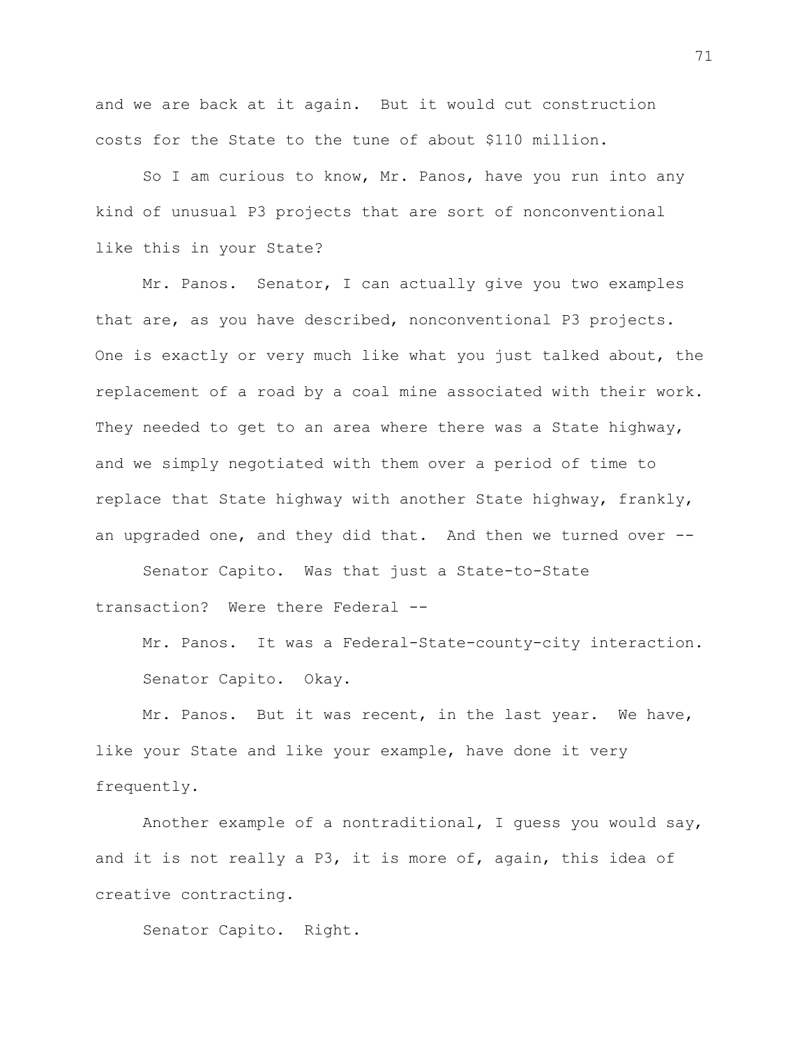and we are back at it again. But it would cut construction costs for the State to the tune of about \$110 million.

So I am curious to know, Mr. Panos, have you run into any kind of unusual P3 projects that are sort of nonconventional like this in your State?

Mr. Panos. Senator, I can actually give you two examples that are, as you have described, nonconventional P3 projects. One is exactly or very much like what you just talked about, the replacement of a road by a coal mine associated with their work. They needed to get to an area where there was a State highway, and we simply negotiated with them over a period of time to replace that State highway with another State highway, frankly, an upgraded one, and they did that. And then we turned over --

Senator Capito. Was that just a State-to-State transaction? Were there Federal --

Mr. Panos. It was a Federal-State-county-city interaction. Senator Capito. Okay.

Mr. Panos. But it was recent, in the last year. We have, like your State and like your example, have done it very frequently.

Another example of a nontraditional, I guess you would say, and it is not really a P3, it is more of, again, this idea of creative contracting.

Senator Capito. Right.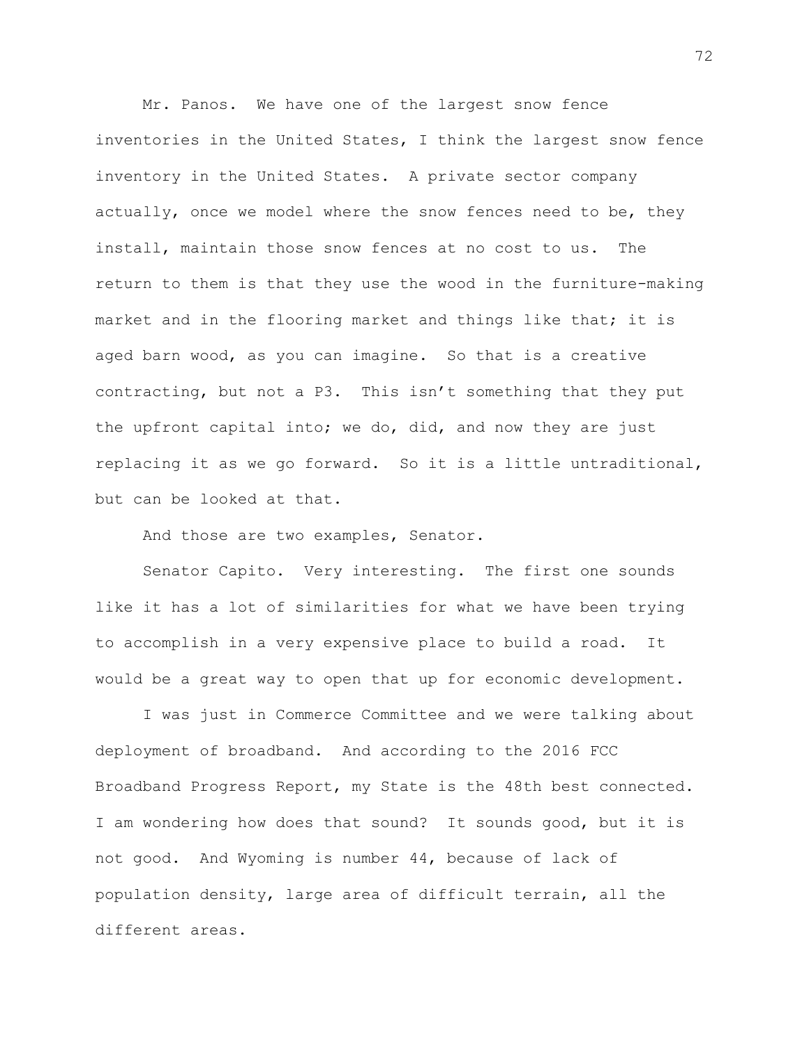Mr. Panos. We have one of the largest snow fence inventories in the United States, I think the largest snow fence inventory in the United States. A private sector company actually, once we model where the snow fences need to be, they install, maintain those snow fences at no cost to us. The return to them is that they use the wood in the furniture-making market and in the flooring market and things like that; it is aged barn wood, as you can imagine. So that is a creative contracting, but not a P3. This isn't something that they put the upfront capital into; we do, did, and now they are just replacing it as we go forward. So it is a little untraditional, but can be looked at that.

And those are two examples, Senator.

Senator Capito. Very interesting. The first one sounds like it has a lot of similarities for what we have been trying to accomplish in a very expensive place to build a road. It would be a great way to open that up for economic development.

I was just in Commerce Committee and we were talking about deployment of broadband. And according to the 2016 FCC Broadband Progress Report, my State is the 48th best connected. I am wondering how does that sound? It sounds good, but it is not good. And Wyoming is number 44, because of lack of population density, large area of difficult terrain, all the different areas.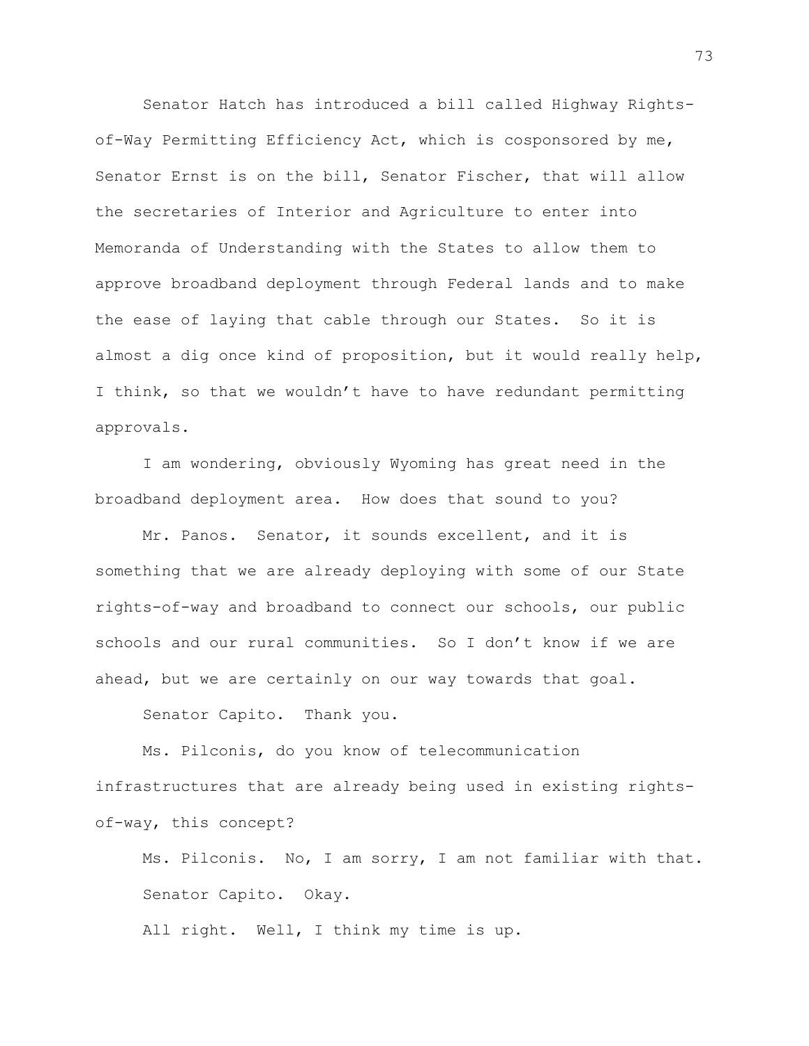Senator Hatch has introduced a bill called Highway Rightsof-Way Permitting Efficiency Act, which is cosponsored by me, Senator Ernst is on the bill, Senator Fischer, that will allow the secretaries of Interior and Agriculture to enter into Memoranda of Understanding with the States to allow them to approve broadband deployment through Federal lands and to make the ease of laying that cable through our States. So it is almost a dig once kind of proposition, but it would really help, I think, so that we wouldn't have to have redundant permitting approvals.

I am wondering, obviously Wyoming has great need in the broadband deployment area. How does that sound to you?

Mr. Panos. Senator, it sounds excellent, and it is something that we are already deploying with some of our State rights-of-way and broadband to connect our schools, our public schools and our rural communities. So I don't know if we are ahead, but we are certainly on our way towards that goal.

Senator Capito. Thank you.

Ms. Pilconis, do you know of telecommunication infrastructures that are already being used in existing rightsof-way, this concept?

Ms. Pilconis. No, I am sorry, I am not familiar with that. Senator Capito. Okay.

All right. Well, I think my time is up.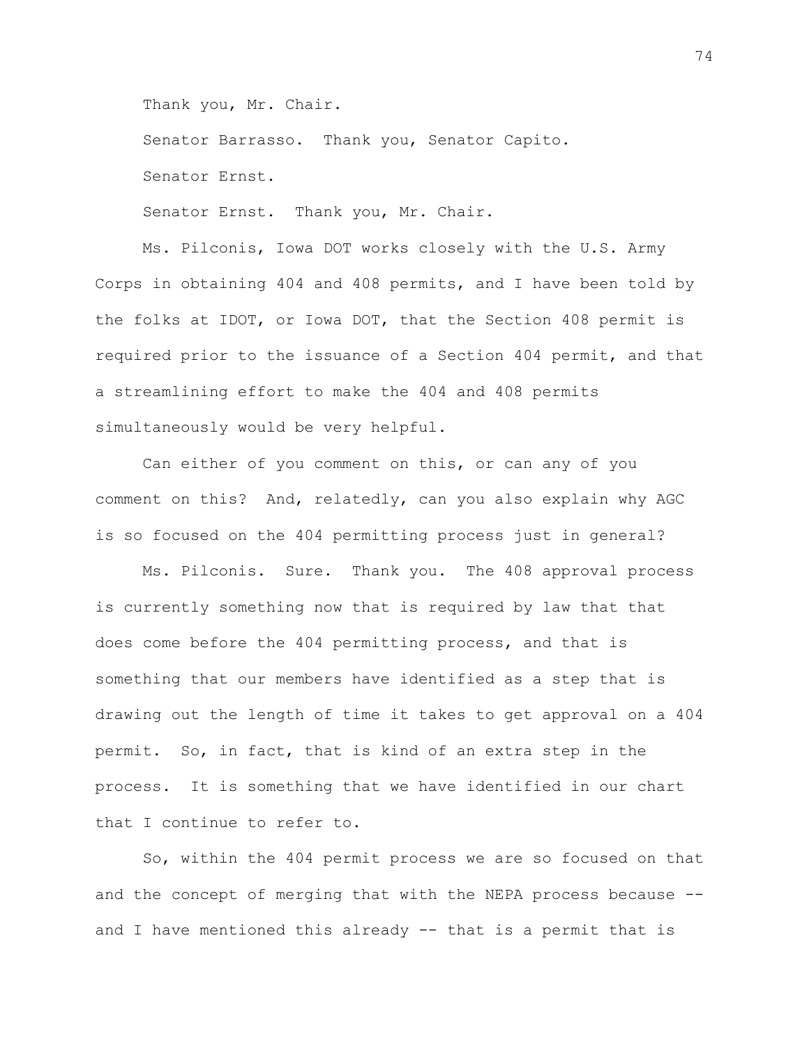Thank you, Mr. Chair.

Senator Barrasso. Thank you, Senator Capito.

Senator Ernst.

Senator Ernst. Thank you, Mr. Chair.

Ms. Pilconis, Iowa DOT works closely with the U.S. Army Corps in obtaining 404 and 408 permits, and I have been told by the folks at IDOT, or Iowa DOT, that the Section 408 permit is required prior to the issuance of a Section 404 permit, and that a streamlining effort to make the 404 and 408 permits simultaneously would be very helpful.

Can either of you comment on this, or can any of you comment on this? And, relatedly, can you also explain why AGC is so focused on the 404 permitting process just in general?

Ms. Pilconis. Sure. Thank you. The 408 approval process is currently something now that is required by law that that does come before the 404 permitting process, and that is something that our members have identified as a step that is drawing out the length of time it takes to get approval on a 404 permit. So, in fact, that is kind of an extra step in the process. It is something that we have identified in our chart that I continue to refer to.

So, within the 404 permit process we are so focused on that and the concept of merging that with the NEPA process because - and I have mentioned this already -- that is a permit that is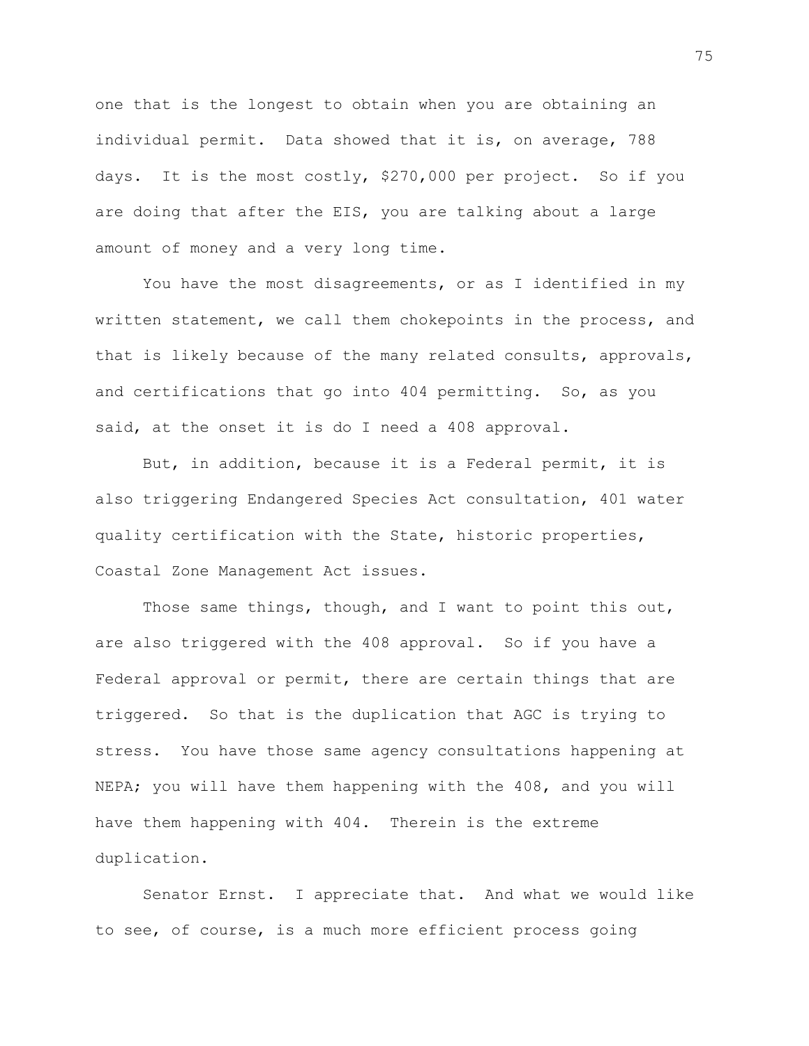one that is the longest to obtain when you are obtaining an individual permit. Data showed that it is, on average, 788 days. It is the most costly, \$270,000 per project. So if you are doing that after the EIS, you are talking about a large amount of money and a very long time.

You have the most disagreements, or as I identified in my written statement, we call them chokepoints in the process, and that is likely because of the many related consults, approvals, and certifications that go into 404 permitting. So, as you said, at the onset it is do I need a 408 approval.

But, in addition, because it is a Federal permit, it is also triggering Endangered Species Act consultation, 401 water quality certification with the State, historic properties, Coastal Zone Management Act issues.

Those same things, though, and I want to point this out, are also triggered with the 408 approval. So if you have a Federal approval or permit, there are certain things that are triggered. So that is the duplication that AGC is trying to stress. You have those same agency consultations happening at NEPA; you will have them happening with the 408, and you will have them happening with 404. Therein is the extreme duplication.

Senator Ernst. I appreciate that. And what we would like to see, of course, is a much more efficient process going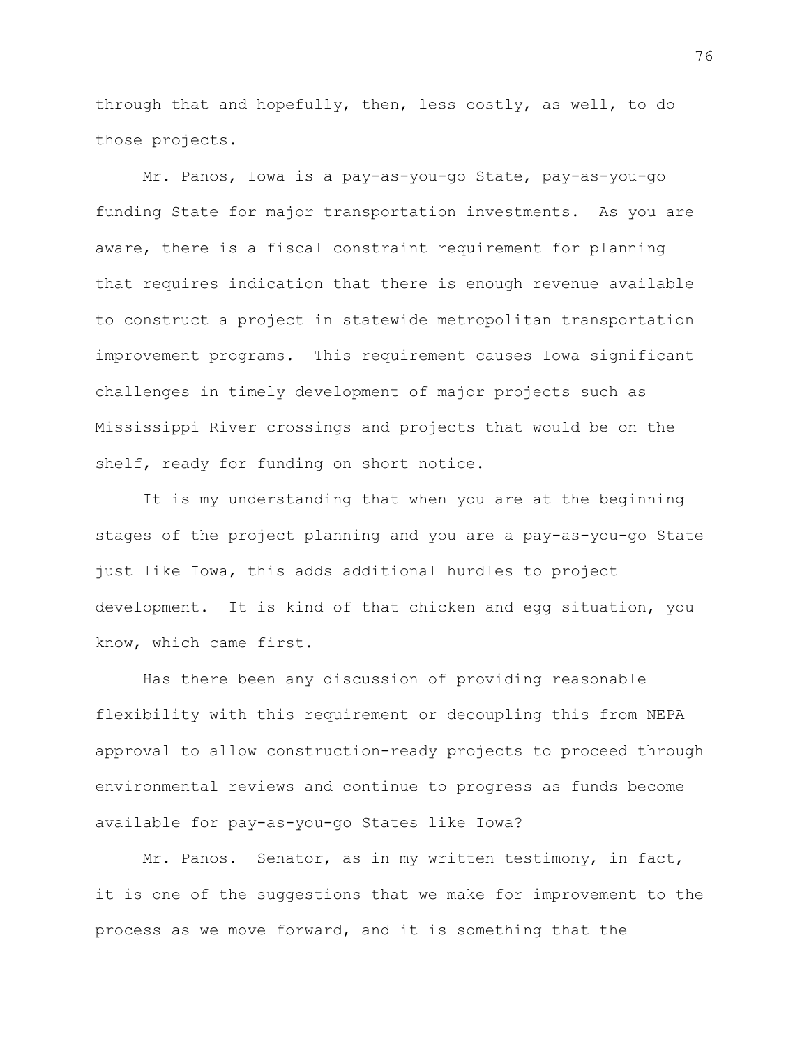through that and hopefully, then, less costly, as well, to do those projects.

Mr. Panos, Iowa is a pay-as-you-go State, pay-as-you-go funding State for major transportation investments. As you are aware, there is a fiscal constraint requirement for planning that requires indication that there is enough revenue available to construct a project in statewide metropolitan transportation improvement programs. This requirement causes Iowa significant challenges in timely development of major projects such as Mississippi River crossings and projects that would be on the shelf, ready for funding on short notice.

It is my understanding that when you are at the beginning stages of the project planning and you are a pay-as-you-go State just like Iowa, this adds additional hurdles to project development. It is kind of that chicken and egg situation, you know, which came first.

Has there been any discussion of providing reasonable flexibility with this requirement or decoupling this from NEPA approval to allow construction-ready projects to proceed through environmental reviews and continue to progress as funds become available for pay-as-you-go States like Iowa?

Mr. Panos. Senator, as in my written testimony, in fact, it is one of the suggestions that we make for improvement to the process as we move forward, and it is something that the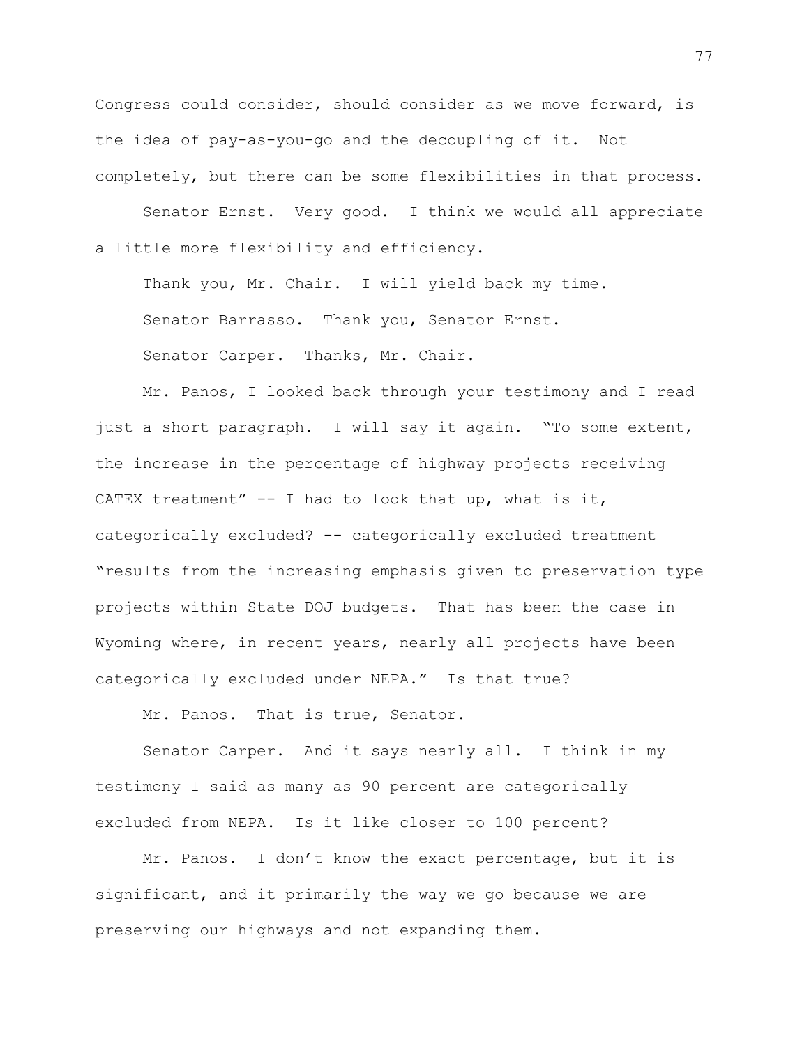Congress could consider, should consider as we move forward, is the idea of pay-as-you-go and the decoupling of it. Not completely, but there can be some flexibilities in that process.

Senator Ernst. Very good. I think we would all appreciate a little more flexibility and efficiency.

Thank you, Mr. Chair. I will yield back my time. Senator Barrasso. Thank you, Senator Ernst. Senator Carper. Thanks, Mr. Chair.

Mr. Panos, I looked back through your testimony and I read just a short paragraph. I will say it again. "To some extent, the increase in the percentage of highway projects receiving CATEX treatment"  $-$  I had to look that up, what is it, categorically excluded? -- categorically excluded treatment "results from the increasing emphasis given to preservation type projects within State DOJ budgets. That has been the case in Wyoming where, in recent years, nearly all projects have been categorically excluded under NEPA." Is that true?

Mr. Panos. That is true, Senator.

Senator Carper. And it says nearly all. I think in my testimony I said as many as 90 percent are categorically excluded from NEPA. Is it like closer to 100 percent?

Mr. Panos. I don't know the exact percentage, but it is significant, and it primarily the way we go because we are preserving our highways and not expanding them.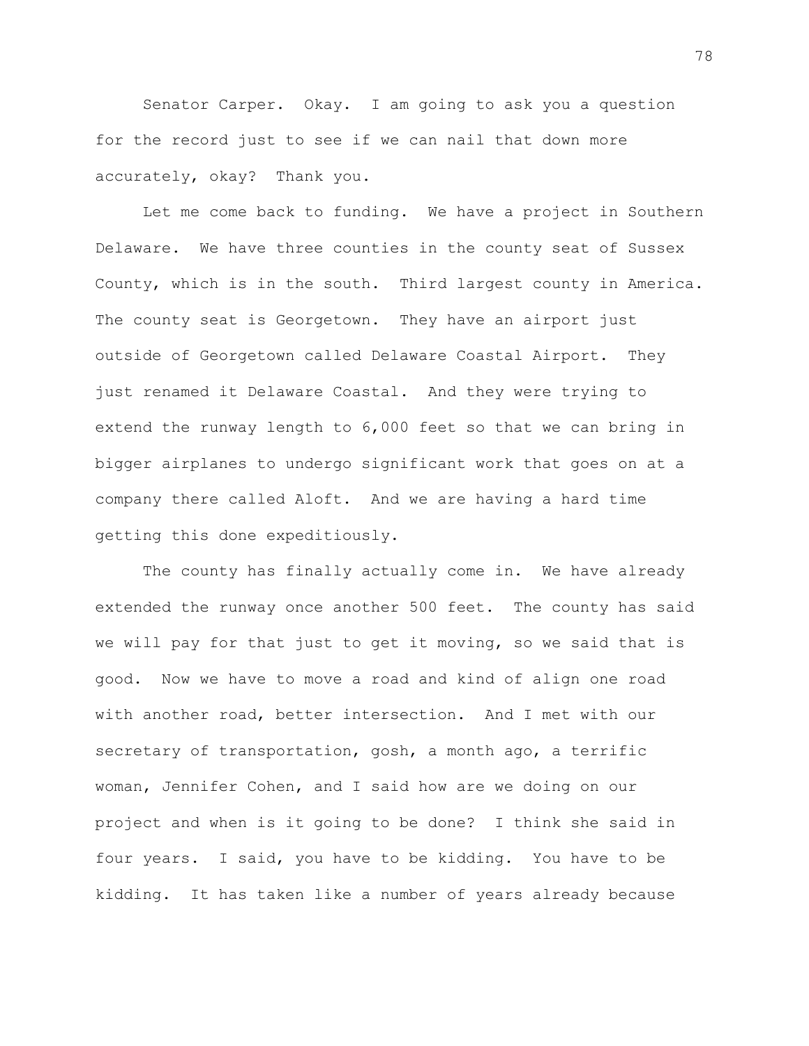Senator Carper. Okay. I am going to ask you a question for the record just to see if we can nail that down more accurately, okay? Thank you.

Let me come back to funding. We have a project in Southern Delaware. We have three counties in the county seat of Sussex County, which is in the south. Third largest county in America. The county seat is Georgetown. They have an airport just outside of Georgetown called Delaware Coastal Airport. They just renamed it Delaware Coastal. And they were trying to extend the runway length to 6,000 feet so that we can bring in bigger airplanes to undergo significant work that goes on at a company there called Aloft. And we are having a hard time getting this done expeditiously.

The county has finally actually come in. We have already extended the runway once another 500 feet. The county has said we will pay for that just to get it moving, so we said that is good. Now we have to move a road and kind of align one road with another road, better intersection. And I met with our secretary of transportation, gosh, a month ago, a terrific woman, Jennifer Cohen, and I said how are we doing on our project and when is it going to be done? I think she said in four years. I said, you have to be kidding. You have to be kidding. It has taken like a number of years already because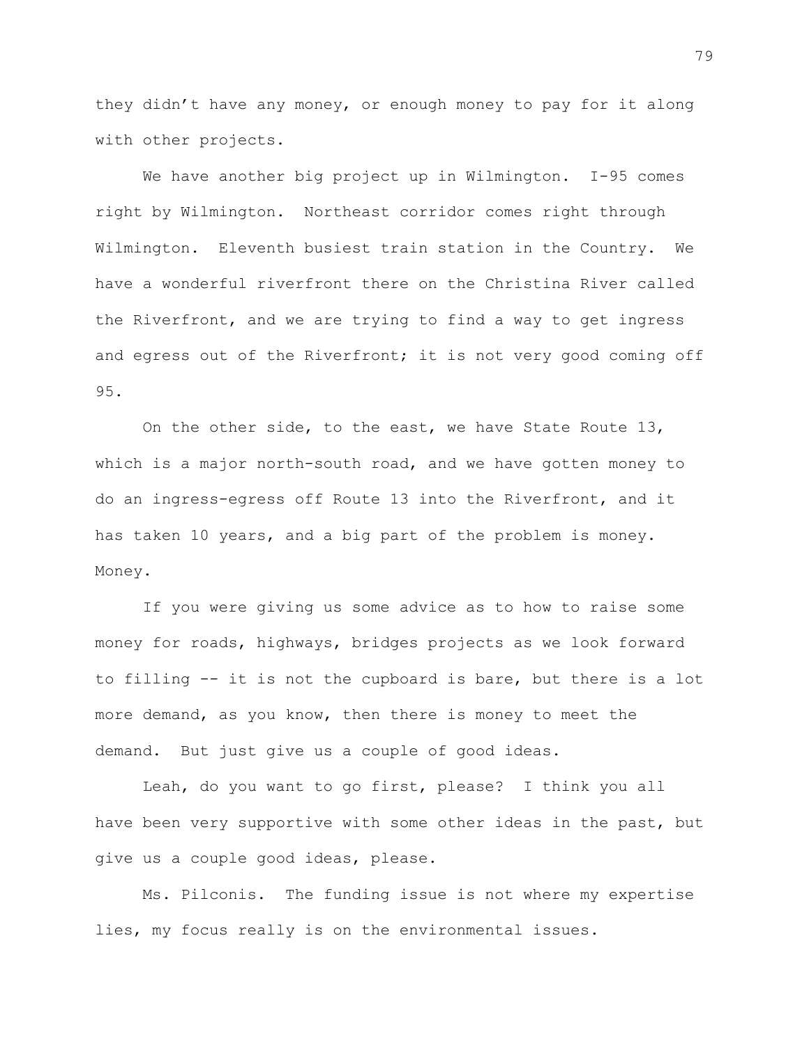they didn't have any money, or enough money to pay for it along with other projects.

We have another big project up in Wilmington. I-95 comes right by Wilmington. Northeast corridor comes right through Wilmington. Eleventh busiest train station in the Country. We have a wonderful riverfront there on the Christina River called the Riverfront, and we are trying to find a way to get ingress and egress out of the Riverfront; it is not very good coming off 95.

On the other side, to the east, we have State Route 13, which is a major north-south road, and we have gotten money to do an ingress-egress off Route 13 into the Riverfront, and it has taken 10 years, and a big part of the problem is money. Money.

If you were giving us some advice as to how to raise some money for roads, highways, bridges projects as we look forward to filling -- it is not the cupboard is bare, but there is a lot more demand, as you know, then there is money to meet the demand. But just give us a couple of good ideas.

Leah, do you want to go first, please? I think you all have been very supportive with some other ideas in the past, but give us a couple good ideas, please.

Ms. Pilconis. The funding issue is not where my expertise lies, my focus really is on the environmental issues.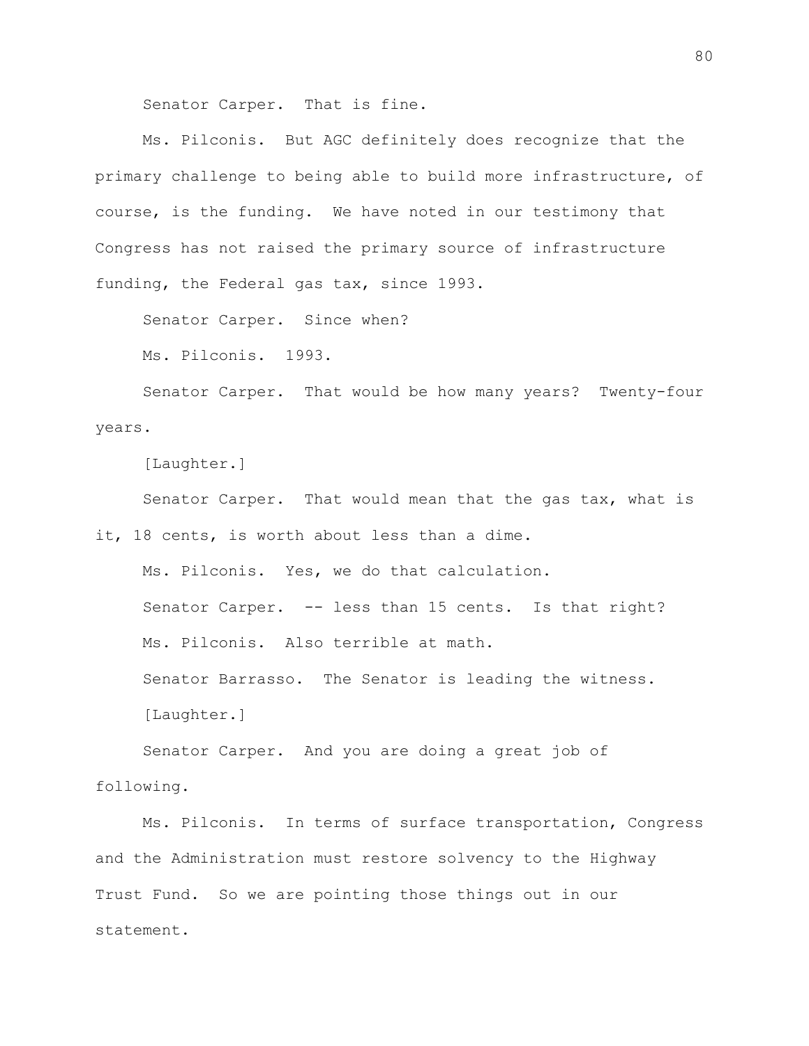Senator Carper. That is fine.

Ms. Pilconis. But AGC definitely does recognize that the primary challenge to being able to build more infrastructure, of course, is the funding. We have noted in our testimony that Congress has not raised the primary source of infrastructure funding, the Federal gas tax, since 1993.

Senator Carper. Since when?

Ms. Pilconis. 1993.

Senator Carper. That would be how many years? Twenty-four years.

[Laughter.]

Senator Carper. That would mean that the gas tax, what is it, 18 cents, is worth about less than a dime.

Ms. Pilconis. Yes, we do that calculation. Senator Carper. -- less than 15 cents. Is that right? Ms. Pilconis. Also terrible at math. Senator Barrasso. The Senator is leading the witness. [Laughter.]

Senator Carper. And you are doing a great job of following.

Ms. Pilconis. In terms of surface transportation, Congress and the Administration must restore solvency to the Highway Trust Fund. So we are pointing those things out in our statement.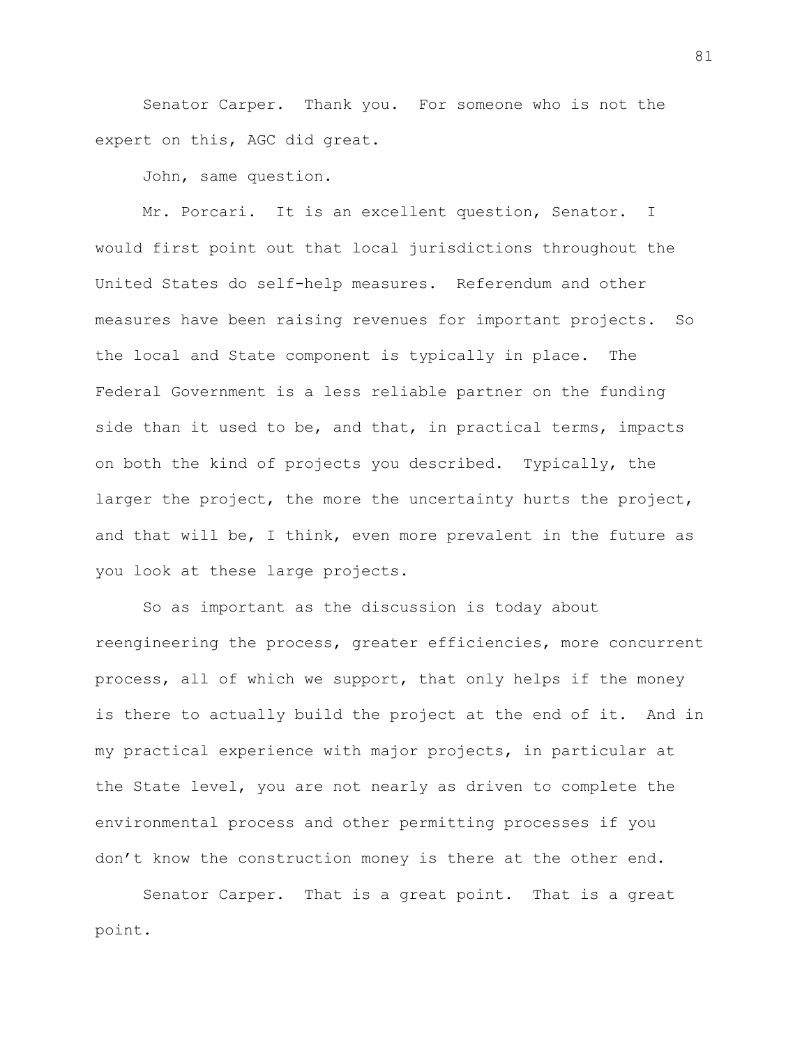Senator Carper. Thank you. For someone who is not the expert on this, AGC did great.

John, same question.

Mr. Porcari. It is an excellent question, Senator. I would first point out that local jurisdictions throughout the United States do self-help measures. Referendum and other measures have been raising revenues for important projects. So the local and State component is typically in place. The Federal Government is a less reliable partner on the funding side than it used to be, and that, in practical terms, impacts on both the kind of projects you described. Typically, the larger the project, the more the uncertainty hurts the project, and that will be, I think, even more prevalent in the future as you look at these large projects.

So as important as the discussion is today about reengineering the process, greater efficiencies, more concurrent process, all of which we support, that only helps if the money is there to actually build the project at the end of it. And in my practical experience with major projects, in particular at the State level, you are not nearly as driven to complete the environmental process and other permitting processes if you don't know the construction money is there at the other end.

Senator Carper. That is a great point. That is a great point.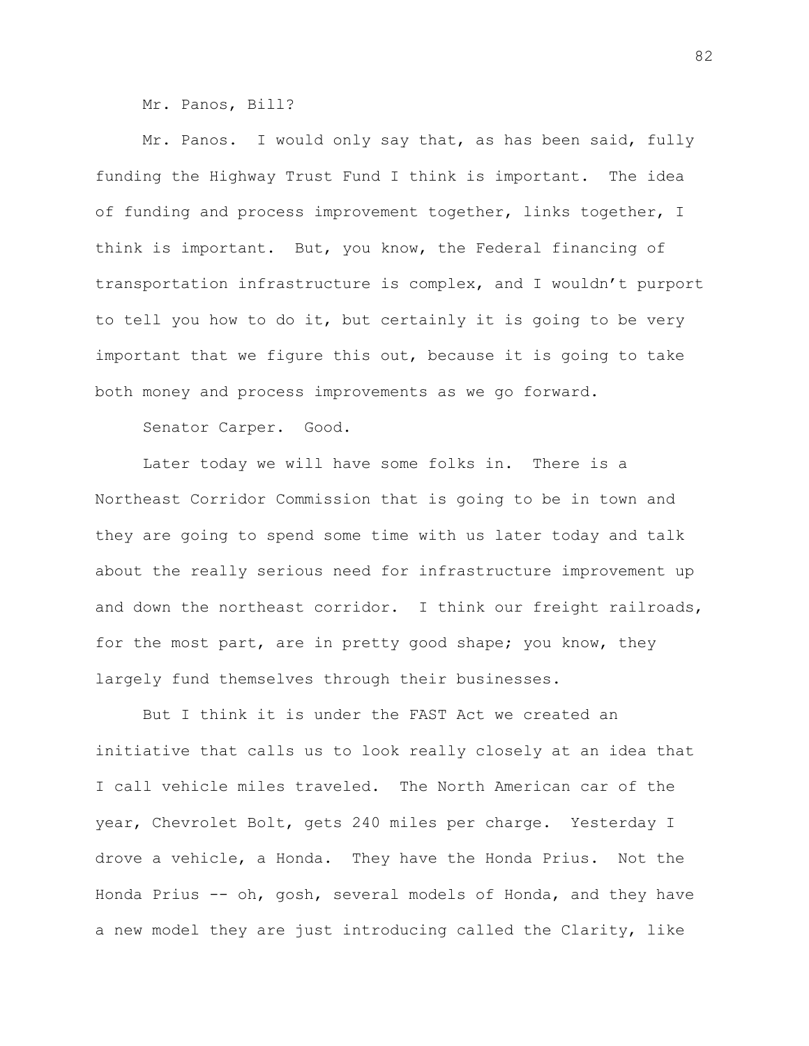Mr. Panos, Bill?

Mr. Panos. I would only say that, as has been said, fully funding the Highway Trust Fund I think is important. The idea of funding and process improvement together, links together, I think is important. But, you know, the Federal financing of transportation infrastructure is complex, and I wouldn't purport to tell you how to do it, but certainly it is going to be very important that we figure this out, because it is going to take both money and process improvements as we go forward.

Senator Carper. Good.

Later today we will have some folks in. There is a Northeast Corridor Commission that is going to be in town and they are going to spend some time with us later today and talk about the really serious need for infrastructure improvement up and down the northeast corridor. I think our freight railroads, for the most part, are in pretty good shape; you know, they largely fund themselves through their businesses.

But I think it is under the FAST Act we created an initiative that calls us to look really closely at an idea that I call vehicle miles traveled. The North American car of the year, Chevrolet Bolt, gets 240 miles per charge. Yesterday I drove a vehicle, a Honda. They have the Honda Prius. Not the Honda Prius -- oh, gosh, several models of Honda, and they have a new model they are just introducing called the Clarity, like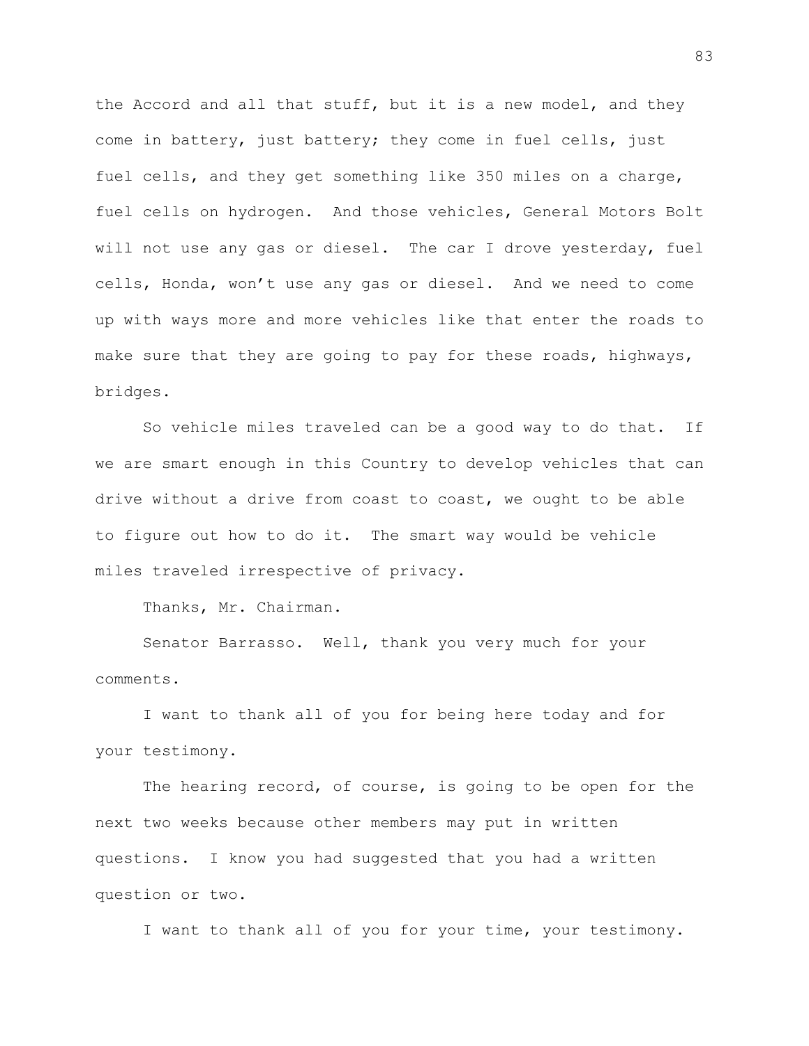the Accord and all that stuff, but it is a new model, and they come in battery, just battery; they come in fuel cells, just fuel cells, and they get something like 350 miles on a charge, fuel cells on hydrogen. And those vehicles, General Motors Bolt will not use any gas or diesel. The car I drove yesterday, fuel cells, Honda, won't use any gas or diesel. And we need to come up with ways more and more vehicles like that enter the roads to make sure that they are going to pay for these roads, highways, bridges.

So vehicle miles traveled can be a good way to do that. If we are smart enough in this Country to develop vehicles that can drive without a drive from coast to coast, we ought to be able to figure out how to do it. The smart way would be vehicle miles traveled irrespective of privacy.

Thanks, Mr. Chairman.

Senator Barrasso. Well, thank you very much for your comments.

I want to thank all of you for being here today and for your testimony.

The hearing record, of course, is going to be open for the next two weeks because other members may put in written questions. I know you had suggested that you had a written question or two.

I want to thank all of you for your time, your testimony.